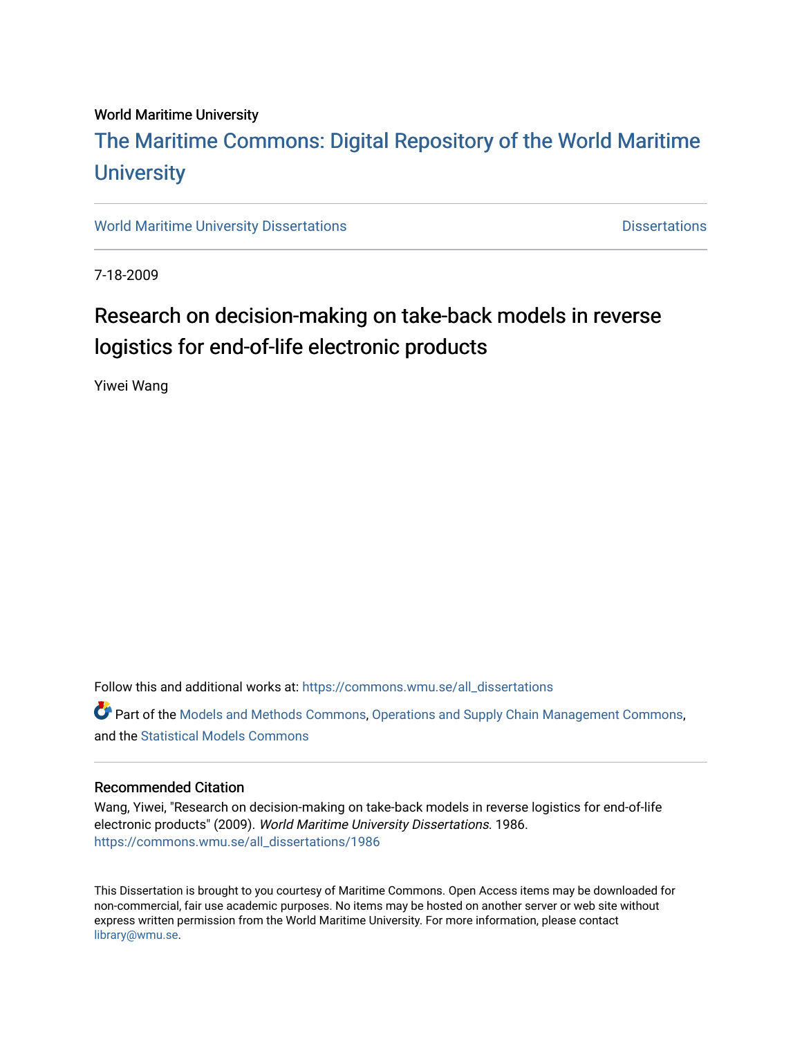#### World Maritime University

# [The Maritime Commons: Digital Repository of the World Maritime](https://commons.wmu.se/)  **University**

[World Maritime University Dissertations](https://commons.wmu.se/all_dissertations) **Distributions** [Dissertations](https://commons.wmu.se/dissertations) Dissertations

7-18-2009

# Research on decision-making on take-back models in reverse logistics for end-of-life electronic products

Yiwei Wang

Follow this and additional works at: [https://commons.wmu.se/all\\_dissertations](https://commons.wmu.se/all_dissertations?utm_source=commons.wmu.se%2Fall_dissertations%2F1986&utm_medium=PDF&utm_campaign=PDFCoverPages) 

Part of the [Models and Methods Commons,](http://network.bepress.com/hgg/discipline/390?utm_source=commons.wmu.se%2Fall_dissertations%2F1986&utm_medium=PDF&utm_campaign=PDFCoverPages) [Operations and Supply Chain Management Commons,](http://network.bepress.com/hgg/discipline/1229?utm_source=commons.wmu.se%2Fall_dissertations%2F1986&utm_medium=PDF&utm_campaign=PDFCoverPages) and the [Statistical Models Commons](http://network.bepress.com/hgg/discipline/827?utm_source=commons.wmu.se%2Fall_dissertations%2F1986&utm_medium=PDF&utm_campaign=PDFCoverPages) 

#### Recommended Citation

Wang, Yiwei, "Research on decision-making on take-back models in reverse logistics for end-of-life electronic products" (2009). World Maritime University Dissertations. 1986. [https://commons.wmu.se/all\\_dissertations/1986](https://commons.wmu.se/all_dissertations/1986?utm_source=commons.wmu.se%2Fall_dissertations%2F1986&utm_medium=PDF&utm_campaign=PDFCoverPages)

This Dissertation is brought to you courtesy of Maritime Commons. Open Access items may be downloaded for non-commercial, fair use academic purposes. No items may be hosted on another server or web site without express written permission from the World Maritime University. For more information, please contact [library@wmu.se](mailto:library@wmu.edu).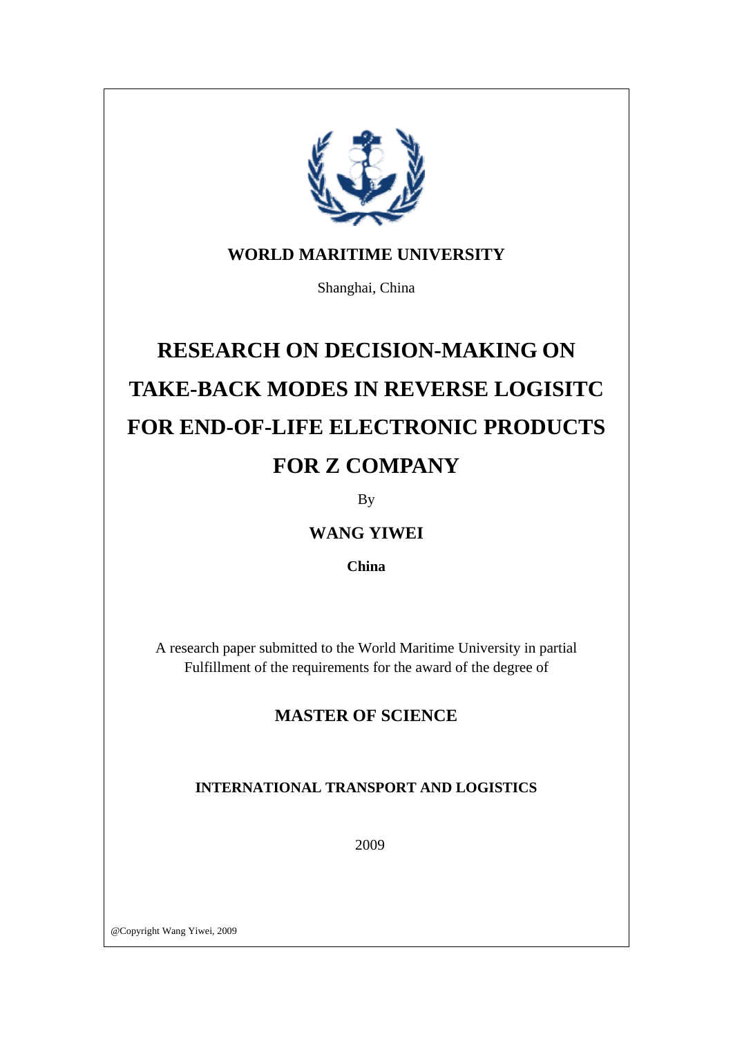

### **WORLD MARITIME UNIVERSITY**

Shanghai, China

# **RESEARCH ON DECISION-MAKING ON TAKE-BACK MODES IN REVERSE LOGISITC FOR END-OF-LIFE ELECTRONIC PRODUCTS FOR Z COMPANY**

By

### **WANG YIWEI**

**China** 

A research paper submitted to the World Maritime University in partial Fulfillment of the requirements for the award of the degree of

### **MASTER OF SCIENCE**

### **INTERNATIONAL TRANSPORT AND LOGISTICS**

2009

@Copyright Wang Yiwei, 2009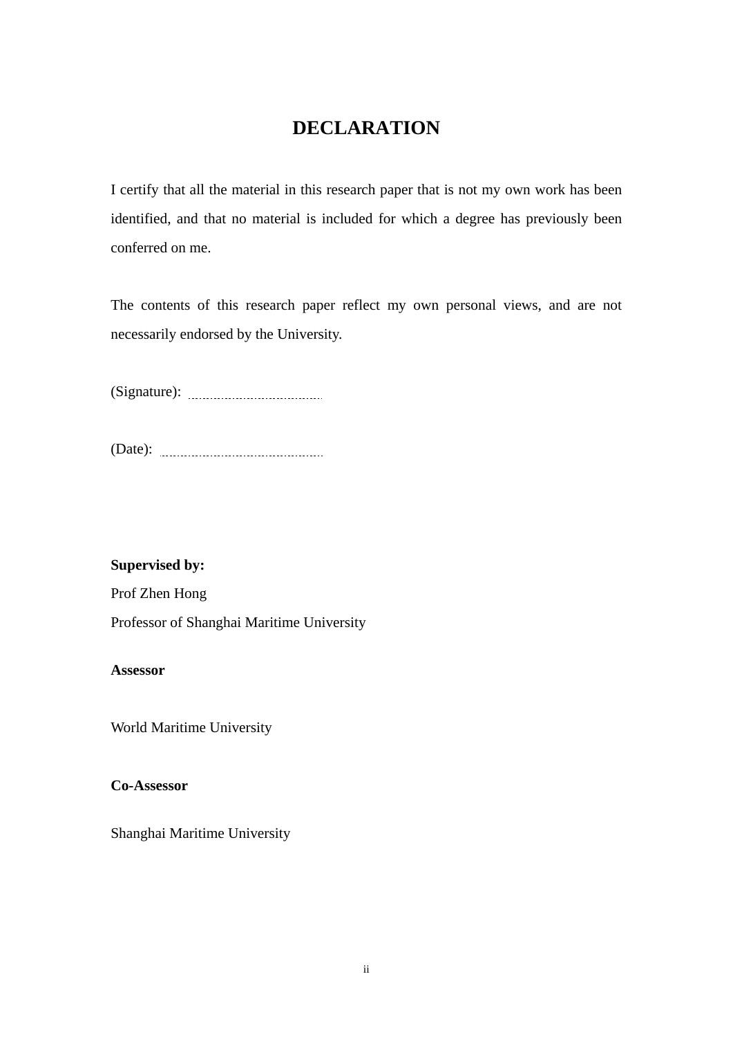### **DECLARATION**

<span id="page-2-0"></span>I certify that all the material in this research paper that is not my own work has been identified, and that no material is included for which a degree has previously been conferred on me.

The contents of this research paper reflect my own personal views, and are not necessarily endorsed by the University.

(Signature):

(Date):

**Supervised by:** 

Prof Zhen Hong

Professor of Shanghai Maritime University

**Assessor** 

World Maritime University

**Co-Assessor** 

Shanghai Maritime University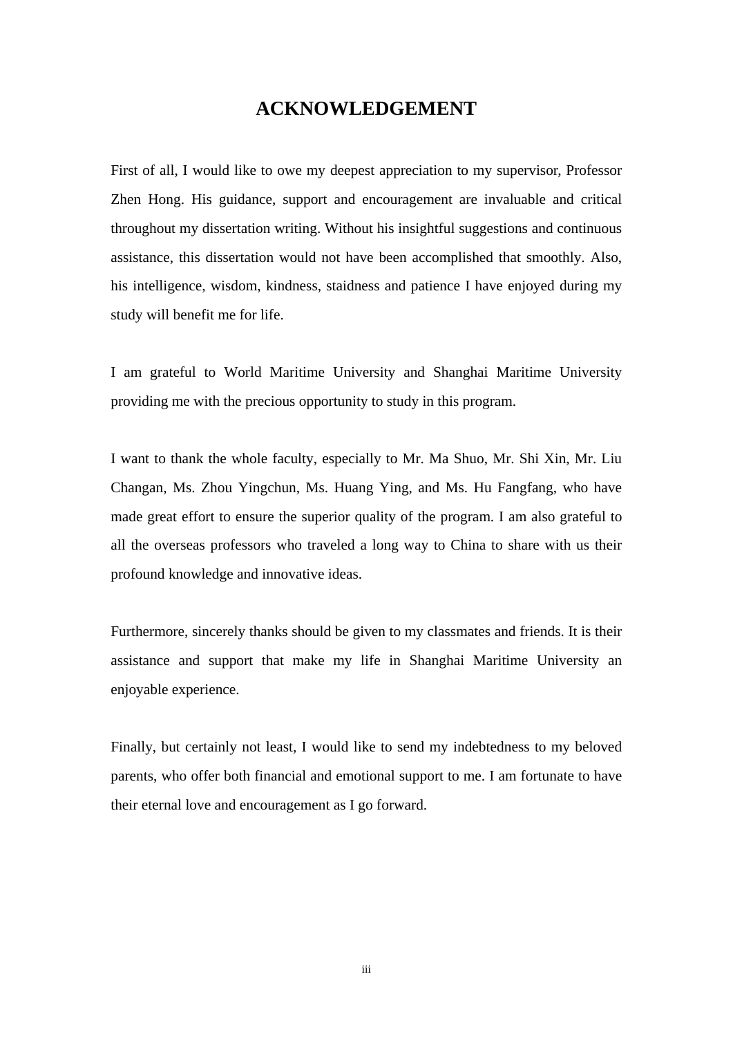### **ACKNOWLEDGEMENT**

<span id="page-3-0"></span>First of all, I would like to owe my deepest appreciation to my supervisor, Professor Zhen Hong. His guidance, support and encouragement are invaluable and critical throughout my dissertation writing. Without his insightful suggestions and continuous assistance, this dissertation would not have been accomplished that smoothly. Also, his intelligence, wisdom, kindness, staidness and patience I have enjoyed during my study will benefit me for life.

I am grateful to World Maritime University and Shanghai Maritime University providing me with the precious opportunity to study in this program.

I want to thank the whole faculty, especially to Mr. Ma Shuo, Mr. Shi Xin, Mr. Liu Changan, Ms. Zhou Yingchun, Ms. Huang Ying, and Ms. Hu Fangfang, who have made great effort to ensure the superior quality of the program. I am also grateful to all the overseas professors who traveled a long way to China to share with us their profound knowledge and innovative ideas.

Furthermore, sincerely thanks should be given to my classmates and friends. It is their assistance and support that make my life in Shanghai Maritime University an enjoyable experience.

Finally, but certainly not least, I would like to send my indebtedness to my beloved parents, who offer both financial and emotional support to me. I am fortunate to have their eternal love and encouragement as I go forward.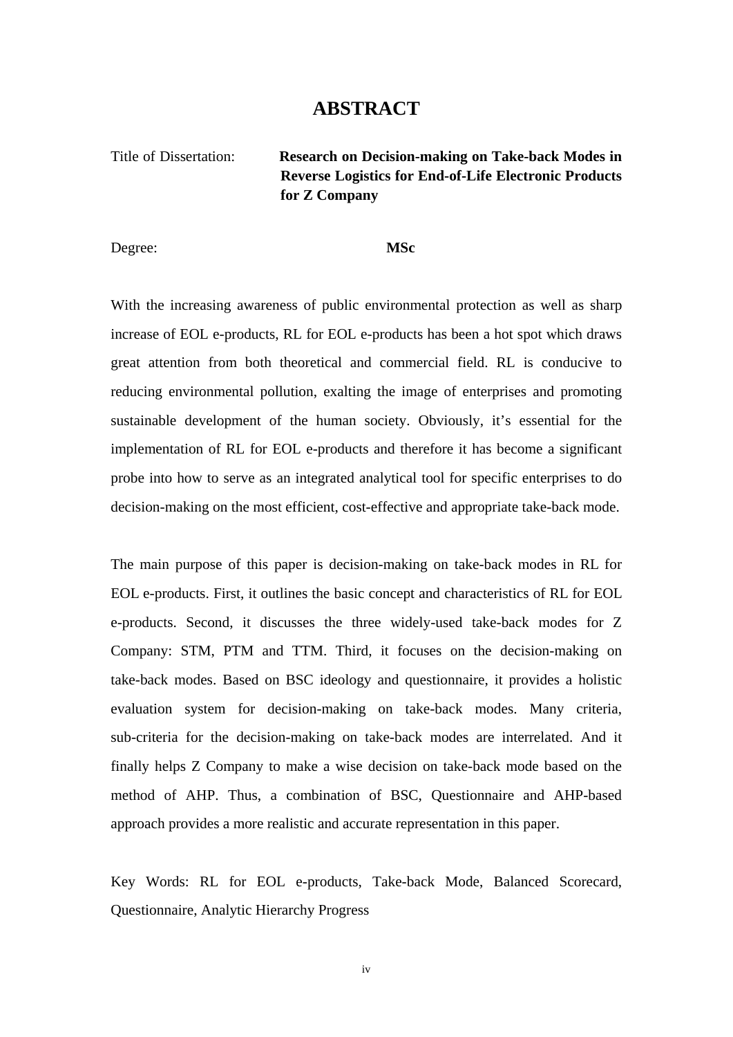### **ABSTRACT**

<span id="page-4-0"></span>Title of Dissertation: **Research on Decision-making on Take-back Modes in Reverse Logistics for End-of-Life Electronic Products for Z Company** 

Degree: **MSc** 

With the increasing awareness of public environmental protection as well as sharp increase of EOL e-products, RL for EOL e-products has been a hot spot which draws great attention from both theoretical and commercial field. RL is conducive to reducing environmental pollution, exalting the image of enterprises and promoting sustainable development of the human society. Obviously, it's essential for the implementation of RL for EOL e-products and therefore it has become a significant probe into how to serve as an integrated analytical tool for specific enterprises to do decision-making on the most efficient, cost-effective and appropriate take-back mode.

The main purpose of this paper is decision-making on take-back modes in RL for EOL e-products. First, it outlines the basic concept and characteristics of RL for EOL e-products. Second, it discusses the three widely-used take-back modes for Z Company: STM, PTM and TTM. Third, it focuses on the decision-making on take-back modes. Based on BSC ideology and questionnaire, it provides a holistic evaluation system for decision-making on take-back modes. Many criteria, sub-criteria for the decision-making on take-back modes are interrelated. And it finally helps Z Company to make a wise decision on take-back mode based on the method of AHP. Thus, a combination of BSC, Questionnaire and AHP-based approach provides a more realistic and accurate representation in this paper.

Key Words: RL for EOL e-products, Take-back Mode, Balanced Scorecard, Questionnaire, Analytic Hierarchy Progress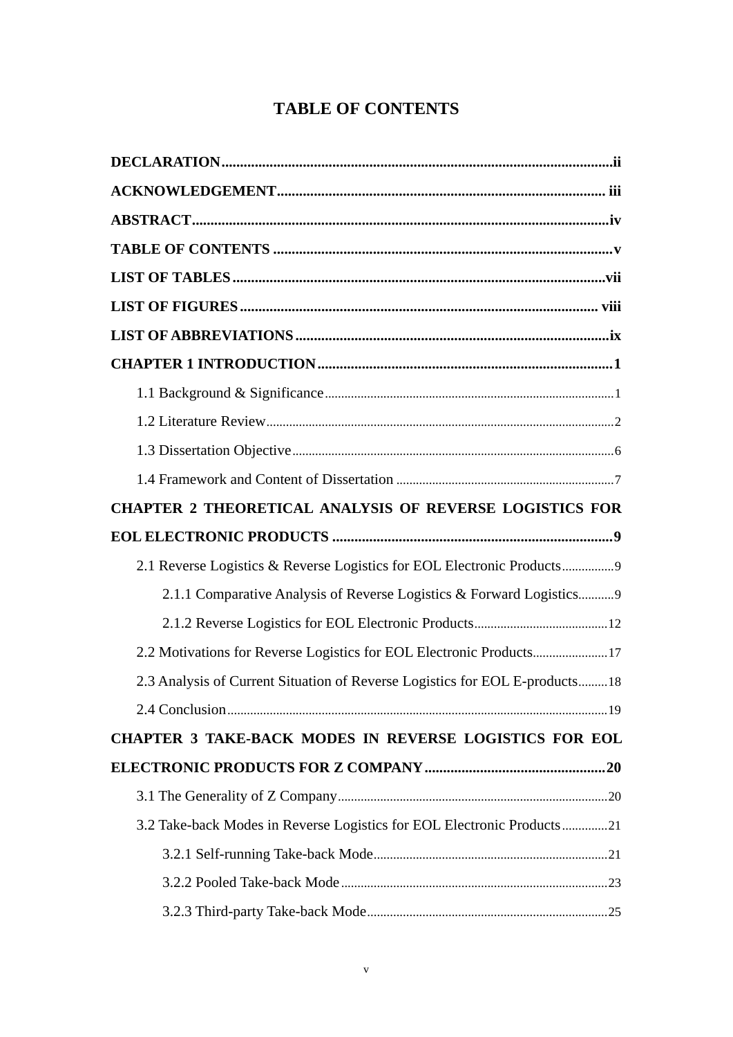## **TABLE OF CONTENTS**

<span id="page-5-0"></span>

| <b>CHAPTER 2 THEORETICAL ANALYSIS OF REVERSE LOGISTICS FOR</b>              |
|-----------------------------------------------------------------------------|
|                                                                             |
| 2.1 Reverse Logistics & Reverse Logistics for EOL Electronic Products       |
| 2.1.1 Comparative Analysis of Reverse Logistics & Forward Logistics9        |
|                                                                             |
| 2.2 Motivations for Reverse Logistics for EOL Electronic Products17         |
| 2.3 Analysis of Current Situation of Reverse Logistics for EOL E-products18 |
|                                                                             |
| CHAPTER 3 TAKE-BACK MODES IN REVERSE LOGISTICS FOR EOL                      |
|                                                                             |
|                                                                             |
| 3.2 Take-back Modes in Reverse Logistics for EOL Electronic Products21      |
|                                                                             |
|                                                                             |
|                                                                             |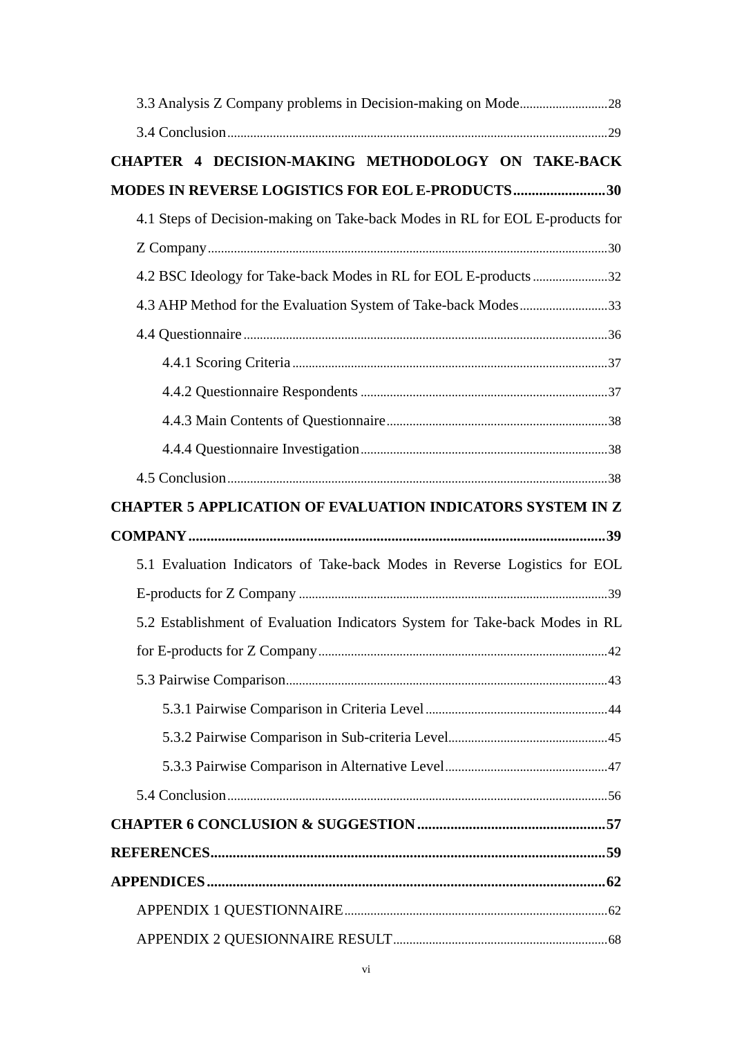| CHAPTER 4 DECISION-MAKING METHODOLOGY ON TAKE-BACK                           |
|------------------------------------------------------------------------------|
| <b>MODES IN REVERSE LOGISTICS FOR EOL E-PRODUCTS30</b>                       |
| 4.1 Steps of Decision-making on Take-back Modes in RL for EOL E-products for |
|                                                                              |
|                                                                              |
| 4.3 AHP Method for the Evaluation System of Take-back Modes33                |
|                                                                              |
|                                                                              |
|                                                                              |
|                                                                              |
|                                                                              |
|                                                                              |
| <b>CHAPTER 5 APPLICATION OF EVALUATION INDICATORS SYSTEM IN Z</b>            |
|                                                                              |
|                                                                              |
| 5.1 Evaluation Indicators of Take-back Modes in Reverse Logistics for EOL    |
|                                                                              |
| 5.2 Establishment of Evaluation Indicators System for Take-back Modes in RL  |
|                                                                              |
|                                                                              |
|                                                                              |
|                                                                              |
|                                                                              |
|                                                                              |
|                                                                              |
|                                                                              |
|                                                                              |
|                                                                              |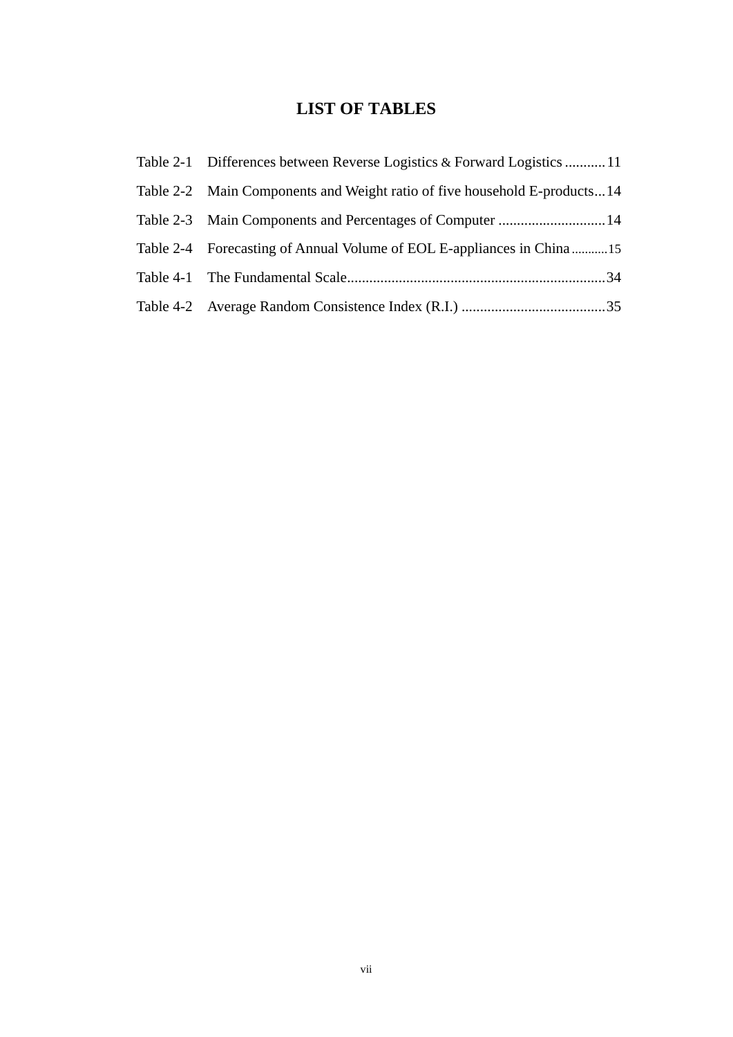### **LIST OF TABLES**

<span id="page-7-0"></span>

| Table 2-1 Differences between Reverse Logistics & Forward Logistics  11   |
|---------------------------------------------------------------------------|
| Table 2-2 Main Components and Weight ratio of five household E-products14 |
|                                                                           |
| Table 2-4 Forecasting of Annual Volume of EOL E-appliances in China15     |
|                                                                           |
|                                                                           |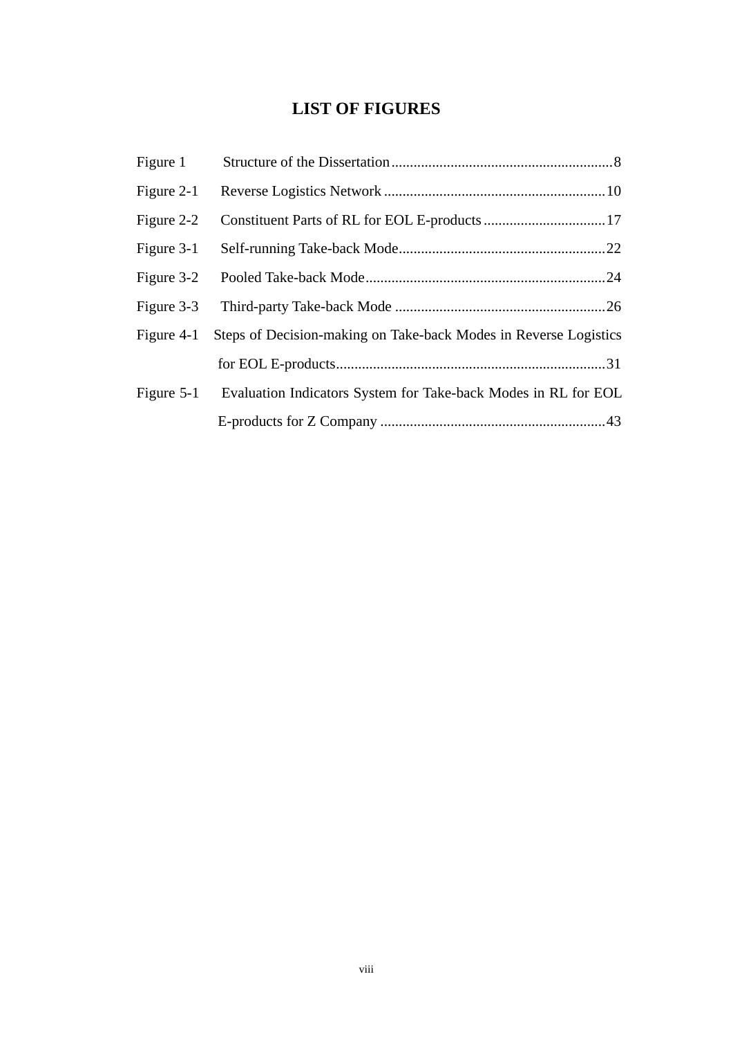### **LIST OF FIGURES**

<span id="page-8-0"></span>

| Figure 1     |                                                                  |
|--------------|------------------------------------------------------------------|
| Figure 2-1   |                                                                  |
| Figure 2-2   |                                                                  |
| Figure 3-1   |                                                                  |
| Figure 3-2   |                                                                  |
| Figure 3-3   |                                                                  |
| Figure $4-1$ | Steps of Decision-making on Take-back Modes in Reverse Logistics |
|              |                                                                  |
| Figure $5-1$ | Evaluation Indicators System for Take-back Modes in RL for EOL   |
|              |                                                                  |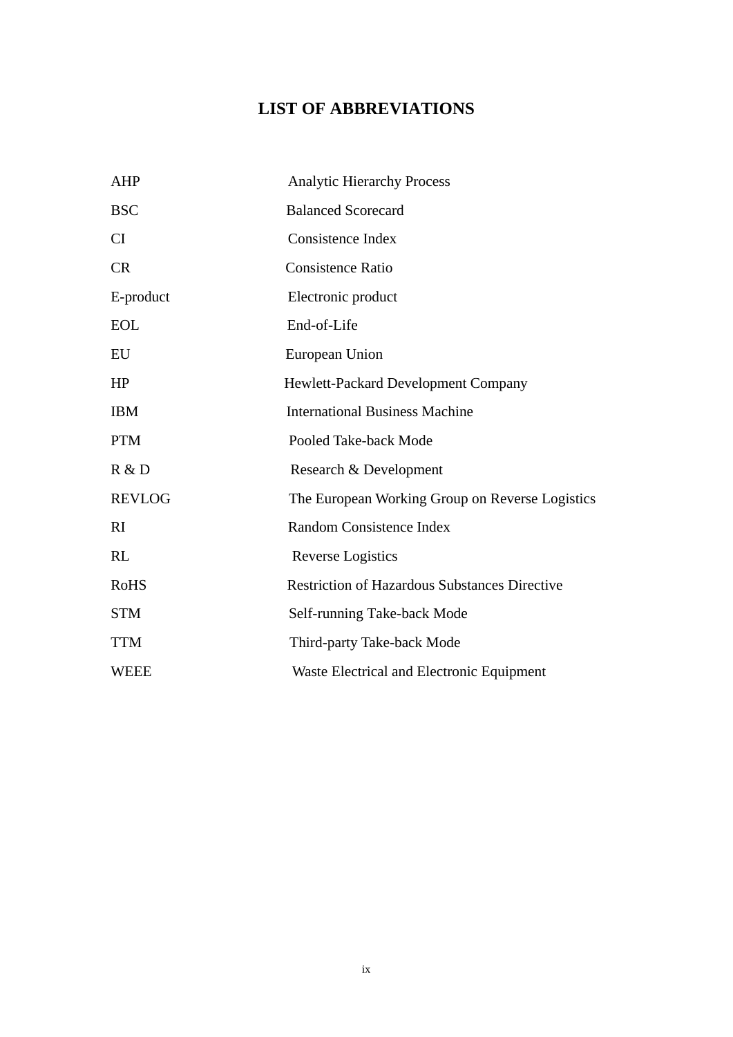### **LIST OF ABBREVIATIONS**

<span id="page-9-0"></span>

| <b>AHP</b>    | <b>Analytic Hierarchy Process</b>                    |  |  |
|---------------|------------------------------------------------------|--|--|
| <b>BSC</b>    | <b>Balanced Scorecard</b>                            |  |  |
| CI            | <b>Consistence Index</b>                             |  |  |
| <b>CR</b>     | <b>Consistence Ratio</b>                             |  |  |
| E-product     | Electronic product                                   |  |  |
| <b>EOL</b>    | End-of-Life                                          |  |  |
| EU            | European Union                                       |  |  |
| HP            | Hewlett-Packard Development Company                  |  |  |
| <b>IBM</b>    | <b>International Business Machine</b>                |  |  |
| <b>PTM</b>    | Pooled Take-back Mode                                |  |  |
| R & D         | Research & Development                               |  |  |
| <b>REVLOG</b> | The European Working Group on Reverse Logistics      |  |  |
| RI            | Random Consistence Index                             |  |  |
| RL            | Reverse Logistics                                    |  |  |
| <b>RoHS</b>   | <b>Restriction of Hazardous Substances Directive</b> |  |  |
| <b>STM</b>    | Self-running Take-back Mode                          |  |  |
| <b>TTM</b>    | Third-party Take-back Mode                           |  |  |
| <b>WEEE</b>   | Waste Electrical and Electronic Equipment            |  |  |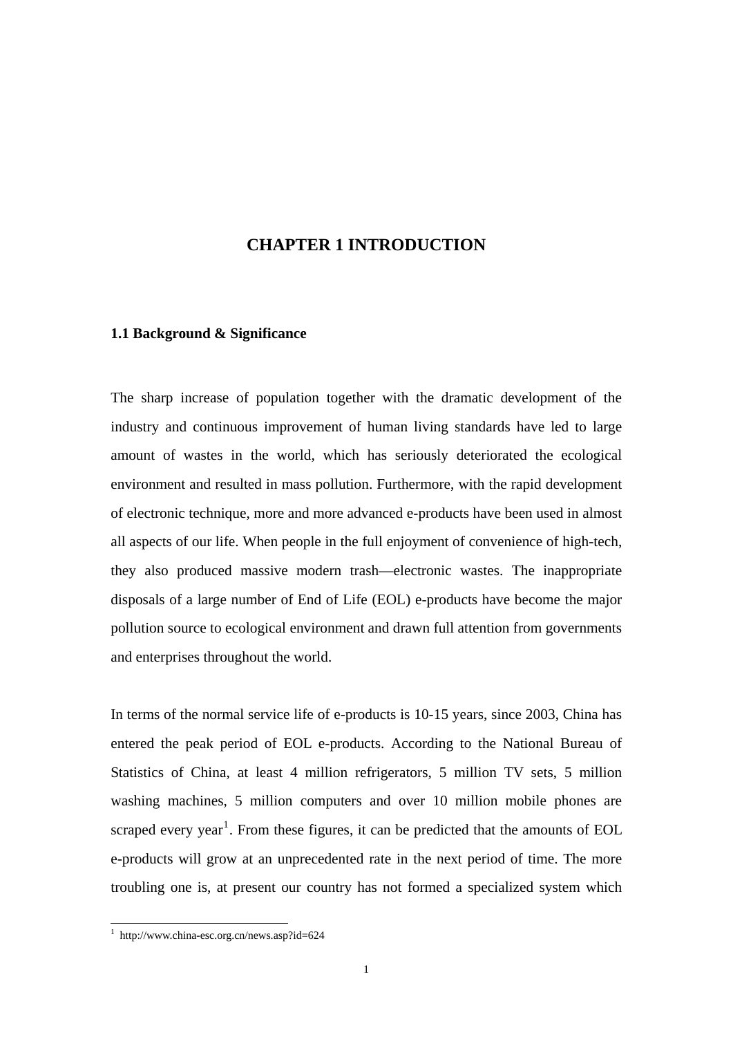### <span id="page-10-0"></span>**CHAPTER 1 INTRODUCTION**

#### **1.1 Background & Significance**

The sharp increase of population together with the dramatic development of the industry and continuous improvement of human living standards have led to large amount of wastes in the world, which has seriously deteriorated the ecological environment and resulted in mass pollution. Furthermore, with the rapid development of electronic technique, more and more advanced e-products have been used in almost all aspects of our life. When people in the full enjoyment of convenience of high-tech, they also produced massive modern trash—electronic wastes. The inappropriate disposals of a large number of End of Life (EOL) e-products have become the major pollution source to ecological environment and drawn full attention from governments and enterprises throughout the world.

In terms of the normal service life of e-products is 10-15 years, since 2003, China has entered the peak period of EOL e-products. According to the National Bureau of Statistics of China, at least 4 million refrigerators, 5 million TV sets, 5 million washing machines, 5 million computers and over 10 million mobile phones are scraped every year<sup>[1](#page-10-1)</sup>. From these figures, it can be predicted that the amounts of EOL e-products will grow at an unprecedented rate in the next period of time. The more troubling one is, at present our country has not formed a specialized system which

<u>.</u>

<span id="page-10-1"></span><sup>1</sup> http://www.china-esc.org.cn/news.asp?id=624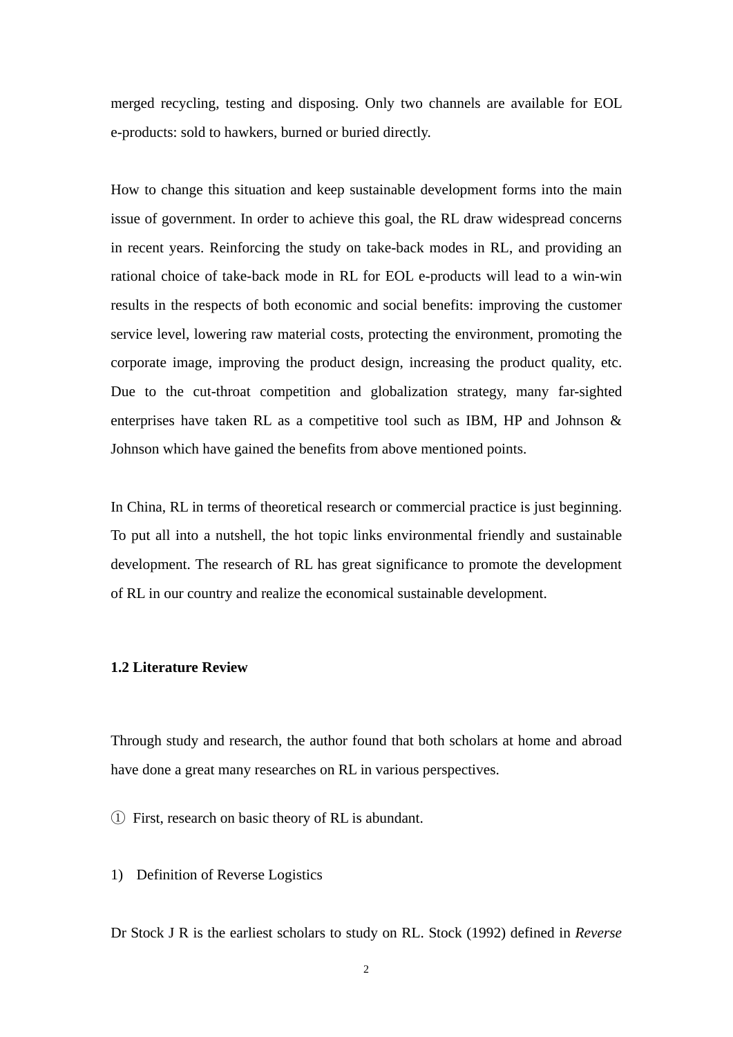<span id="page-11-0"></span>merged recycling, testing and disposing. Only two channels are available for EOL e-products: sold to hawkers, burned or buried directly.

How to change this situation and keep sustainable development forms into the main issue of government. In order to achieve this goal, the RL draw widespread concerns in recent years. Reinforcing the study on take-back modes in RL, and providing an rational choice of take-back mode in RL for EOL e-products will lead to a win-win results in the respects of both economic and social benefits: improving the customer service level, lowering raw material costs, protecting the environment, promoting the corporate image, improving the product design, increasing the product quality, etc. Due to the cut-throat competition and globalization strategy, many far-sighted enterprises have taken RL as a competitive tool such as IBM, HP and Johnson & Johnson which have gained the benefits from above mentioned points.

In China, RL in terms of theoretical research or commercial practice is just beginning. To put all into a nutshell, the hot topic links environmental friendly and sustainable development. The research of RL has great significance to promote the development of RL in our country and realize the economical sustainable development.

#### **1.2 Literature Review**

Through study and research, the author found that both scholars at home and abroad have done a great many researches on RL in various perspectives.

① First, research on basic theory of RL is abundant.

1) Definition of Reverse Logistics

Dr Stock J R is the earliest scholars to study on RL. Stock (1992) defined in *Reverse*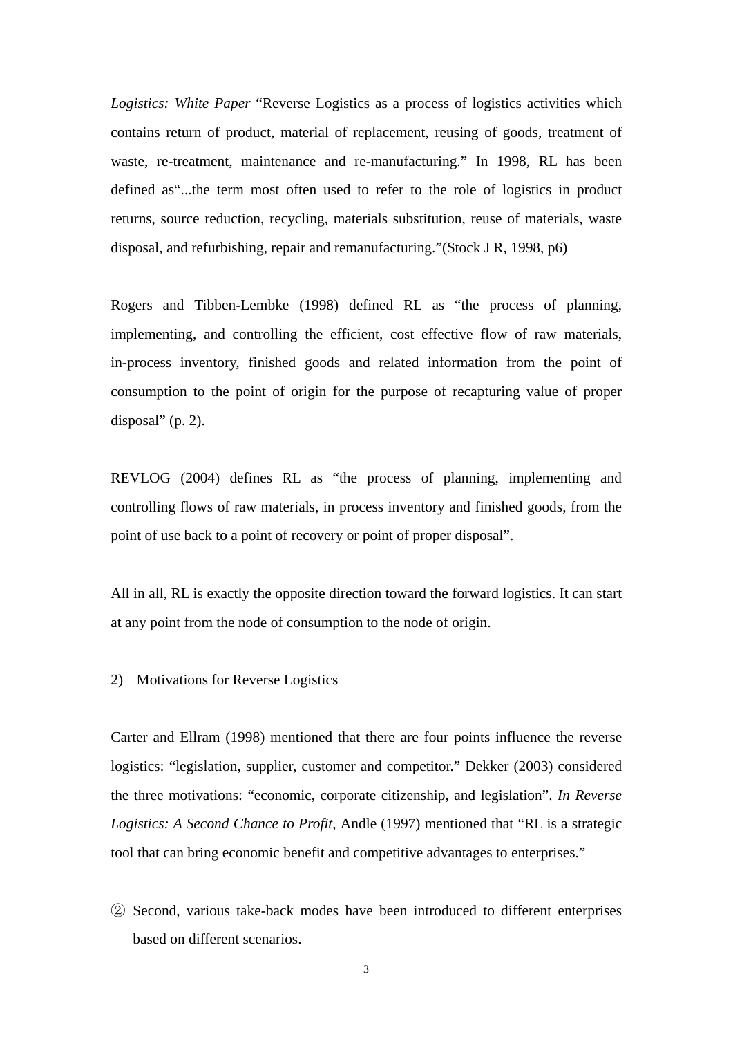*Logistics: White Paper* "Reverse Logistics as a process of logistics activities which contains return of product, material of replacement, reusing of goods, treatment of waste, re-treatment, maintenance and re-manufacturing." In 1998, RL has been defined as"...the term most often used to refer to the role of logistics in product returns, source reduction, recycling, materials substitution, reuse of materials, waste disposal, and refurbishing, repair and remanufacturing."(Stock J R, 1998, p6)

Rogers and Tibben-Lembke (1998) defined RL as "the process of planning, implementing, and controlling the efficient, cost effective flow of raw materials, in-process inventory, finished goods and related information from the point of consumption to the point of origin for the purpose of recapturing value of proper disposal" (p. 2).

REVLOG (2004) defines RL as "the process of planning, implementing and controlling flows of raw materials, in process inventory and finished goods, from the point of use back to a point of recovery or point of proper disposal".

All in all, RL is exactly the opposite direction toward the forward logistics. It can start at any point from the node of consumption to the node of origin.

2) Motivations for Reverse Logistics

Carter and Ellram (1998) mentioned that there are four points influence the reverse logistics: "legislation, supplier, customer and competitor." Dekker (2003) considered the three motivations: "economic, corporate citizenship, and legislation". *In Reverse Logistics: A Second Chance to Profit*, Andle (1997) mentioned that "RL is a strategic tool that can bring economic benefit and competitive advantages to enterprises."

② Second, various take-back modes have been introduced to different enterprises based on different scenarios.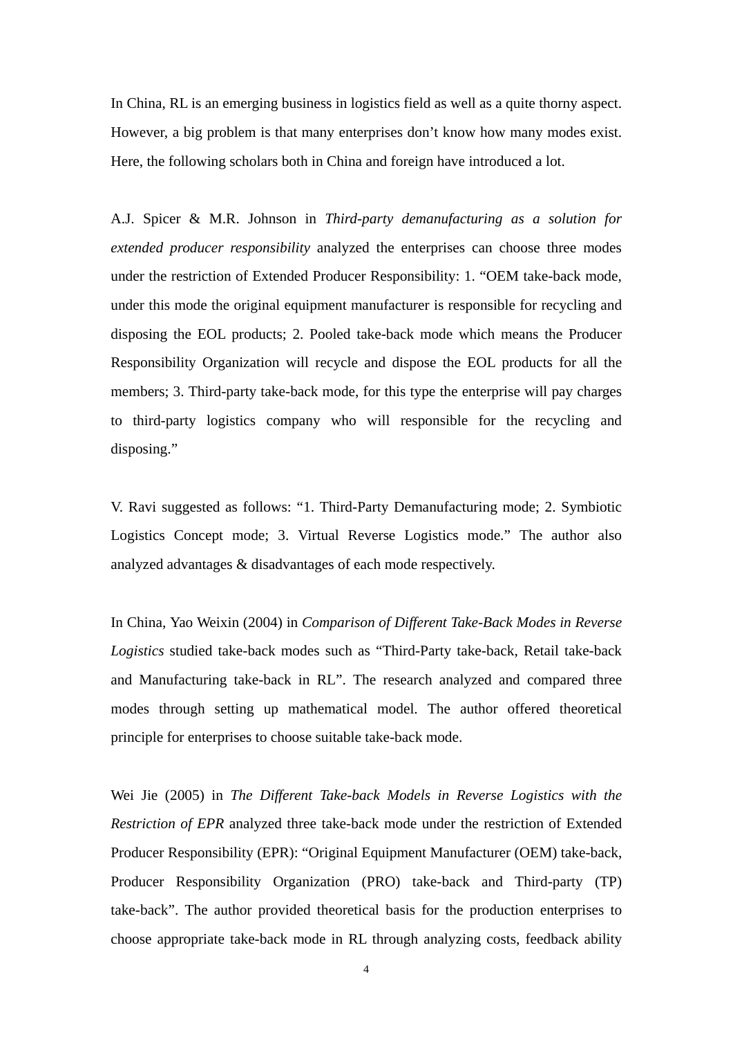In China, RL is an emerging business in logistics field as well as a quite thorny aspect. However, a big problem is that many enterprises don't know how many modes exist. Here, the following scholars both in China and foreign have introduced a lot.

A.J. Spicer & M.R. Johnson in *Third-party demanufacturing as a solution for extended producer responsibility* analyzed the enterprises can choose three modes under the restriction of Extended Producer Responsibility: 1. "OEM take-back mode, under this mode the original equipment manufacturer is responsible for recycling and disposing the EOL products; 2. Pooled take-back mode which means the Producer Responsibility Organization will recycle and dispose the EOL products for all the members; 3. Third-party take-back mode, for this type the enterprise will pay charges to third-party logistics company who will responsible for the recycling and disposing."

V. Ravi suggested as follows: "1. Third-Party Demanufacturing mode; 2. Symbiotic Logistics Concept mode; 3. Virtual Reverse Logistics mode." The author also analyzed advantages & disadvantages of each mode respectively.

In China, Yao Weixin (2004) in *Comparison of Different Take-Back Modes in Reverse Logistics* studied take-back modes such as "Third-Party take-back, Retail take-back and Manufacturing take-back in RL". The research analyzed and compared three modes through setting up mathematical model. The author offered theoretical principle for enterprises to choose suitable take-back mode.

Wei Jie (2005) in *The Different Take-back Models in Reverse Logistics with the Restriction of EPR* analyzed three take-back mode under the restriction of Extended Producer Responsibility (EPR): "Original Equipment Manufacturer (OEM) take-back, Producer Responsibility Organization (PRO) take-back and Third-party (TP) take-back". The author provided theoretical basis for the production enterprises to choose appropriate take-back mode in RL through analyzing costs, feedback ability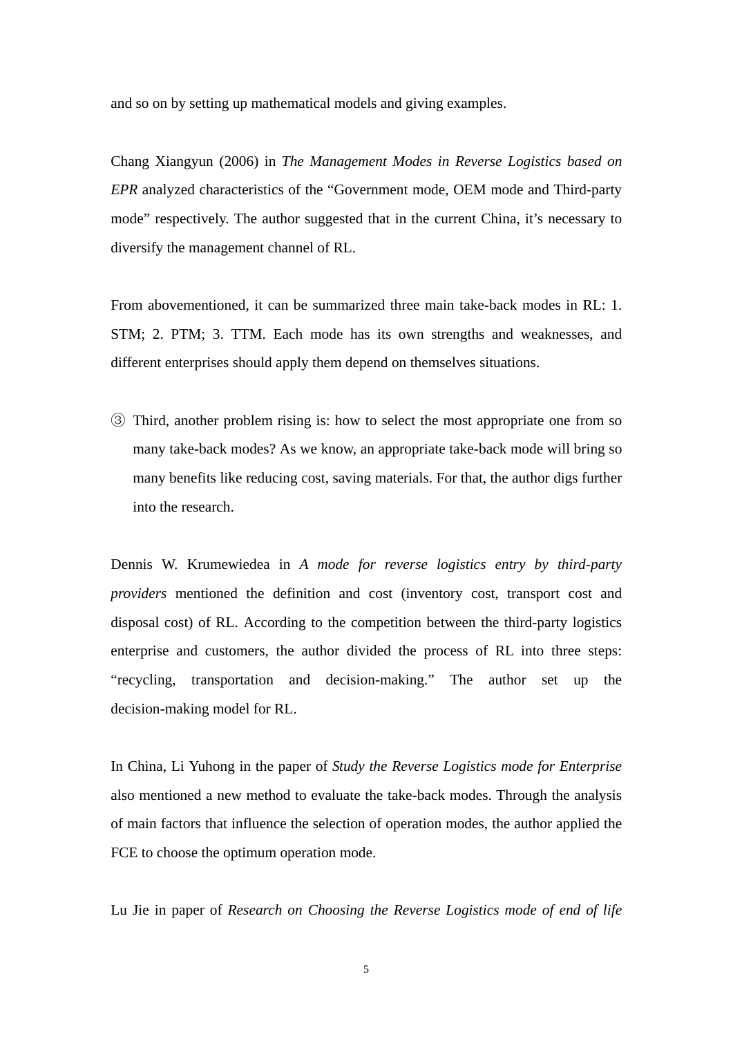and so on by setting up mathematical models and giving examples.

Chang Xiangyun (2006) in *The Management Modes in Reverse Logistics based on EPR* analyzed characteristics of the "Government mode, OEM mode and Third-party mode" respectively. The author suggested that in the current China, it's necessary to diversify the management channel of RL.

From abovementioned, it can be summarized three main take-back modes in RL: 1. STM; 2. PTM; 3. TTM. Each mode has its own strengths and weaknesses, and different enterprises should apply them depend on themselves situations.

③ Third, another problem rising is: how to select the most appropriate one from so many take-back modes? As we know, an appropriate take-back mode will bring so many benefits like reducing cost, saving materials. For that, the author digs further into the research.

Dennis W. Krumewiedea in *A mode for reverse logistics entry by third-party providers* mentioned the definition and cost (inventory cost, transport cost and disposal cost) of RL. According to the competition between the third-party logistics enterprise and customers, the author divided the process of RL into three steps: "recycling, transportation and decision-making." The author set up the decision-making model for RL.

In China, Li Yuhong in the paper of *Study the Reverse Logistics mode for Enterprise* also mentioned a new method to evaluate the take-back modes. Through the analysis of main factors that influence the selection of operation modes, the author applied the FCE to choose the optimum operation mode.

Lu Jie in paper of *Research on Choosing the Reverse Logistics mode of end of life*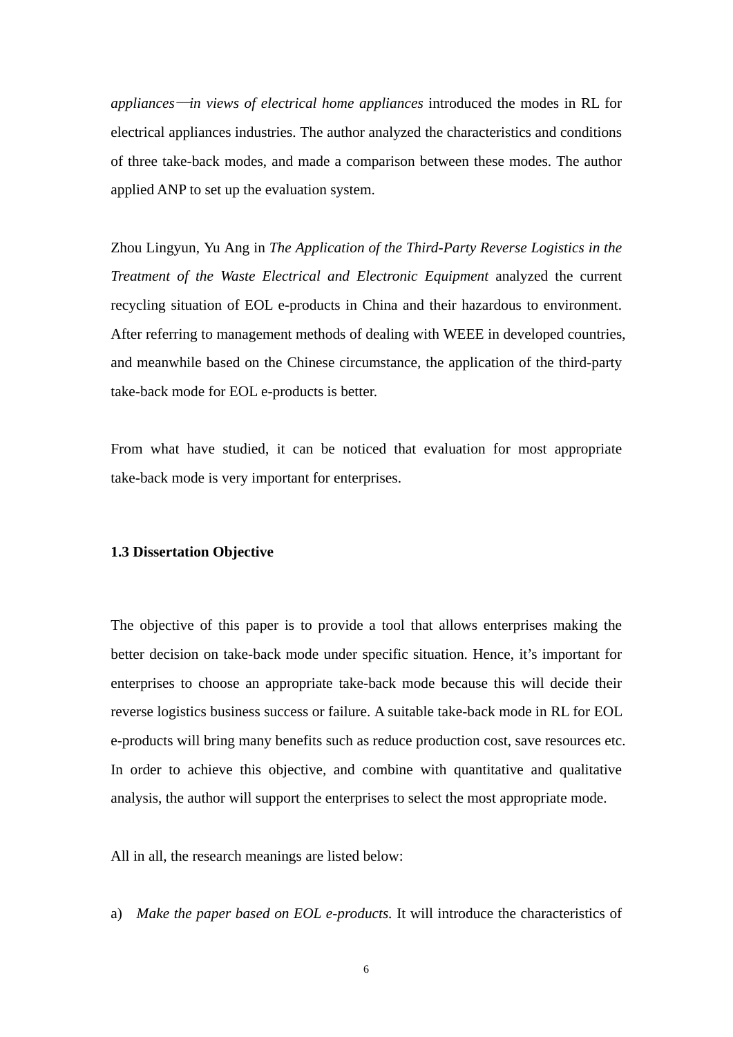<span id="page-15-0"></span>*appliances*—*in views of electrical home appliances* introduced the modes in RL for electrical appliances industries. The author analyzed the characteristics and conditions of three take-back modes, and made a comparison between these modes. The author applied ANP to set up the evaluation system.

Zhou Lingyun, Yu Ang in *The Application of the Third-Party Reverse Logistics in the Treatment of the Waste Electrical and Electronic Equipment* analyzed the current recycling situation of EOL e-products in China and their hazardous to environment. After referring to management methods of dealing with WEEE in developed countries, and meanwhile based on the Chinese circumstance, the application of the third-party take-back mode for EOL e-products is better.

From what have studied, it can be noticed that evaluation for most appropriate take-back mode is very important for enterprises.

#### **1.3 Dissertation Objective**

The objective of this paper is to provide a tool that allows enterprises making the better decision on take-back mode under specific situation. Hence, it's important for enterprises to choose an appropriate take-back mode because this will decide their reverse logistics business success or failure. A suitable take-back mode in RL for EOL e-products will bring many benefits such as reduce production cost, save resources etc. In order to achieve this objective, and combine with quantitative and qualitative analysis, the author will support the enterprises to select the most appropriate mode.

All in all, the research meanings are listed below:

a) *Make the paper based on EOL e-products.* It will introduce the characteristics of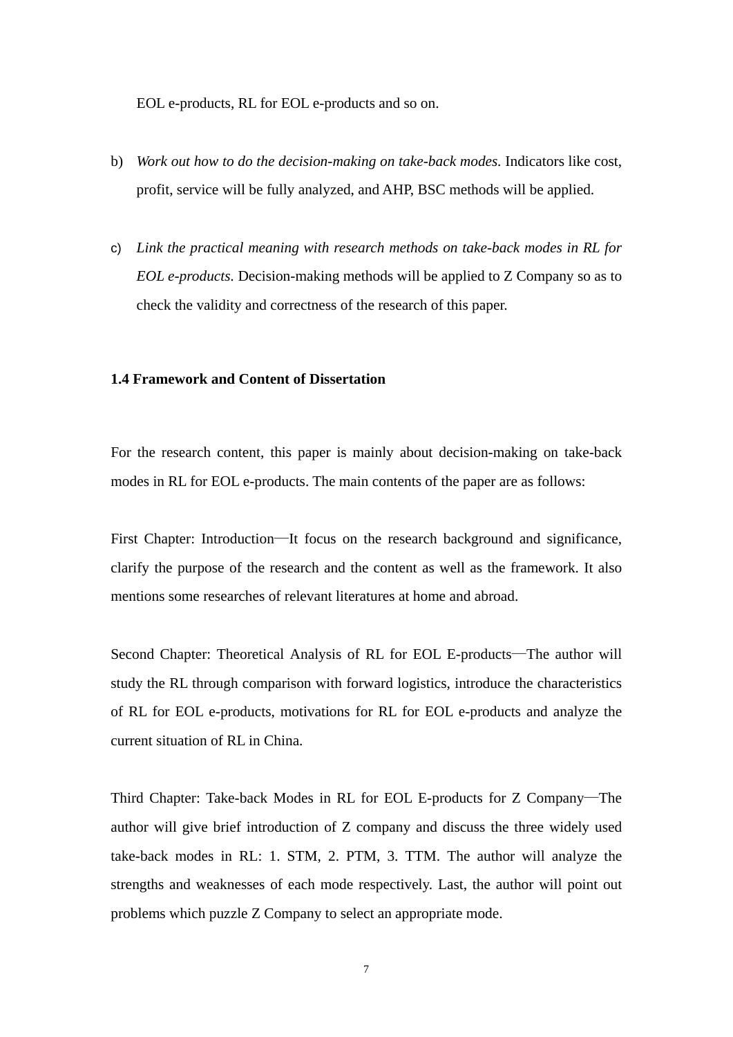<span id="page-16-0"></span>EOL e-products, RL for EOL e-products and so on.

- b) *Work out how to do the decision-making on take-back modes.* Indicators like cost, profit, service will be fully analyzed, and AHP, BSC methods will be applied.
- c) *Link the practical meaning with research methods on take-back modes in RL for EOL e-products.* Decision-making methods will be applied to Z Company so as to check the validity and correctness of the research of this paper.

#### **1.4 Framework and Content of Dissertation**

For the research content, this paper is mainly about decision-making on take-back modes in RL for EOL e-products. The main contents of the paper are as follows:

First Chapter: Introduction—It focus on the research background and significance, clarify the purpose of the research and the content as well as the framework. It also mentions some researches of relevant literatures at home and abroad.

Second Chapter: Theoretical Analysis of RL for EOL E-products—The author will study the RL through comparison with forward logistics, introduce the characteristics of RL for EOL e-products, motivations for RL for EOL e-products and analyze the current situation of RL in China.

Third Chapter: Take-back Modes in RL for EOL E-products for Z Company—The author will give brief introduction of Z company and discuss the three widely used take-back modes in RL: 1. STM, 2. PTM, 3. TTM. The author will analyze the strengths and weaknesses of each mode respectively. Last, the author will point out problems which puzzle Z Company to select an appropriate mode.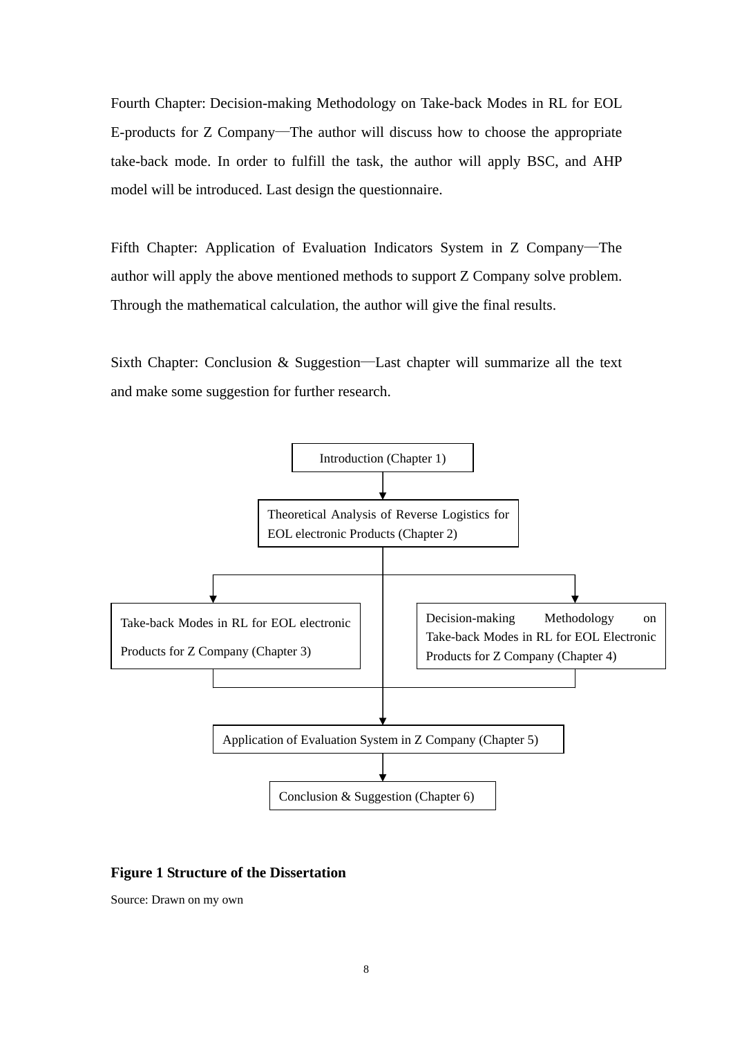<span id="page-17-0"></span>Fourth Chapter: Decision-making Methodology on Take-back Modes in RL for EOL E-products for Z Company—The author will discuss how to choose the appropriate take-back mode. In order to fulfill the task, the author will apply BSC, and AHP model will be introduced. Last design the questionnaire.

Fifth Chapter: Application of Evaluation Indicators System in Z Company—The author will apply the above mentioned methods to support Z Company solve problem. Through the mathematical calculation, the author will give the final results.

Sixth Chapter: Conclusion & Suggestion—Last chapter will summarize all the text and make some suggestion for further research.



#### **Figure 1 Structure of the Dissertation**

Source: Drawn on my own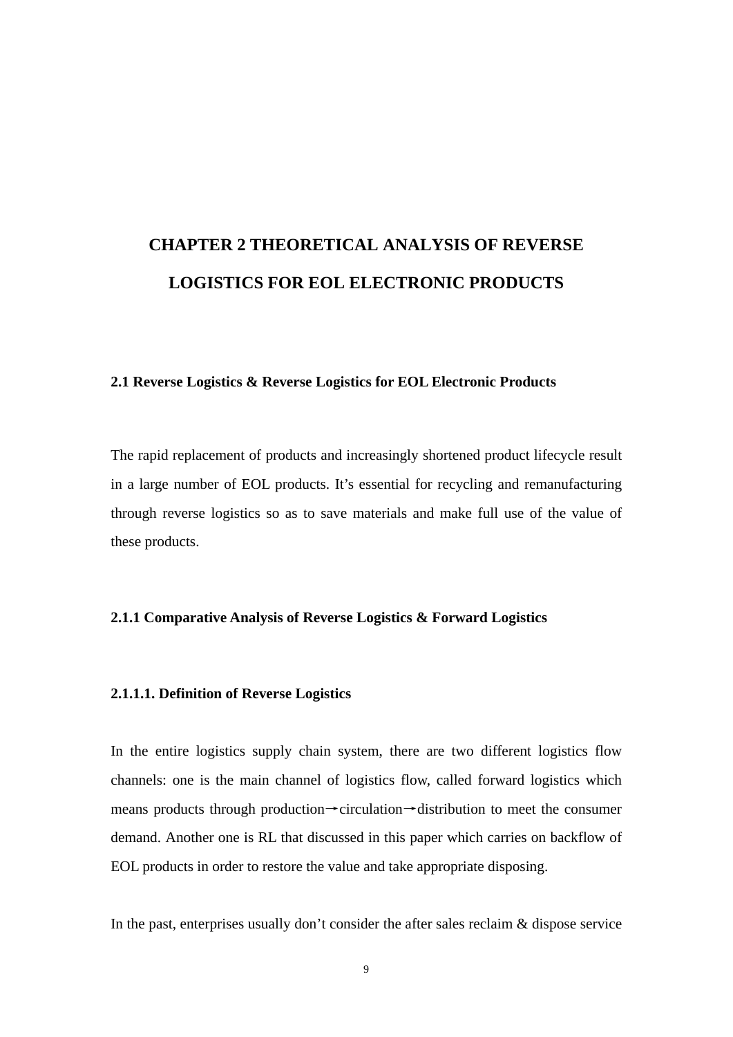# <span id="page-18-0"></span>**CHAPTER 2 THEORETICAL ANALYSIS OF REVERSE LOGISTICS FOR EOL ELECTRONIC PRODUCTS**

#### **2.1 Reverse Logistics & Reverse Logistics for EOL Electronic Products**

The rapid replacement of products and increasingly shortened product lifecycle result in a large number of EOL products. It's essential for recycling and remanufacturing through reverse logistics so as to save materials and make full use of the value of these products.

#### **2.1.1 Comparative Analysis of Reverse Logistics & Forward Logistics**

#### **2.1.1.1. Definition of Reverse Logistics**

In the entire logistics supply chain system, there are two different logistics flow channels: one is the main channel of logistics flow, called forward logistics which means products through production→circulation→distribution to meet the consumer demand. Another one is RL that discussed in this paper which carries on backflow of EOL products in order to restore the value and take appropriate disposing.

In the past, enterprises usually don't consider the after sales reclaim & dispose service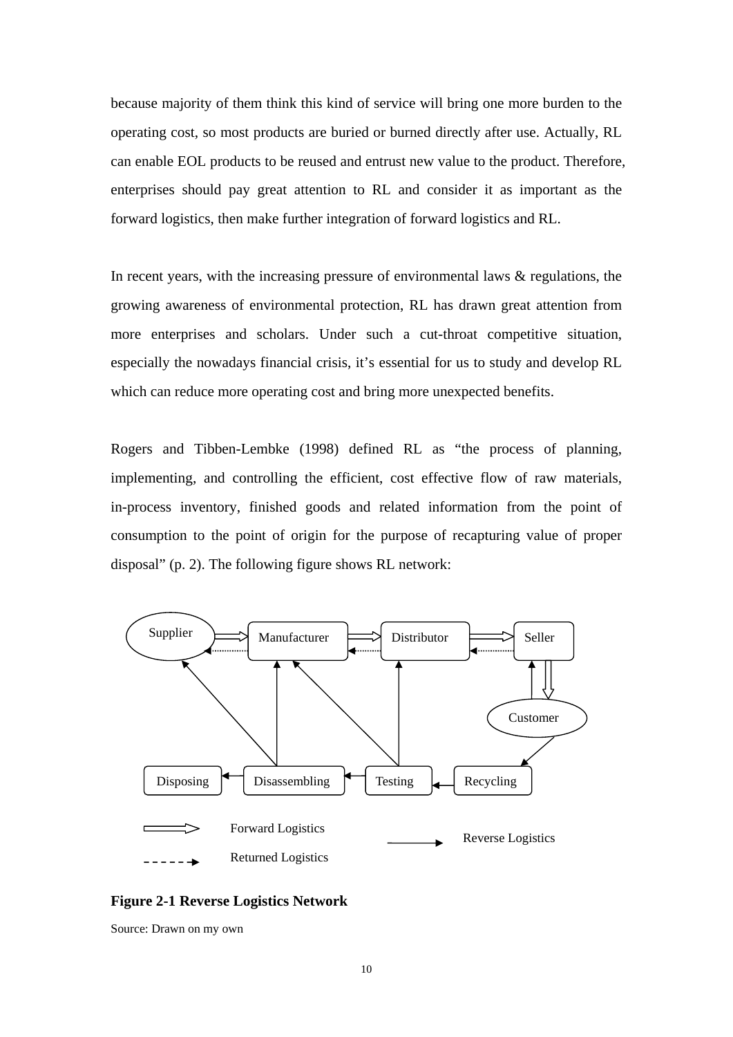<span id="page-19-0"></span>because majority of them think this kind of service will bring one more burden to the operating cost, so most products are buried or burned directly after use. Actually, RL can enable EOL products to be reused and entrust new value to the product. Therefore, enterprises should pay great attention to RL and consider it as important as the forward logistics, then make further integration of forward logistics and RL.

In recent years, with the increasing pressure of environmental laws  $\&$  regulations, the growing awareness of environmental protection, RL has drawn great attention from more enterprises and scholars. Under such a cut-throat competitive situation, especially the nowadays financial crisis, it's essential for us to study and develop RL which can reduce more operating cost and bring more unexpected benefits.

Rogers and Tibben-Lembke (1998) defined RL as "the process of planning, implementing, and controlling the efficient, cost effective flow of raw materials, in-process inventory, finished goods and related information from the point of consumption to the point of origin for the purpose of recapturing value of proper disposal" (p. 2). The following figure shows RL network:



**Figure 2-1 Reverse Logistics Network** 

Source: Drawn on my own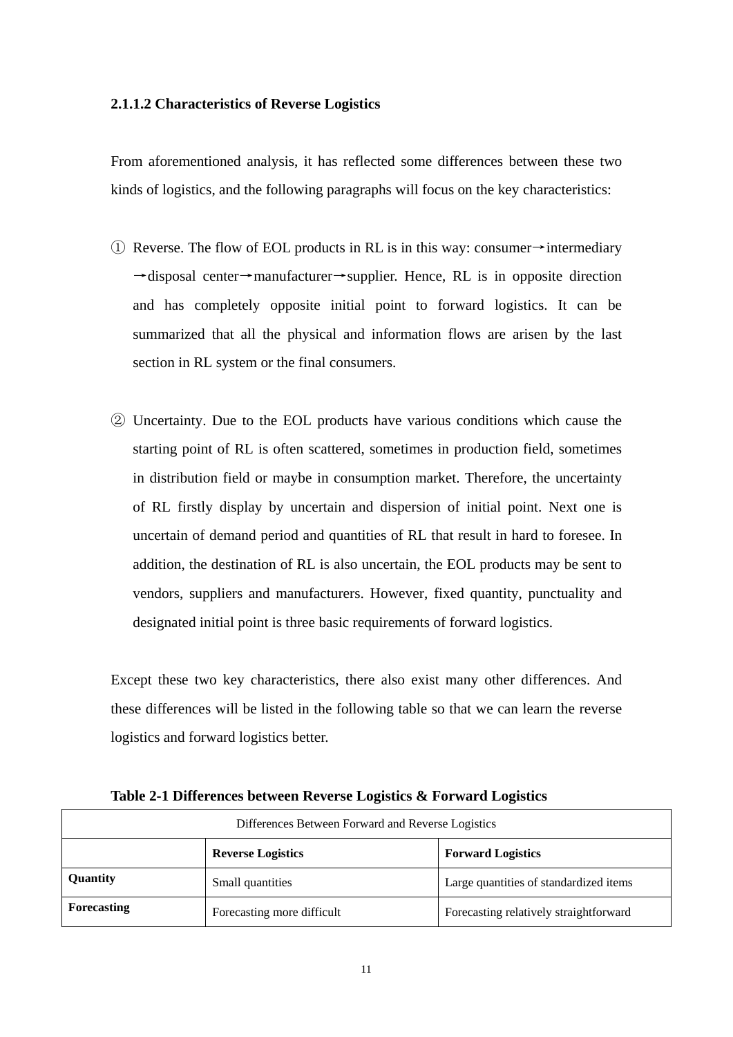#### <span id="page-20-0"></span>**2.1.1.2 Characteristics of Reverse Logistics**

From aforementioned analysis, it has reflected some differences between these two kinds of logistics, and the following paragraphs will focus on the key characteristics:

- $\overline{1}$  Reverse. The flow of EOL products in RL is in this way: consumer→intermediary →disposal center→manufacturer→supplier. Hence, RL is in opposite direction and has completely opposite initial point to forward logistics. It can be summarized that all the physical and information flows are arisen by the last section in RL system or the final consumers.
- ② Uncertainty. Due to the EOL products have various conditions which cause the starting point of RL is often scattered, sometimes in production field, sometimes in distribution field or maybe in consumption market. Therefore, the uncertainty of RL firstly display by uncertain and dispersion of initial point. Next one is uncertain of demand period and quantities of RL that result in hard to foresee. In addition, the destination of RL is also uncertain, the EOL products may be sent to vendors, suppliers and manufacturers. However, fixed quantity, punctuality and designated initial point is three basic requirements of forward logistics.

Except these two key characteristics, there also exist many other differences. And these differences will be listed in the following table so that we can learn the reverse logistics and forward logistics better.

| Differences Between Forward and Reverse Logistics    |                            |                                        |  |  |
|------------------------------------------------------|----------------------------|----------------------------------------|--|--|
| <b>Reverse Logistics</b><br><b>Forward Logistics</b> |                            |                                        |  |  |
| Quantity                                             | Small quantities           | Large quantities of standardized items |  |  |
| <b>Forecasting</b>                                   | Forecasting more difficult | Forecasting relatively straightforward |  |  |

**Table 2-1 Differences between Reverse Logistics & Forward Logistics**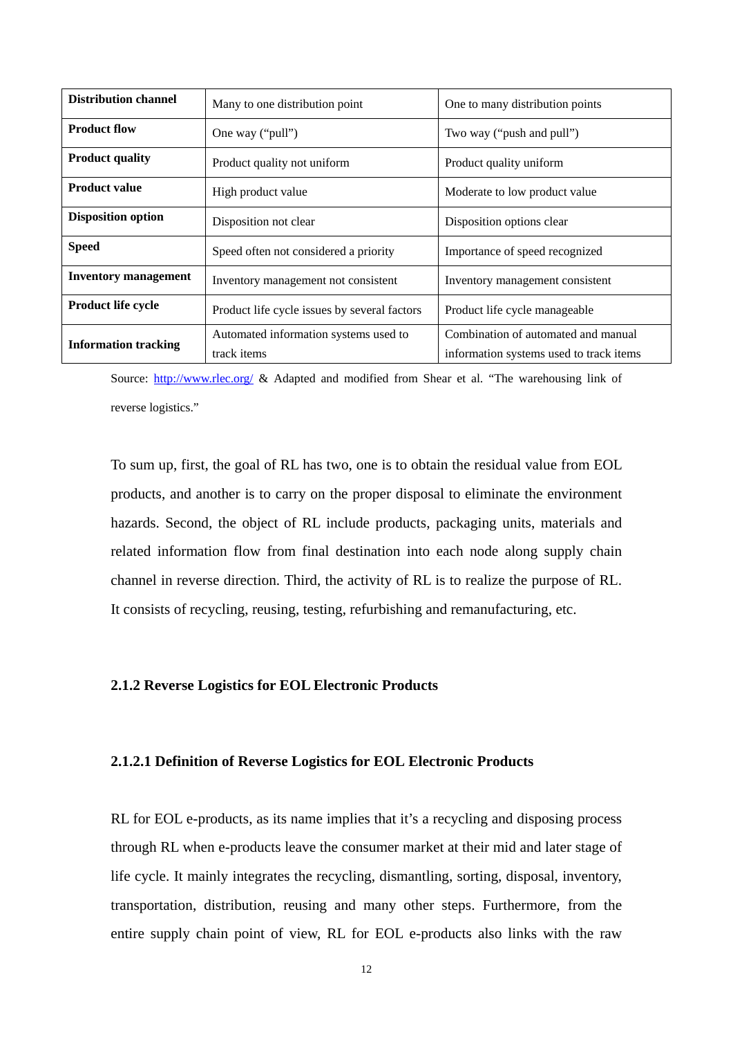<span id="page-21-0"></span>

| <b>Distribution channel</b> | Many to one distribution point                       | One to many distribution points                                                |  |
|-----------------------------|------------------------------------------------------|--------------------------------------------------------------------------------|--|
| <b>Product flow</b>         | One way ("pull")                                     | Two way ("push and pull")                                                      |  |
| <b>Product quality</b>      | Product quality not uniform                          | Product quality uniform                                                        |  |
| <b>Product value</b>        | High product value                                   | Moderate to low product value                                                  |  |
| <b>Disposition option</b>   | Disposition not clear                                | Disposition options clear                                                      |  |
| <b>Speed</b>                | Speed often not considered a priority                | Importance of speed recognized                                                 |  |
| Inventory management        | Inventory management not consistent                  | Inventory management consistent                                                |  |
| <b>Product life cycle</b>   | Product life cycle issues by several factors         | Product life cycle manageable                                                  |  |
| <b>Information tracking</b> | Automated information systems used to<br>track items | Combination of automated and manual<br>information systems used to track items |  |

Source: <http://www.rlec.org/>& Adapted and modified from Shear et al. "The warehousing link of reverse logistics."

To sum up, first, the goal of RL has two, one is to obtain the residual value from EOL products, and another is to carry on the proper disposal to eliminate the environment hazards. Second, the object of RL include products, packaging units, materials and related information flow from final destination into each node along supply chain channel in reverse direction. Third, the activity of RL is to realize the purpose of RL. It consists of recycling, reusing, testing, refurbishing and remanufacturing, etc.

#### **2.1.2 Reverse Logistics for EOL Electronic Products**

#### **2.1.2.1 Definition of Reverse Logistics for EOL Electronic Products**

RL for EOL e-products, as its name implies that it's a recycling and disposing process through RL when e-products leave the consumer market at their mid and later stage of life cycle. It mainly integrates the recycling, dismantling, sorting, disposal, inventory, transportation, distribution, reusing and many other steps. Furthermore, from the entire supply chain point of view, RL for EOL e-products also links with the raw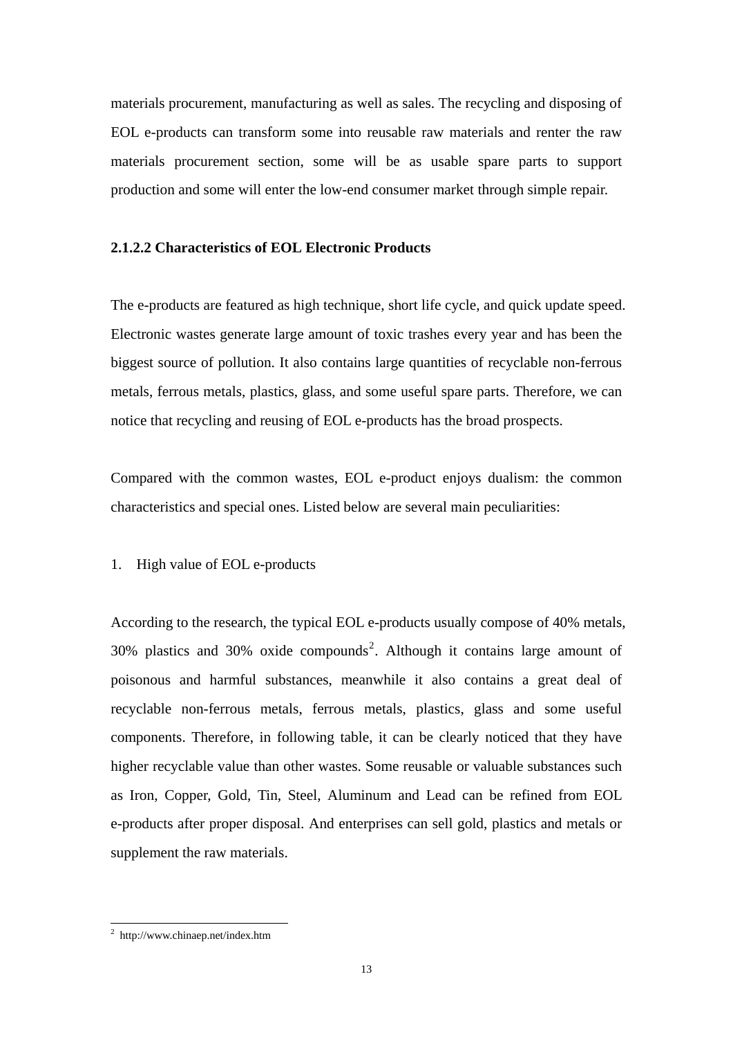materials procurement, manufacturing as well as sales. The recycling and disposing of EOL e-products can transform some into reusable raw materials and renter the raw materials procurement section, some will be as usable spare parts to support production and some will enter the low-end consumer market through simple repair.

#### **2.1.2.2 Characteristics of EOL Electronic Products**

The e-products are featured as high technique, short life cycle, and quick update speed. Electronic wastes generate large amount of toxic trashes every year and has been the biggest source of pollution. It also contains large quantities of recyclable non-ferrous metals, ferrous metals, plastics, glass, and some useful spare parts. Therefore, we can notice that recycling and reusing of EOL e-products has the broad prospects.

Compared with the common wastes, EOL e-product enjoys dualism: the common characteristics and special ones. Listed below are several main peculiarities:

#### 1. High value of EOL e-products

According to the research, the typical EOL e-products usually compose of 40% metals, 30% plastics and 30% oxide compounds<sup>[2](#page-22-0)</sup>. Although it contains large amount of poisonous and harmful substances, meanwhile it also contains a great deal of recyclable non-ferrous metals, ferrous metals, plastics, glass and some useful components. Therefore, in following table, it can be clearly noticed that they have higher recyclable value than other wastes. Some reusable or valuable substances such as Iron, Copper, Gold, Tin, Steel, Aluminum and Lead can be refined from EOL e-products after proper disposal. And enterprises can sell gold, plastics and metals or supplement the raw materials.

<u>.</u>

<span id="page-22-0"></span><sup>2</sup> http://www.chinaep.net/index.htm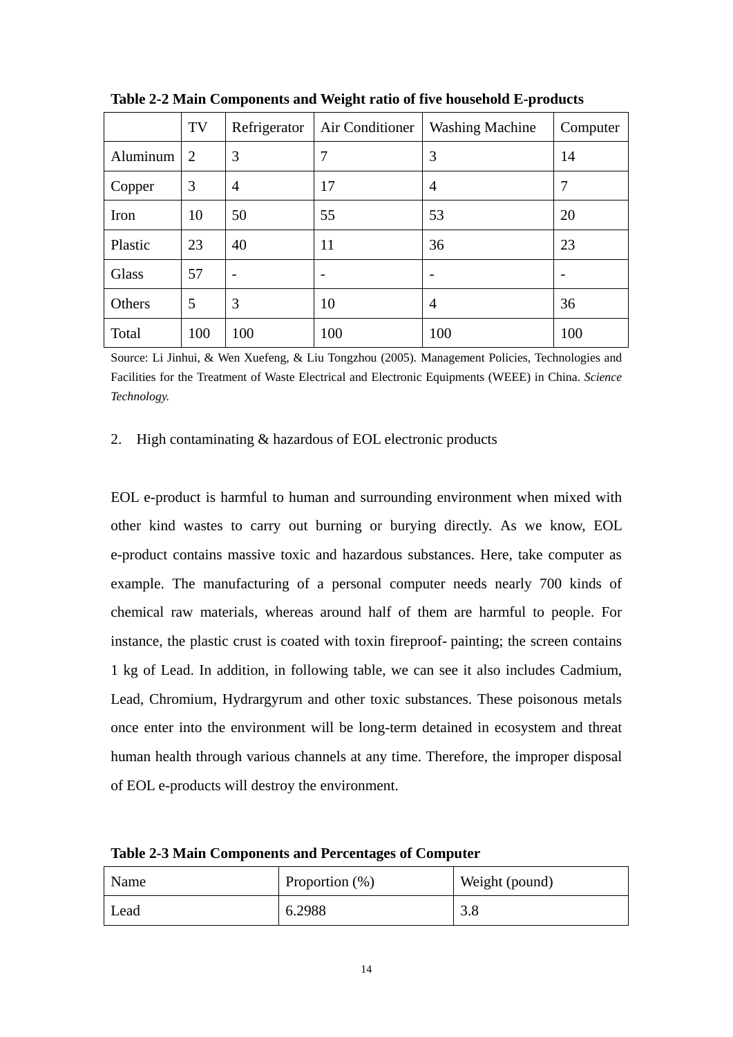|          | TV             | Refrigerator   | Air Conditioner | <b>Washing Machine</b> | Computer                 |
|----------|----------------|----------------|-----------------|------------------------|--------------------------|
| Aluminum | $\overline{2}$ | 3              | 7               | 3                      | 14                       |
| Copper   | 3              | $\overline{4}$ | 17              | 4                      | 7                        |
| Iron     | 10             | 50             | 55              | 53                     | 20                       |
| Plastic  | 23             | 40             | 11              | 36                     | 23                       |
| Glass    | 57             |                |                 |                        | $\overline{\phantom{0}}$ |
| Others   | 5              | 3              | 10              | $\overline{4}$         | 36                       |
| Total    | 100            | 100            | 100             | 100                    | 100                      |

<span id="page-23-0"></span>**Table 2-2 Main Components and Weight ratio of five household E-products** 

Source: Li Jinhui, & Wen Xuefeng, & Liu Tongzhou (2005). Management Policies, Technologies and Facilities for the Treatment of Waste Electrical and Electronic Equipments (WEEE) in China. *Science Technology.* 

#### 2. High contaminating & hazardous of EOL electronic products

EOL e-product is harmful to human and surrounding environment when mixed with other kind wastes to carry out burning or burying directly. As we know, EOL e-product contains massive toxic and hazardous substances. Here, take computer as example. The manufacturing of a personal computer needs nearly 700 kinds of chemical raw materials, whereas around half of them are harmful to people. For instance, the plastic crust is coated with toxin fireproof- painting; the screen contains 1 kg of Lead. In addition, in following table, we can see it also includes Cadmium, Lead, Chromium, Hydrargyrum and other toxic substances. These poisonous metals once enter into the environment will be long-term detained in ecosystem and threat human health through various channels at any time. Therefore, the improper disposal of EOL e-products will destroy the environment.

**Table 2-3 Main Components and Percentages of Computer** 

| Name | Proportion $(\%)$ | Weight (pound) |  |
|------|-------------------|----------------|--|
| Lead | 6.2988            | 2 Q<br>3.0     |  |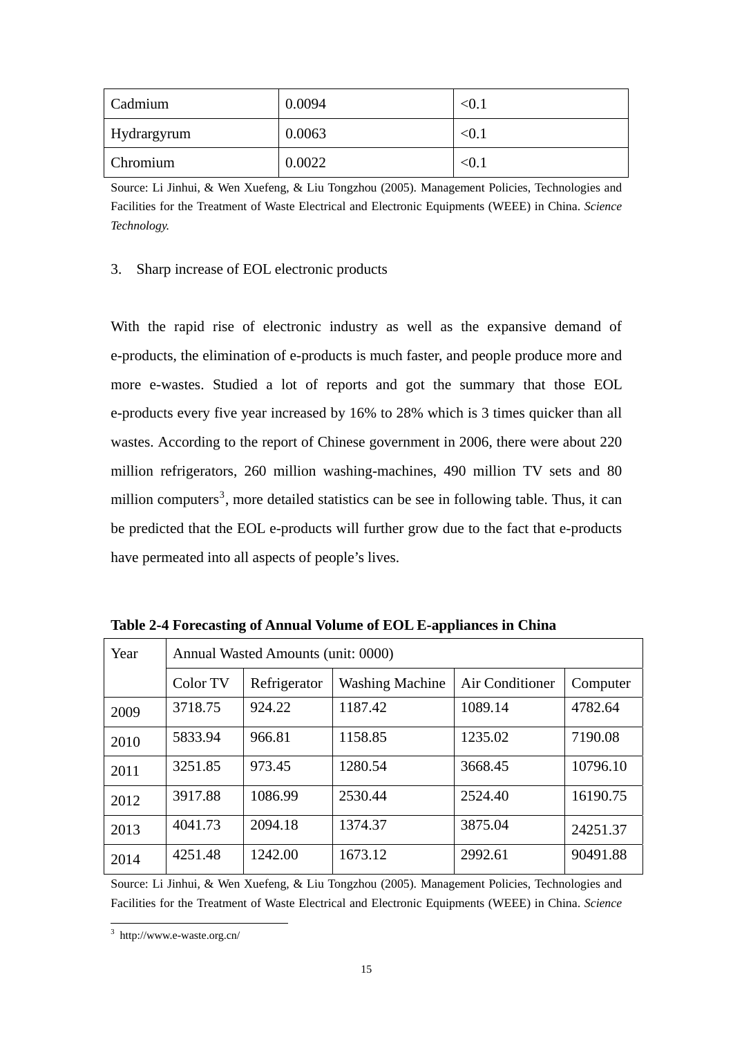<span id="page-24-0"></span>

| Cadmium     | 0.0094 | < 0.1        |
|-------------|--------|--------------|
| Hydrargyrum | 0.0063 | $< \!\! 0.1$ |
| Chromium    | 0.0022 | $< \! 0.1$   |

Source: Li Jinhui, & Wen Xuefeng, & Liu Tongzhou (2005). Management Policies, Technologies and Facilities for the Treatment of Waste Electrical and Electronic Equipments (WEEE) in China. *Science Technology.* 

#### 3. Sharp increase of EOL electronic products

With the rapid rise of electronic industry as well as the expansive demand of e-products, the elimination of e-products is much faster, and people produce more and more e-wastes. Studied a lot of reports and got the summary that those EOL e-products every five year increased by 16% to 28% which is 3 times quicker than all wastes. According to the report of Chinese government in 2006, there were about 220 million refrigerators, 260 million washing-machines, 490 million TV sets and 80 million computers<sup>[3](#page-24-1)</sup>, more detailed statistics can be see in following table. Thus, it can be predicted that the EOL e-products will further grow due to the fact that e-products have permeated into all aspects of people's lives.

| Year | Annual Wasted Amounts (unit: 0000) |              |                        |                 |          |
|------|------------------------------------|--------------|------------------------|-----------------|----------|
|      | Color TV                           | Refrigerator | <b>Washing Machine</b> | Air Conditioner | Computer |
| 2009 | 3718.75                            | 924.22       | 1187.42                | 1089.14         | 4782.64  |
| 2010 | 5833.94                            | 966.81       | 1158.85                | 1235.02         | 7190.08  |
| 2011 | 3251.85                            | 973.45       | 1280.54                | 3668.45         | 10796.10 |
| 2012 | 3917.88                            | 1086.99      | 2530.44                | 2524.40         | 16190.75 |
| 2013 | 4041.73                            | 2094.18      | 1374.37                | 3875.04         | 24251.37 |
| 2014 | 4251.48                            | 1242.00      | 1673.12                | 2992.61         | 90491.88 |

**Table 2-4 Forecasting of Annual Volume of EOL E-appliances in China** 

Source: Li Jinhui, & Wen Xuefeng, & Liu Tongzhou (2005). Management Policies, Technologies and Facilities for the Treatment of Waste Electrical and Electronic Equipments (WEEE) in China. *Science* 

<span id="page-24-1"></span> 3 http://www.e-waste.org.cn/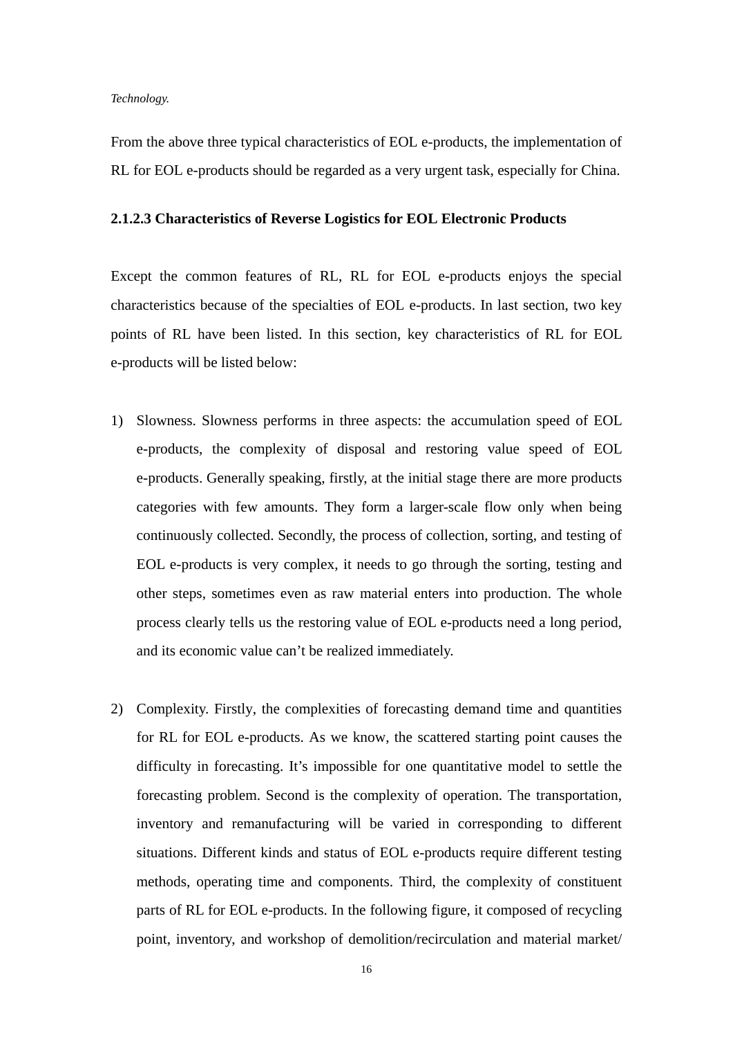#### *Technology.*

From the above three typical characteristics of EOL e-products, the implementation of RL for EOL e-products should be regarded as a very urgent task, especially for China.

#### **2.1.2.3 Characteristics of Reverse Logistics for EOL Electronic Products**

Except the common features of RL, RL for EOL e-products enjoys the special characteristics because of the specialties of EOL e-products. In last section, two key points of RL have been listed. In this section, key characteristics of RL for EOL e-products will be listed below:

- 1) Slowness. Slowness performs in three aspects: the accumulation speed of EOL e-products, the complexity of disposal and restoring value speed of EOL e-products. Generally speaking, firstly, at the initial stage there are more products categories with few amounts. They form a larger-scale flow only when being continuously collected. Secondly, the process of collection, sorting, and testing of EOL e-products is very complex, it needs to go through the sorting, testing and other steps, sometimes even as raw material enters into production. The whole process clearly tells us the restoring value of EOL e-products need a long period, and its economic value can't be realized immediately.
- 2) Complexity. Firstly, the complexities of forecasting demand time and quantities for RL for EOL e-products. As we know, the scattered starting point causes the difficulty in forecasting. It's impossible for one quantitative model to settle the forecasting problem. Second is the complexity of operation. The transportation, inventory and remanufacturing will be varied in corresponding to different situations. Different kinds and status of EOL e-products require different testing methods, operating time and components. Third, the complexity of constituent parts of RL for EOL e-products. In the following figure, it composed of recycling point, inventory, and workshop of demolition/recirculation and material market/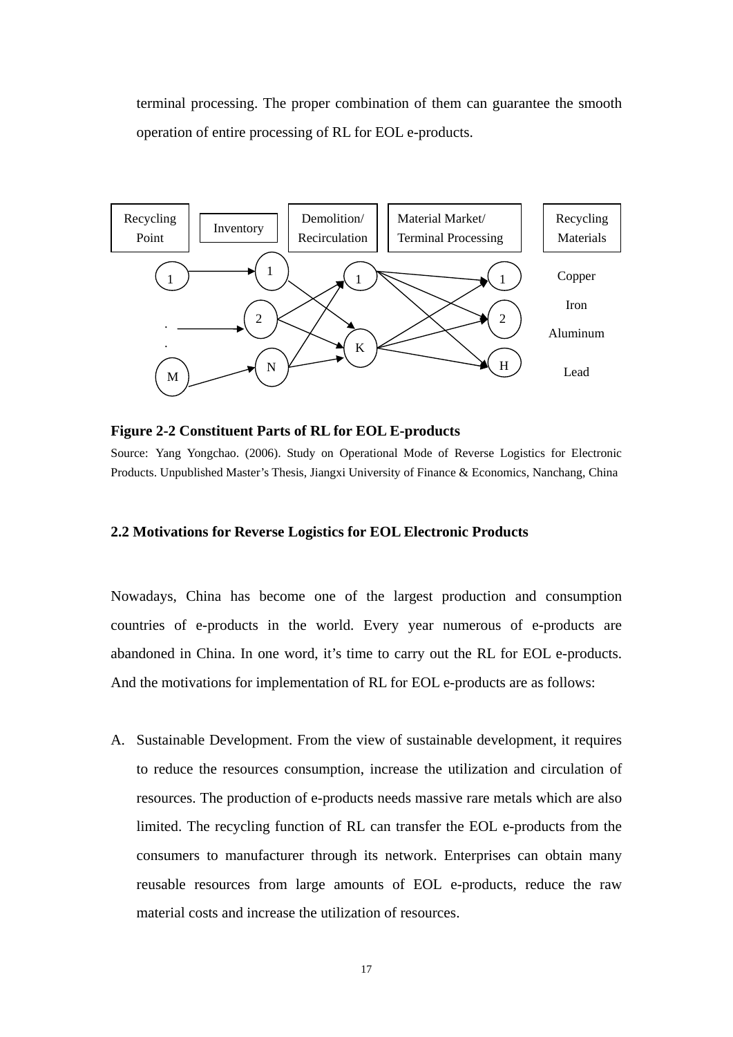<span id="page-26-0"></span>terminal processing. The proper combination of them can guarantee the smooth operation of entire processing of RL for EOL e-products.



**Figure 2-2 Constituent Parts of RL for EOL E-products** 

Source: Yang Yongchao. (2006). Study on Operational Mode of Reverse Logistics for Electronic Products. Unpublished Master's Thesis, Jiangxi University of Finance & Economics, Nanchang, China

#### **2.2 Motivations for Reverse Logistics for EOL Electronic Products**

Nowadays, China has become one of the largest production and consumption countries of e-products in the world. Every year numerous of e-products are abandoned in China. In one word, it's time to carry out the RL for EOL e-products. And the motivations for implementation of RL for EOL e-products are as follows:

A. Sustainable Development. From the view of sustainable development, it requires to reduce the resources consumption, increase the utilization and circulation of resources. The production of e-products needs massive rare metals which are also limited. The recycling function of RL can transfer the EOL e-products from the consumers to manufacturer through its network. Enterprises can obtain many reusable resources from large amounts of EOL e-products, reduce the raw material costs and increase the utilization of resources.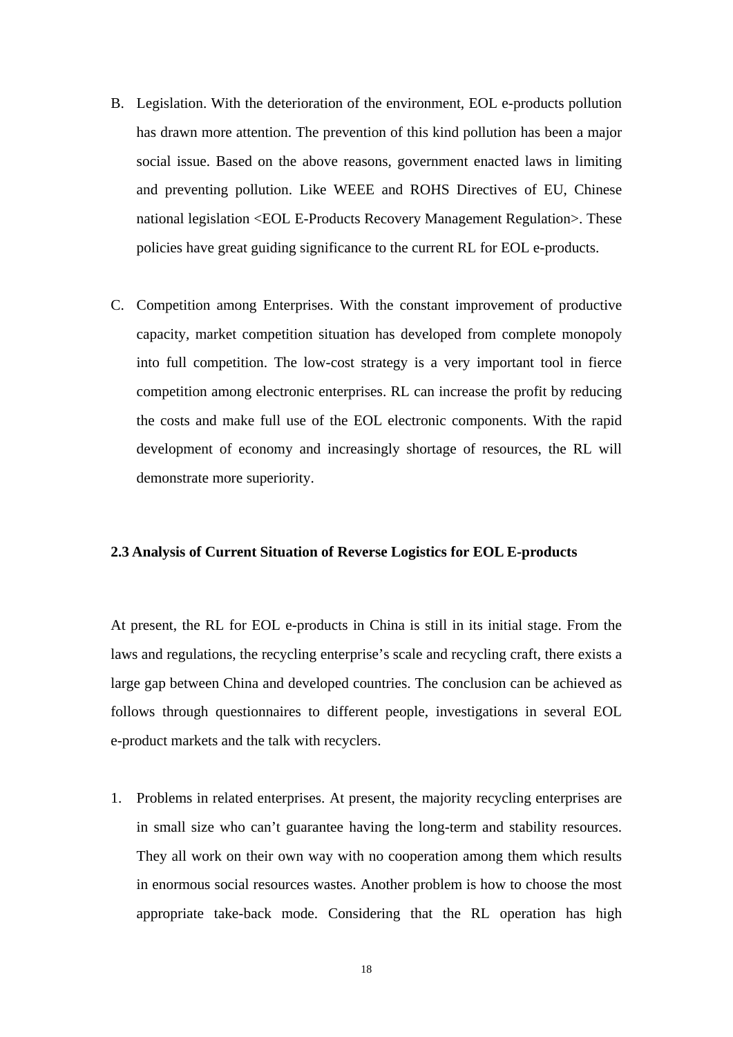- <span id="page-27-0"></span>B. Legislation. With the deterioration of the environment, EOL e-products pollution has drawn more attention. The prevention of this kind pollution has been a major social issue. Based on the above reasons, government enacted laws in limiting and preventing pollution. Like WEEE and ROHS Directives of EU, Chinese national legislation <EOL E-Products Recovery Management Regulation>. These policies have great guiding significance to the current RL for EOL e-products.
- C. Competition among Enterprises. With the constant improvement of productive capacity, market competition situation has developed from complete monopoly into full competition. The low-cost strategy is a very important tool in fierce competition among electronic enterprises. RL can increase the profit by reducing the costs and make full use of the EOL electronic components. With the rapid development of economy and increasingly shortage of resources, the RL will demonstrate more superiority.

#### **2.3 Analysis of Current Situation of Reverse Logistics for EOL E-products**

At present, the RL for EOL e-products in China is still in its initial stage. From the laws and regulations, the recycling enterprise's scale and recycling craft, there exists a large gap between China and developed countries. The conclusion can be achieved as follows through questionnaires to different people, investigations in several EOL e-product markets and the talk with recyclers.

1. Problems in related enterprises. At present, the majority recycling enterprises are in small size who can't guarantee having the long-term and stability resources. They all work on their own way with no cooperation among them which results in enormous social resources wastes. Another problem is how to choose the most appropriate take-back mode. Considering that the RL operation has high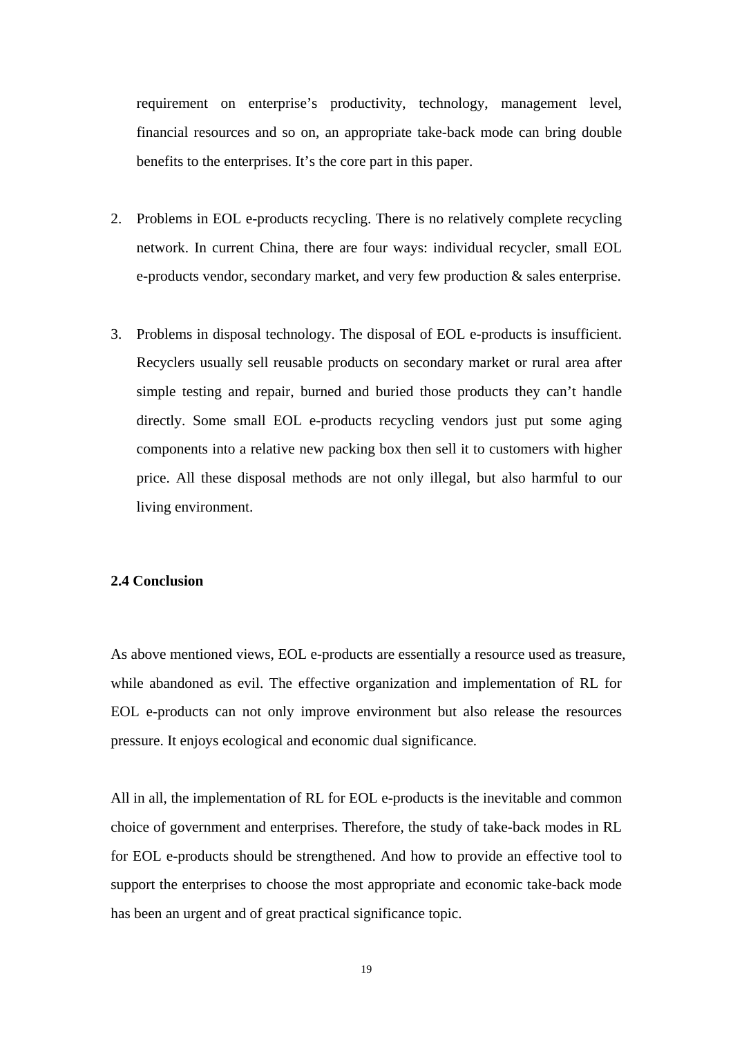<span id="page-28-0"></span>requirement on enterprise's productivity, technology, management level, financial resources and so on, an appropriate take-back mode can bring double benefits to the enterprises. It's the core part in this paper.

- 2. Problems in EOL e-products recycling. There is no relatively complete recycling network. In current China, there are four ways: individual recycler, small EOL e-products vendor, secondary market, and very few production & sales enterprise.
- 3. Problems in disposal technology. The disposal of EOL e-products is insufficient. Recyclers usually sell reusable products on secondary market or rural area after simple testing and repair, burned and buried those products they can't handle directly. Some small EOL e-products recycling vendors just put some aging components into a relative new packing box then sell it to customers with higher price. All these disposal methods are not only illegal, but also harmful to our living environment.

#### **2.4 Conclusion**

As above mentioned views, EOL e-products are essentially a resource used as treasure, while abandoned as evil. The effective organization and implementation of RL for EOL e-products can not only improve environment but also release the resources pressure. It enjoys ecological and economic dual significance.

All in all, the implementation of RL for EOL e-products is the inevitable and common choice of government and enterprises. Therefore, the study of take-back modes in RL for EOL e-products should be strengthened. And how to provide an effective tool to support the enterprises to choose the most appropriate and economic take-back mode has been an urgent and of great practical significance topic.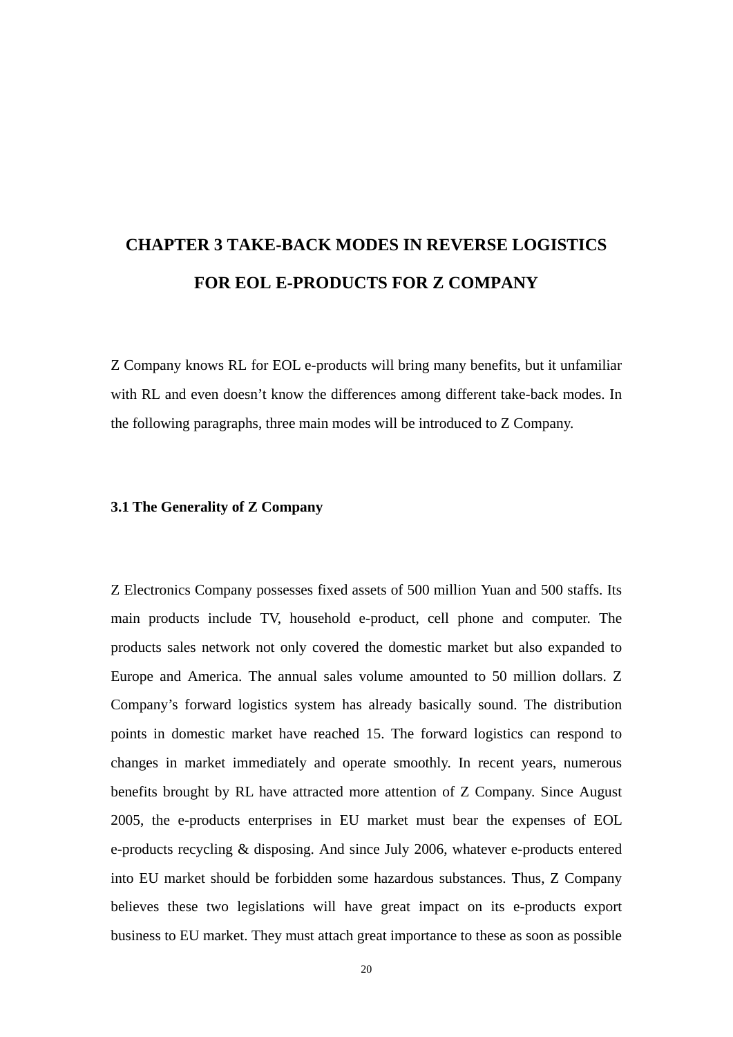# <span id="page-29-0"></span>**CHAPTER 3 TAKE-BACK MODES IN REVERSE LOGISTICS FOR EOL E-PRODUCTS FOR Z COMPANY**

Z Company knows RL for EOL e-products will bring many benefits, but it unfamiliar with RL and even doesn't know the differences among different take-back modes. In the following paragraphs, three main modes will be introduced to Z Company.

#### **3.1 The Generality of Z Company**

Z Electronics Company possesses fixed assets of 500 million Yuan and 500 staffs. Its main products include TV, household e-product, cell phone and computer. The products sales network not only covered the domestic market but also expanded to Europe and America. The annual sales volume amounted to 50 million dollars. Z Company's forward logistics system has already basically sound. The distribution points in domestic market have reached 15. The forward logistics can respond to changes in market immediately and operate smoothly. In recent years, numerous benefits brought by RL have attracted more attention of Z Company. Since August 2005, the e-products enterprises in EU market must bear the expenses of EOL e-products recycling & disposing. And since July 2006, whatever e-products entered into EU market should be forbidden some hazardous substances. Thus, Z Company believes these two legislations will have great impact on its e-products export business to EU market. They must attach great importance to these as soon as possible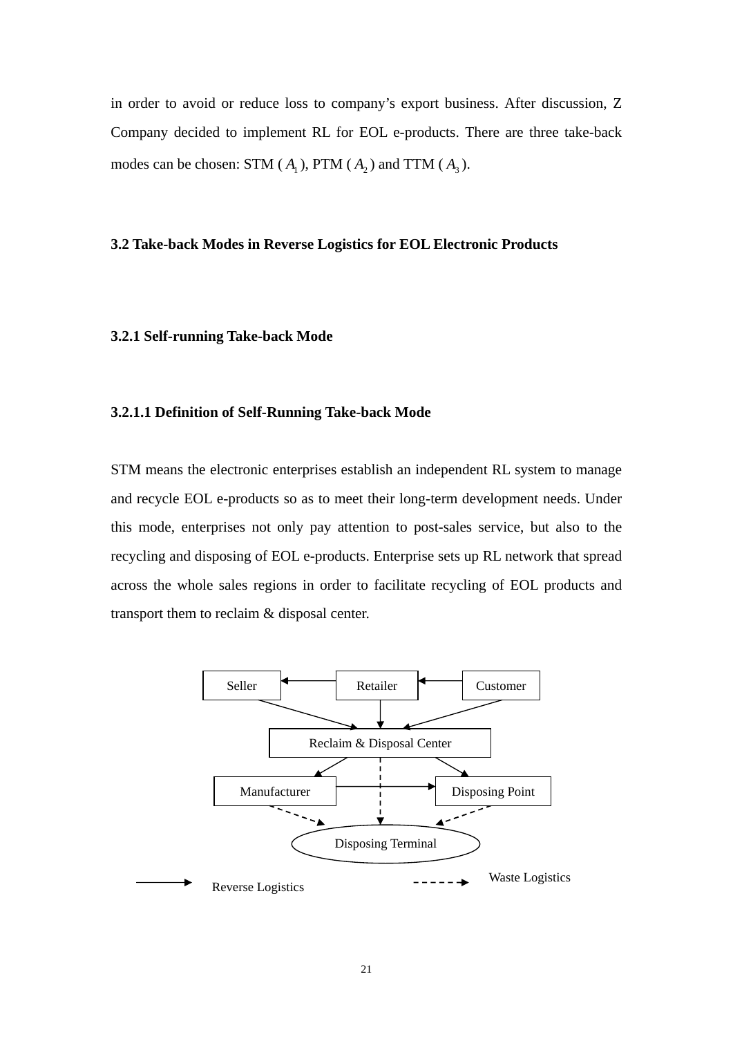<span id="page-30-0"></span>in order to avoid or reduce loss to company's export business. After discussion, Z Company decided to implement RL for EOL e-products. There are three take-back modes can be chosen: STM  $(A_1)$ , PTM  $(A_2)$  and TTM  $(A_3)$ .

#### **3.2 Take-back Modes in Reverse Logistics for EOL Electronic Products**

#### **3.2.1 Self-running Take-back Mode**

#### **3.2.1.1 Definition of Self-Running Take-back Mode**

STM means the electronic enterprises establish an independent RL system to manage and recycle EOL e-products so as to meet their long-term development needs. Under this mode, enterprises not only pay attention to post-sales service, but also to the recycling and disposing of EOL e-products. Enterprise sets up RL network that spread across the whole sales regions in order to facilitate recycling of EOL products and transport them to reclaim & disposal center.

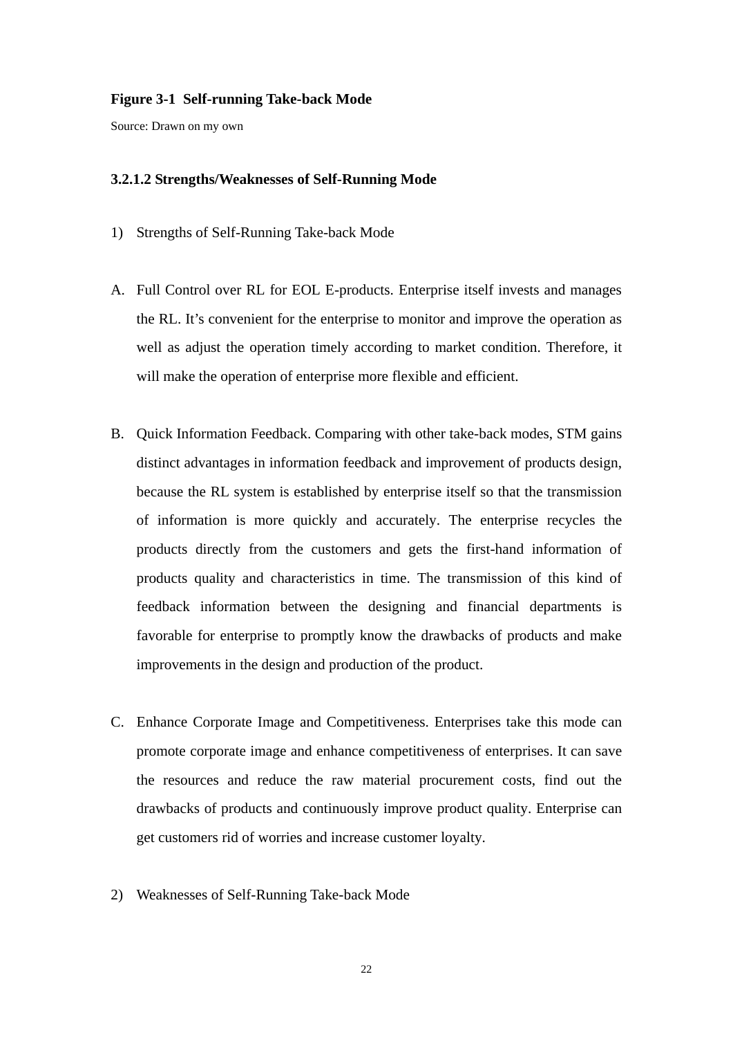#### <span id="page-31-0"></span>**Figure 3-1 Self-running Take-back Mode**

Source: Drawn on my own

#### **3.2.1.2 Strengths/Weaknesses of Self-Running Mode**

- 1) Strengths of Self-Running Take-back Mode
- A. Full Control over RL for EOL E-products. Enterprise itself invests and manages the RL. It's convenient for the enterprise to monitor and improve the operation as well as adjust the operation timely according to market condition. Therefore, it will make the operation of enterprise more flexible and efficient.
- B. Quick Information Feedback. Comparing with other take-back modes, STM gains distinct advantages in information feedback and improvement of products design, because the RL system is established by enterprise itself so that the transmission of information is more quickly and accurately. The enterprise recycles the products directly from the customers and gets the first-hand information of products quality and characteristics in time. The transmission of this kind of feedback information between the designing and financial departments is favorable for enterprise to promptly know the drawbacks of products and make improvements in the design and production of the product.
- C. Enhance Corporate Image and Competitiveness. Enterprises take this mode can promote corporate image and enhance competitiveness of enterprises. It can save the resources and reduce the raw material procurement costs, find out the drawbacks of products and continuously improve product quality. Enterprise can get customers rid of worries and increase customer loyalty.
- 2) Weaknesses of Self-Running Take-back Mode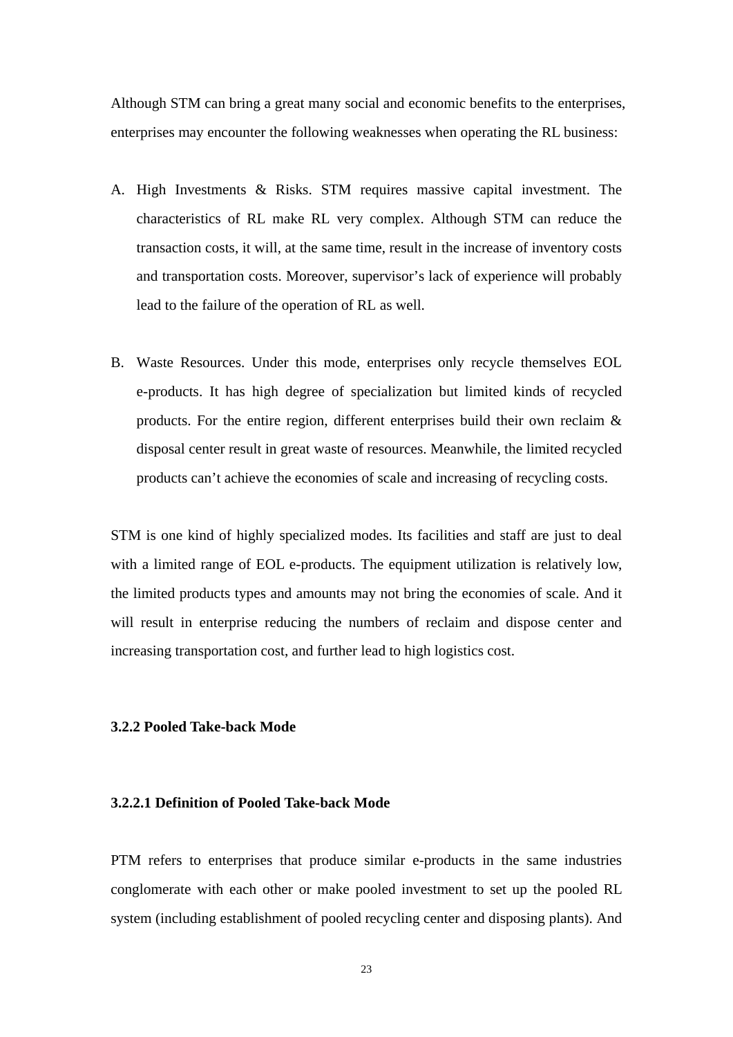<span id="page-32-0"></span>Although STM can bring a great many social and economic benefits to the enterprises, enterprises may encounter the following weaknesses when operating the RL business:

- A. High Investments & Risks. STM requires massive capital investment. The characteristics of RL make RL very complex. Although STM can reduce the transaction costs, it will, at the same time, result in the increase of inventory costs and transportation costs. Moreover, supervisor's lack of experience will probably lead to the failure of the operation of RL as well.
- B. Waste Resources. Under this mode, enterprises only recycle themselves EOL e-products. It has high degree of specialization but limited kinds of recycled products. For the entire region, different enterprises build their own reclaim & disposal center result in great waste of resources. Meanwhile, the limited recycled products can't achieve the economies of scale and increasing of recycling costs.

STM is one kind of highly specialized modes. Its facilities and staff are just to deal with a limited range of EOL e-products. The equipment utilization is relatively low, the limited products types and amounts may not bring the economies of scale. And it will result in enterprise reducing the numbers of reclaim and dispose center and increasing transportation cost, and further lead to high logistics cost.

#### **3.2.2 Pooled Take-back Mode**

#### **3.2.2.1 Definition of Pooled Take-back Mode**

PTM refers to enterprises that produce similar e-products in the same industries conglomerate with each other or make pooled investment to set up the pooled RL system (including establishment of pooled recycling center and disposing plants). And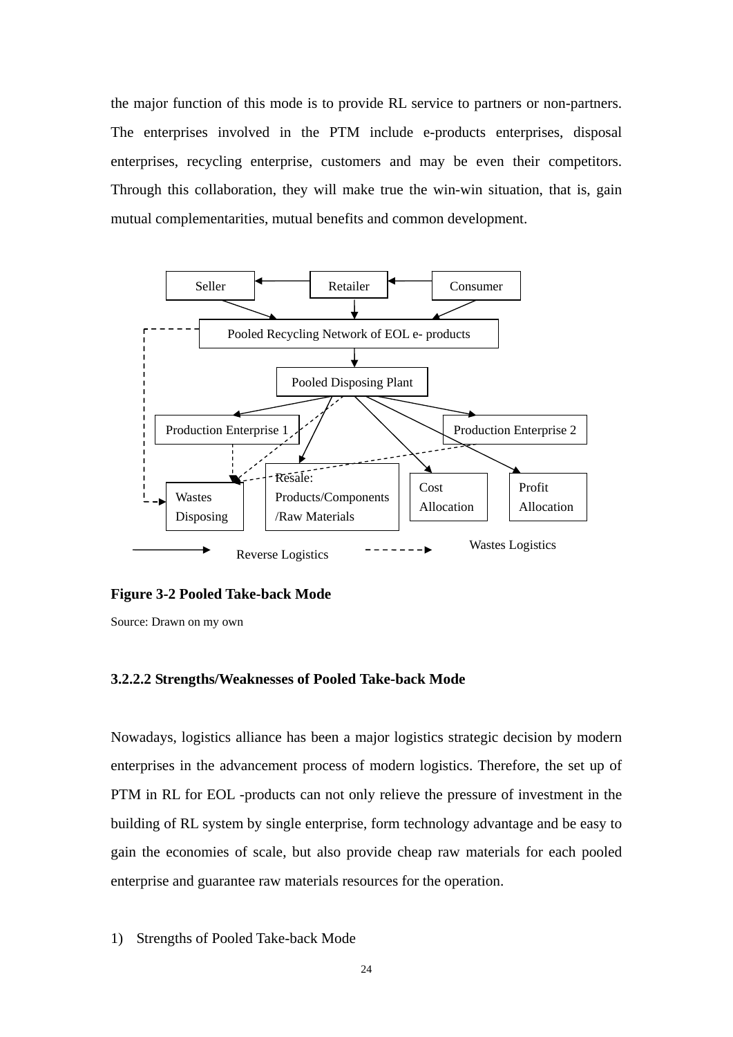<span id="page-33-0"></span>the major function of this mode is to provide RL service to partners or non-partners. The enterprises involved in the PTM include e-products enterprises, disposal enterprises, recycling enterprise, customers and may be even their competitors. Through this collaboration, they will make true the win-win situation, that is, gain mutual complementarities, mutual benefits and common development.



#### **Figure 3-2 Pooled Take-back Mode**

Source: Drawn on my own

#### **3.2.2.2 Strengths/Weaknesses of Pooled Take-back Mode**

Nowadays, logistics alliance has been a major logistics strategic decision by modern enterprises in the advancement process of modern logistics. Therefore, the set up of PTM in RL for EOL -products can not only relieve the pressure of investment in the building of RL system by single enterprise, form technology advantage and be easy to gain the economies of scale, but also provide cheap raw materials for each pooled enterprise and guarantee raw materials resources for the operation.

1) Strengths of Pooled Take-back Mode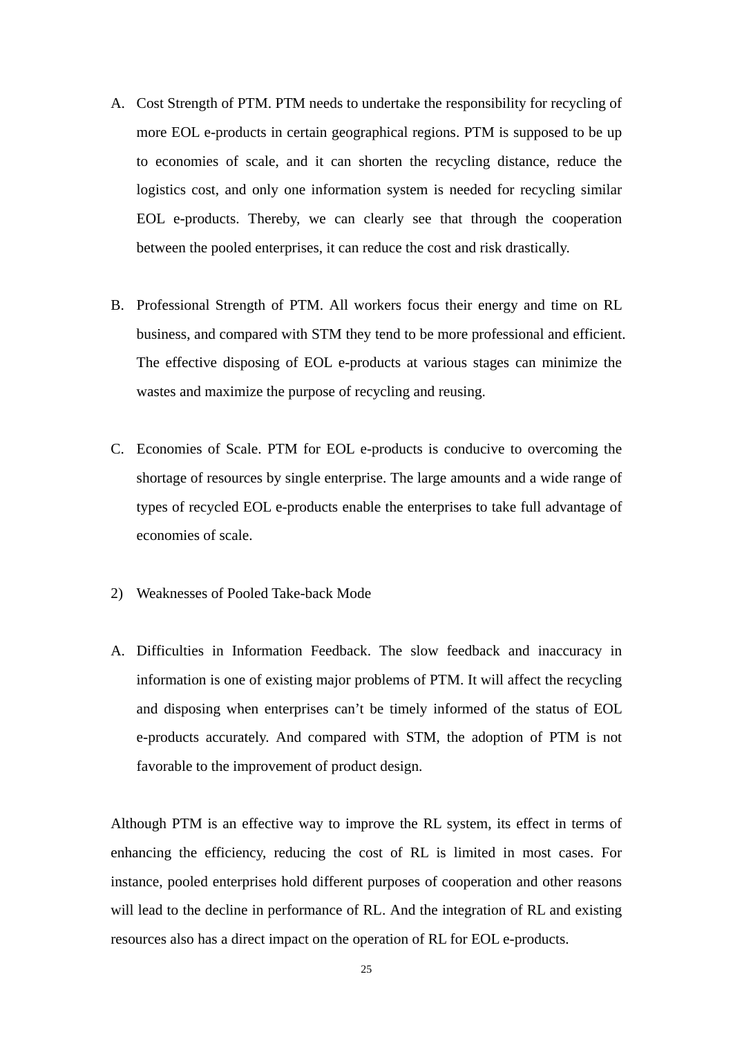- A. Cost Strength of PTM. PTM needs to undertake the responsibility for recycling of more EOL e-products in certain geographical regions. PTM is supposed to be up to economies of scale, and it can shorten the recycling distance, reduce the logistics cost, and only one information system is needed for recycling similar EOL e-products. Thereby, we can clearly see that through the cooperation between the pooled enterprises, it can reduce the cost and risk drastically.
- B. Professional Strength of PTM. All workers focus their energy and time on RL business, and compared with STM they tend to be more professional and efficient. The effective disposing of EOL e-products at various stages can minimize the wastes and maximize the purpose of recycling and reusing.
- C. Economies of Scale. PTM for EOL e-products is conducive to overcoming the shortage of resources by single enterprise. The large amounts and a wide range of types of recycled EOL e-products enable the enterprises to take full advantage of economies of scale.
- 2) Weaknesses of Pooled Take-back Mode
- A. Difficulties in Information Feedback. The slow feedback and inaccuracy in information is one of existing major problems of PTM. It will affect the recycling and disposing when enterprises can't be timely informed of the status of EOL e-products accurately. And compared with STM, the adoption of PTM is not favorable to the improvement of product design.

Although PTM is an effective way to improve the RL system, its effect in terms of enhancing the efficiency, reducing the cost of RL is limited in most cases. For instance, pooled enterprises hold different purposes of cooperation and other reasons will lead to the decline in performance of RL. And the integration of RL and existing resources also has a direct impact on the operation of RL for EOL e-products.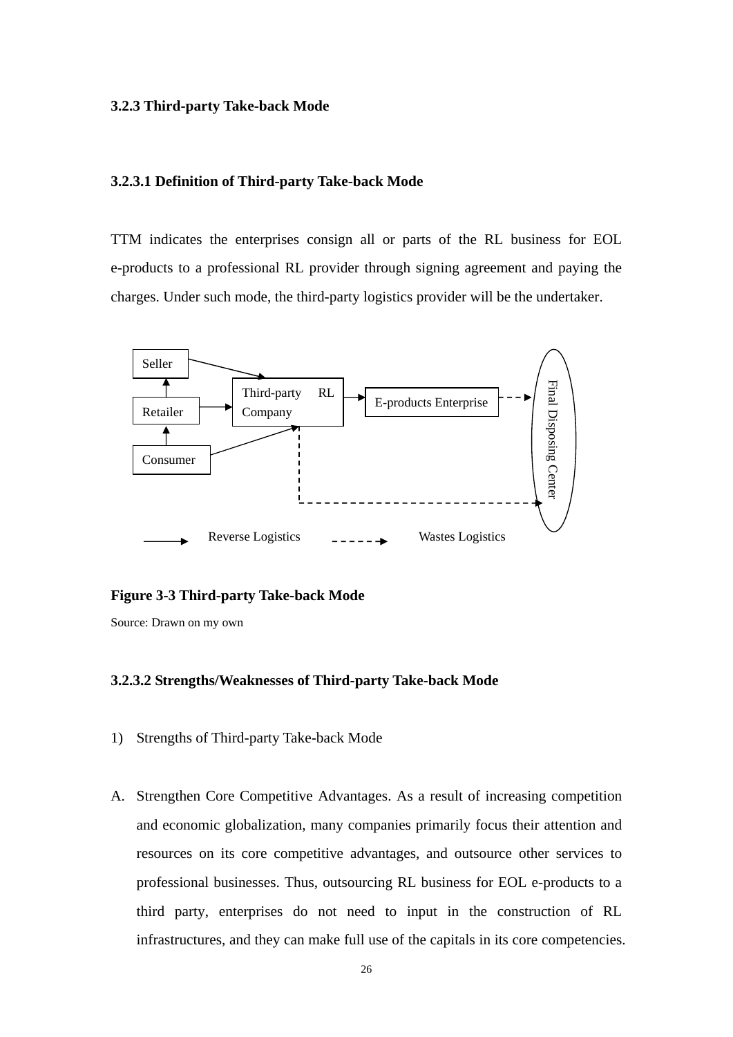#### <span id="page-35-0"></span>**3.2.3 Third-party Take-back Mode**

#### **3.2.3.1 Definition of Third-party Take-back Mode**

TTM indicates the enterprises consign all or parts of the RL business for EOL e-products to a professional RL provider through signing agreement and paying the charges. Under such mode, the third-party logistics provider will be the undertaker.



#### **Figure 3-3 Third-party Take-back Mode**

Source: Drawn on my own

#### **3.2.3.2 Strengths/Weaknesses of Third-party Take-back Mode**

- 1) Strengths of Third-party Take-back Mode
- A. Strengthen Core Competitive Advantages. As a result of increasing competition and economic globalization, many companies primarily focus their attention and resources on its core competitive advantages, and outsource other services to professional businesses. Thus, outsourcing RL business for EOL e-products to a third party, enterprises do not need to input in the construction of RL infrastructures, and they can make full use of the capitals in its core competencies.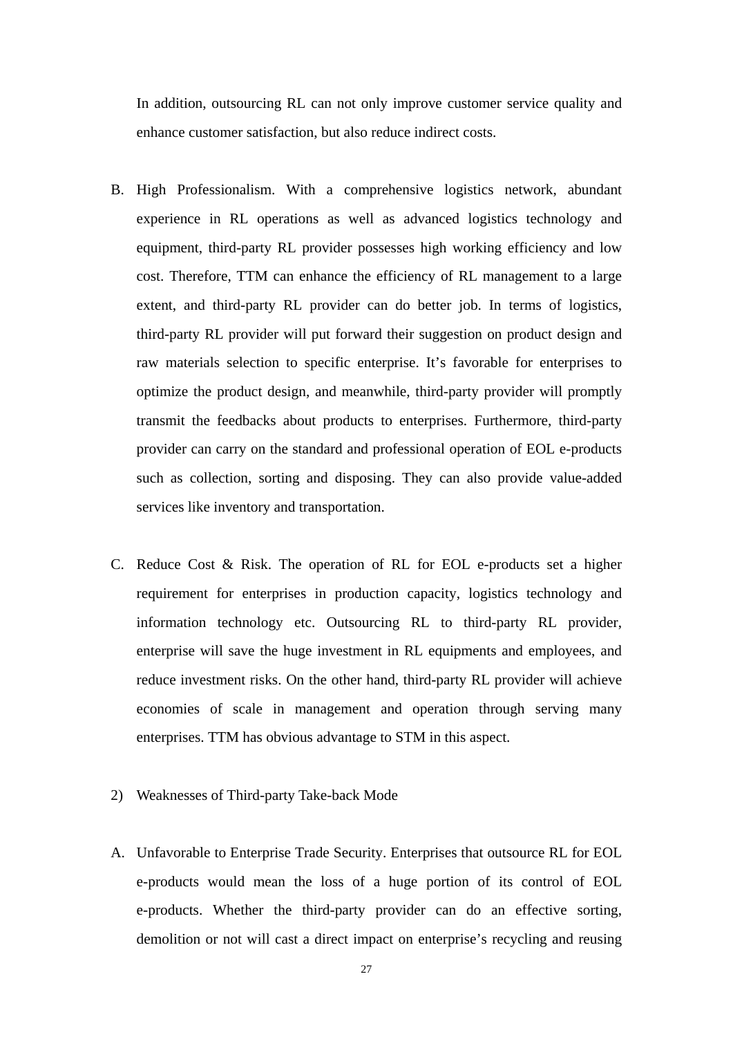In addition, outsourcing RL can not only improve customer service quality and enhance customer satisfaction, but also reduce indirect costs.

- B. High Professionalism. With a comprehensive logistics network, abundant experience in RL operations as well as advanced logistics technology and equipment, third-party RL provider possesses high working efficiency and low cost. Therefore, TTM can enhance the efficiency of RL management to a large extent, and third-party RL provider can do better job. In terms of logistics, third-party RL provider will put forward their suggestion on product design and raw materials selection to specific enterprise. It's favorable for enterprises to optimize the product design, and meanwhile, third-party provider will promptly transmit the feedbacks about products to enterprises. Furthermore, third-party provider can carry on the standard and professional operation of EOL e-products such as collection, sorting and disposing. They can also provide value-added services like inventory and transportation.
- C. Reduce Cost & Risk. The operation of RL for EOL e-products set a higher requirement for enterprises in production capacity, logistics technology and information technology etc. Outsourcing RL to third-party RL provider, enterprise will save the huge investment in RL equipments and employees, and reduce investment risks. On the other hand, third-party RL provider will achieve economies of scale in management and operation through serving many enterprises. TTM has obvious advantage to STM in this aspect.
- 2) Weaknesses of Third-party Take-back Mode
- A. Unfavorable to Enterprise Trade Security. Enterprises that outsource RL for EOL e-products would mean the loss of a huge portion of its control of EOL e-products. Whether the third-party provider can do an effective sorting, demolition or not will cast a direct impact on enterprise's recycling and reusing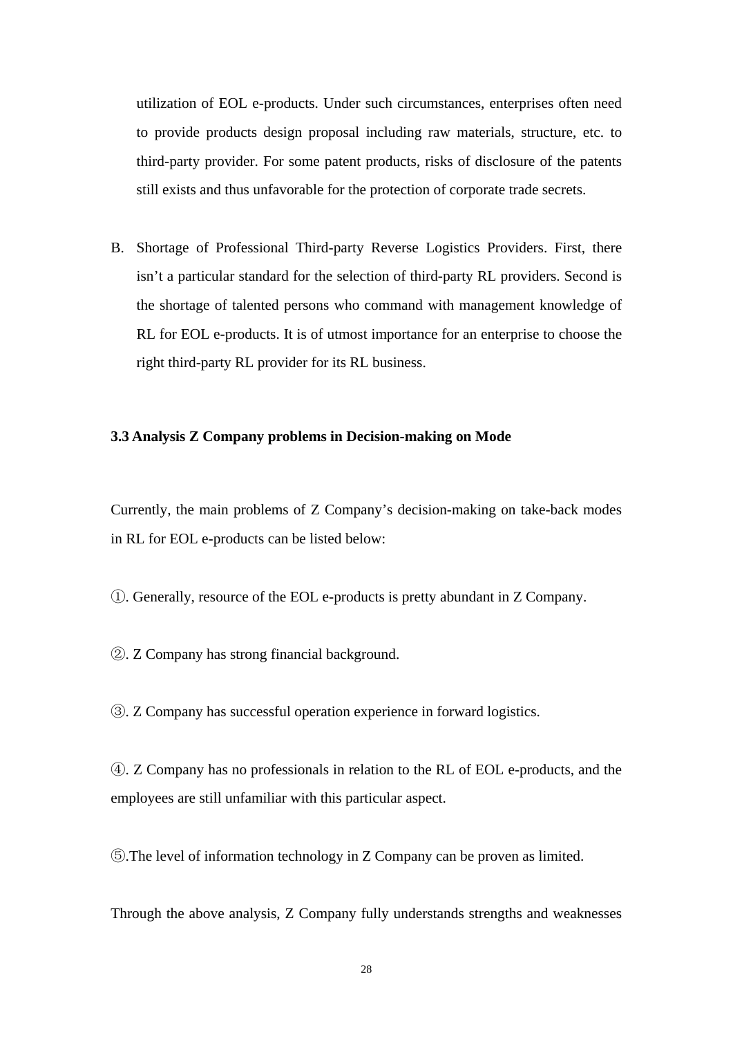utilization of EOL e-products. Under such circumstances, enterprises often need to provide products design proposal including raw materials, structure, etc. to third-party provider. For some patent products, risks of disclosure of the patents still exists and thus unfavorable for the protection of corporate trade secrets.

B. Shortage of Professional Third-party Reverse Logistics Providers. First, there isn't a particular standard for the selection of third-party RL providers. Second is the shortage of talented persons who command with management knowledge of RL for EOL e-products. It is of utmost importance for an enterprise to choose the right third-party RL provider for its RL business.

### **3.3 Analysis Z Company problems in Decision-making on Mode**

Currently, the main problems of Z Company's decision-making on take-back modes in RL for EOL e-products can be listed below:

①. Generally, resource of the EOL e-products is pretty abundant in Z Company.

②. Z Company has strong financial background.

③. Z Company has successful operation experience in forward logistics.

④. Z Company has no professionals in relation to the RL of EOL e-products, and the employees are still unfamiliar with this particular aspect.

⑤.The level of information technology in Z Company can be proven as limited.

Through the above analysis, Z Company fully understands strengths and weaknesses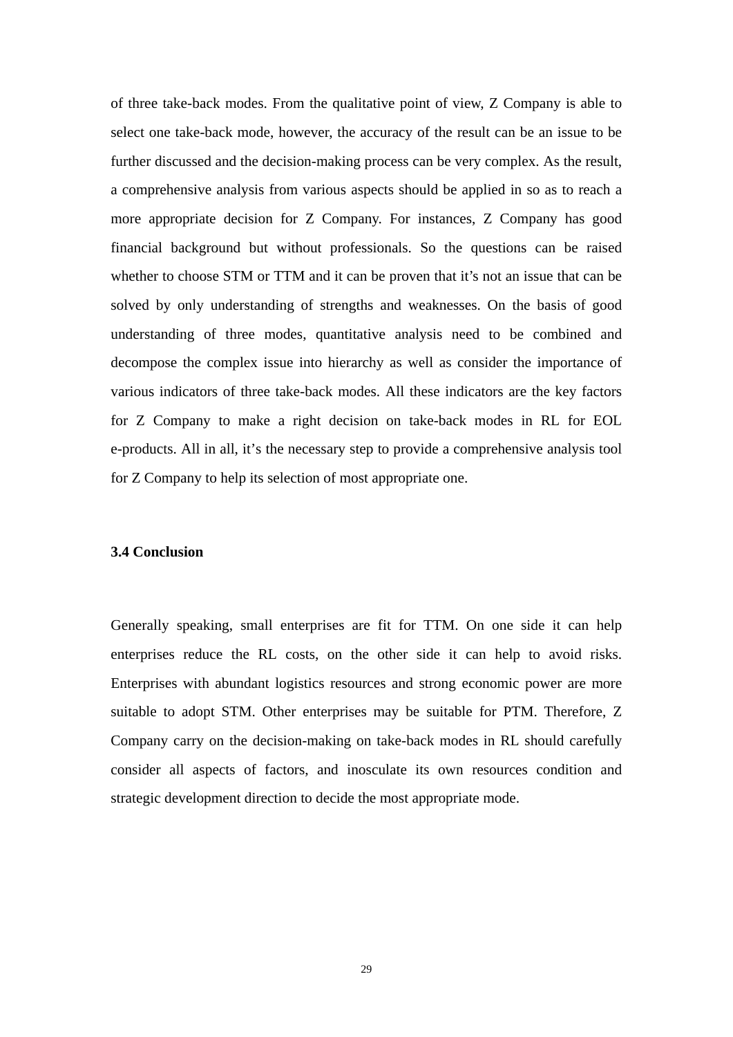of three take-back modes. From the qualitative point of view, Z Company is able to select one take-back mode, however, the accuracy of the result can be an issue to be further discussed and the decision-making process can be very complex. As the result, a comprehensive analysis from various aspects should be applied in so as to reach a more appropriate decision for Z Company. For instances, Z Company has good financial background but without professionals. So the questions can be raised whether to choose STM or TTM and it can be proven that it's not an issue that can be solved by only understanding of strengths and weaknesses. On the basis of good understanding of three modes, quantitative analysis need to be combined and decompose the complex issue into hierarchy as well as consider the importance of various indicators of three take-back modes. All these indicators are the key factors for Z Company to make a right decision on take-back modes in RL for EOL e-products. All in all, it's the necessary step to provide a comprehensive analysis tool for Z Company to help its selection of most appropriate one.

### **3.4 Conclusion**

Generally speaking, small enterprises are fit for TTM. On one side it can help enterprises reduce the RL costs, on the other side it can help to avoid risks. Enterprises with abundant logistics resources and strong economic power are more suitable to adopt STM. Other enterprises may be suitable for PTM. Therefore, Z Company carry on the decision-making on take-back modes in RL should carefully consider all aspects of factors, and inosculate its own resources condition and strategic development direction to decide the most appropriate mode.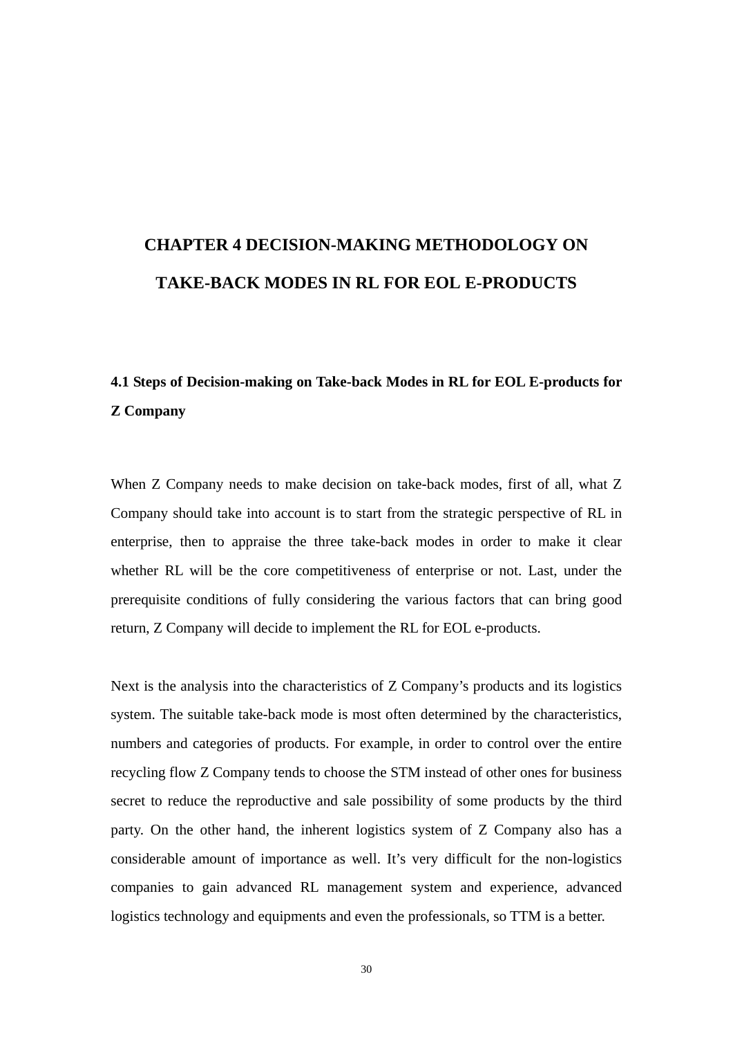# **CHAPTER 4 DECISION-MAKING METHODOLOGY ON TAKE-BACK MODES IN RL FOR EOL E-PRODUCTS**

# **4.1 Steps of Decision-making on Take-back Modes in RL for EOL E-products for Z Company**

When Z Company needs to make decision on take-back modes, first of all, what Z Company should take into account is to start from the strategic perspective of RL in enterprise, then to appraise the three take-back modes in order to make it clear whether RL will be the core competitiveness of enterprise or not. Last, under the prerequisite conditions of fully considering the various factors that can bring good return, Z Company will decide to implement the RL for EOL e-products.

Next is the analysis into the characteristics of Z Company's products and its logistics system. The suitable take-back mode is most often determined by the characteristics, numbers and categories of products. For example, in order to control over the entire recycling flow Z Company tends to choose the STM instead of other ones for business secret to reduce the reproductive and sale possibility of some products by the third party. On the other hand, the inherent logistics system of Z Company also has a considerable amount of importance as well. It's very difficult for the non-logistics companies to gain advanced RL management system and experience, advanced logistics technology and equipments and even the professionals, so TTM is a better.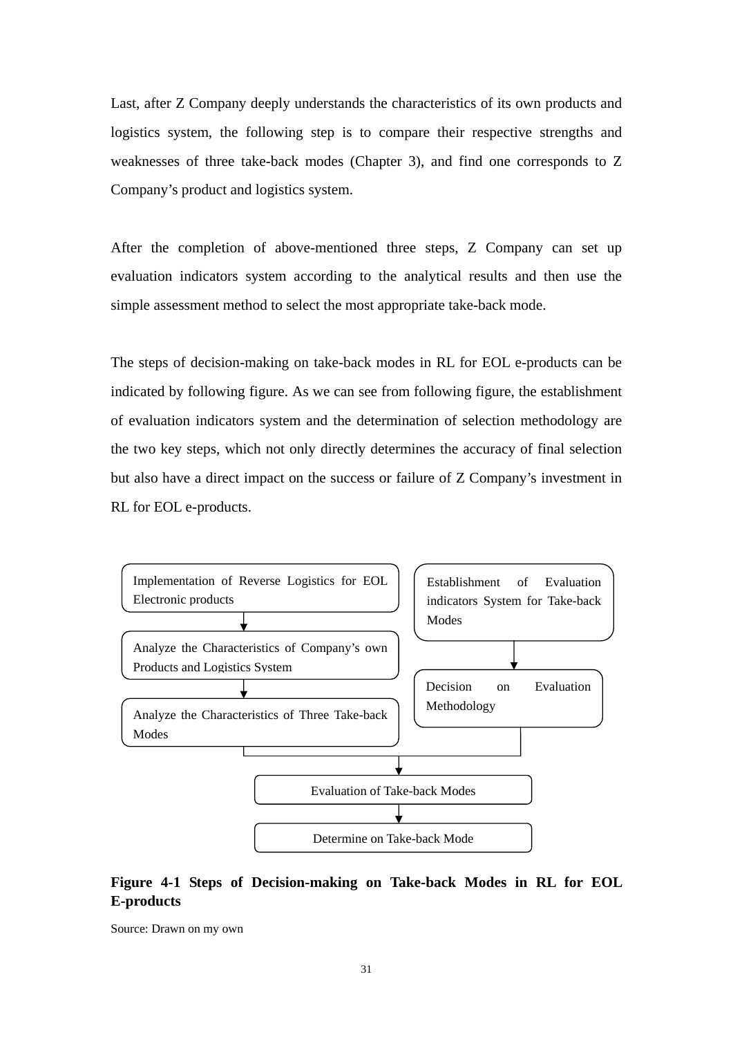Last, after Z Company deeply understands the characteristics of its own products and logistics system, the following step is to compare their respective strengths and weaknesses of three take-back modes (Chapter 3), and find one corresponds to Z Company's product and logistics system.

After the completion of above-mentioned three steps, Z Company can set up evaluation indicators system according to the analytical results and then use the simple assessment method to select the most appropriate take-back mode.

The steps of decision-making on take-back modes in RL for EOL e-products can be indicated by following figure. As we can see from following figure, the establishment of evaluation indicators system and the determination of selection methodology are the two key steps, which not only directly determines the accuracy of final selection but also have a direct impact on the success or failure of Z Company's investment in RL for EOL e-products.



### **Figure 4-1 Steps of Decision-making on Take-back Modes in RL for EOL E-products**

Source: Drawn on my own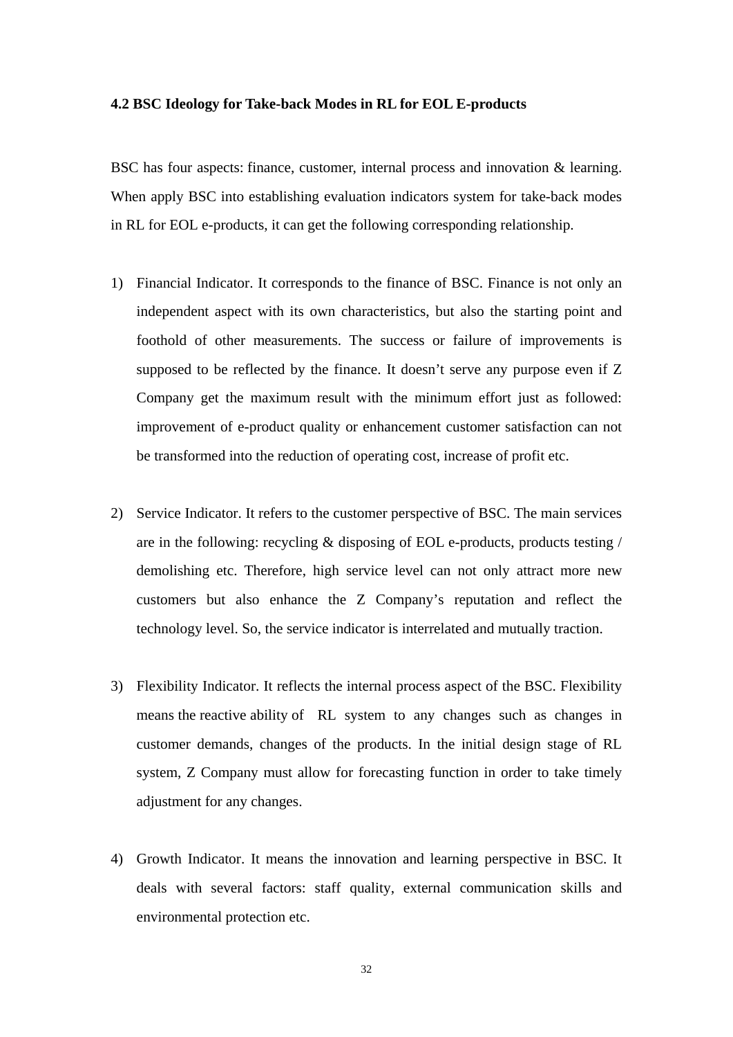### **4.2 BSC Ideology for Take-back Modes in RL for EOL E-products**

BSC has four aspects: finance, customer, internal process and innovation & learning. When apply BSC into establishing evaluation indicators system for take-back modes in RL for EOL e-products, it can get the following corresponding relationship.

- 1) Financial Indicator. It corresponds to the finance of BSC. Finance is not only an independent aspect with its own characteristics, but also the starting point and foothold of other measurements. The success or failure of improvements is supposed to be reflected by the finance. It doesn't serve any purpose even if Z Company get the maximum result with the minimum effort just as followed: improvement of e-product quality or enhancement customer satisfaction can not be transformed into the reduction of operating cost, increase of profit etc.
- 2) Service Indicator. It refers to the customer perspective of BSC. The main services are in the following: recycling  $\&$  disposing of EOL e-products, products testing / demolishing etc. Therefore, high service level can not only attract more new customers but also enhance the Z Company's reputation and reflect the technology level. So, the service indicator is interrelated and mutually traction.
- 3) Flexibility Indicator. It reflects the internal process aspect of the BSC. Flexibility means the reactive ability of RL system to any changes such as changes in customer demands, changes of the products. In the initial design stage of RL system, Z Company must allow for forecasting function in order to take timely adjustment for any changes.
- 4) Growth Indicator. It means the innovation and learning perspective in BSC. It deals with several factors: staff quality, external communication skills and environmental protection etc.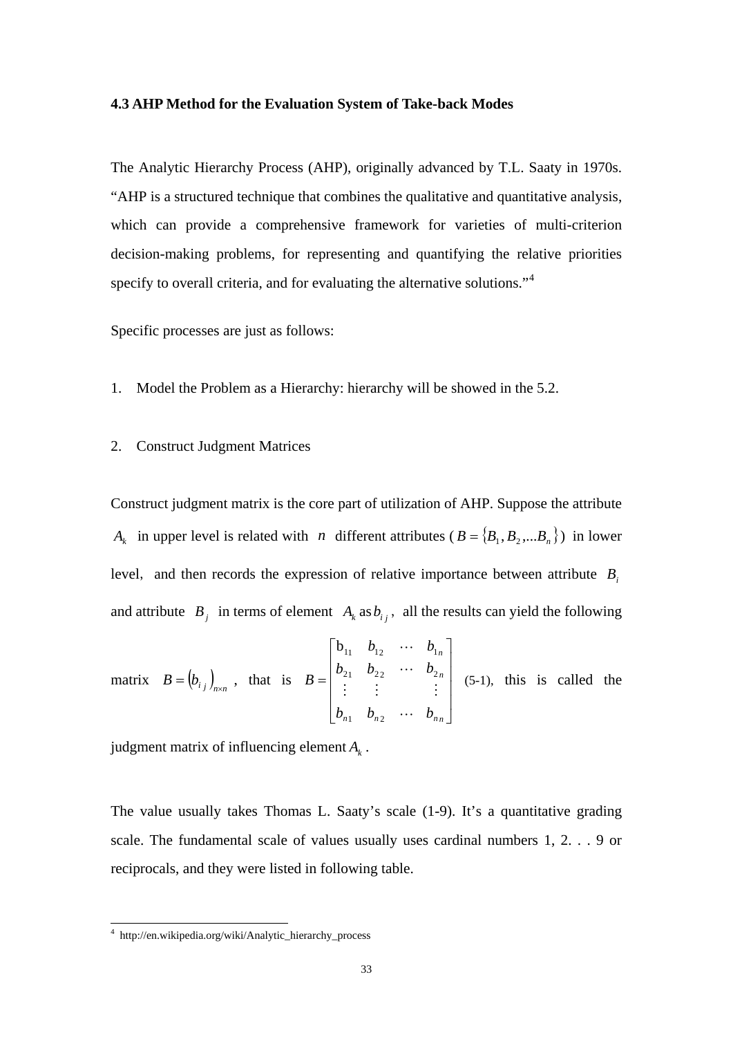### **4.3 AHP Method for the Evaluation System of Take-back Modes**

The Analytic Hierarchy Process (AHP), originally advanced by T.L. Saaty in 1970s. "AHP is a structured technique that combines the qualitative and quantitative analysis, which can provide a comprehensive framework for varieties of multi-criterion decision-making problems, for representing and quantifying the relative priorities specify to overall criteria, and for evaluating the alternative solutions."<sup>[4](#page-42-0)</sup>

Specific processes are just as follows:

- 1. Model the Problem as a Hierarchy: hierarchy will be showed in the 5.2.
- 2. Construct Judgment Matrices

Construct judgment matrix is the core part of utilization of AHP. Suppose the attribute  $A_k$  in upper level is related with *n* different attributes ( $B = \{B_1, B_2,...B_n\}$ ) in lower level, and then records the expression of relative importance between attribute *Bi* and attribute  $B_j$  in terms of element  $A_k$  as  $b_{ij}$ , all the results can yield the following

matrix 
$$
B = (b_{i_j})_{n \times n}
$$
, that is  $B = \begin{bmatrix} b_{11} & b_{12} & \cdots & b_{1n} \\ b_{21} & b_{22} & \cdots & b_{2n} \\ \vdots & \vdots & & \vdots \\ b_{n1} & b_{n2} & \cdots & b_{nn} \end{bmatrix}$  (5-1), this is called the

judgment matrix of influencing element  $A_k$ .

The value usually takes Thomas L. Saaty's scale (1-9). It's a quantitative grading scale. The fundamental scale of values usually uses cardinal numbers 1, 2. . . 9 or reciprocals, and they were listed in following table.

<u>.</u>

<span id="page-42-0"></span><sup>4</sup> http://en.wikipedia.org/wiki/Analytic\_hierarchy\_process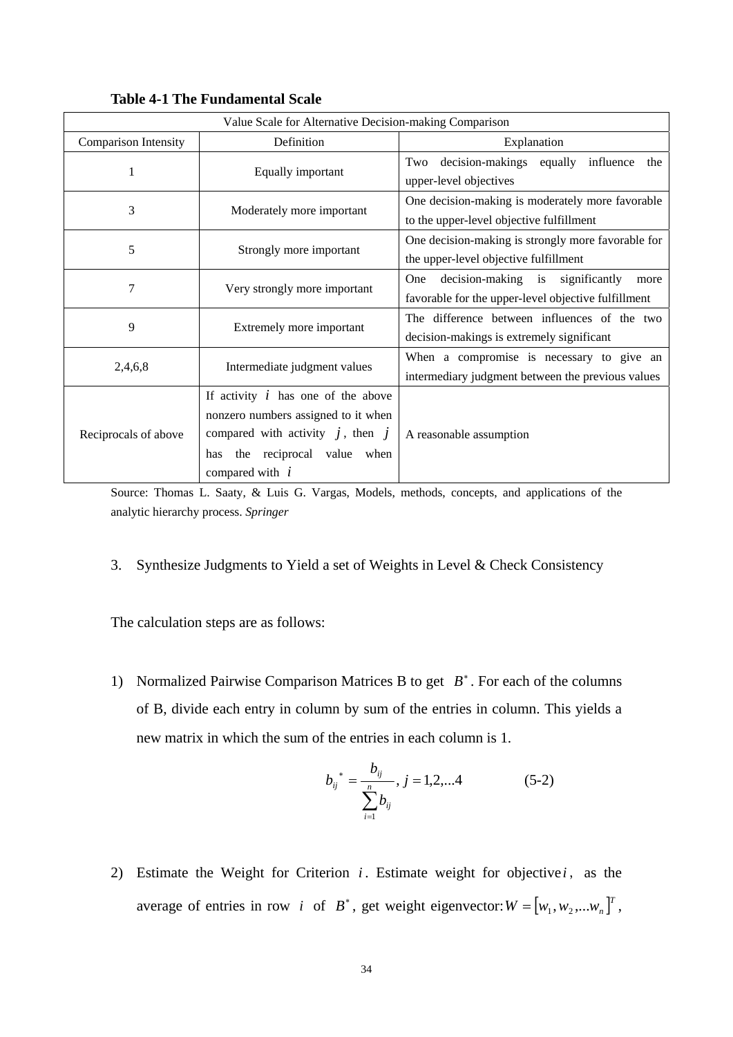|                             | Value Scale for Alternative Decision-making Comparison                                                                                                                        |                                                                                                |  |  |
|-----------------------------|-------------------------------------------------------------------------------------------------------------------------------------------------------------------------------|------------------------------------------------------------------------------------------------|--|--|
| <b>Comparison Intensity</b> | Definition                                                                                                                                                                    | Explanation                                                                                    |  |  |
| 1                           | Equally important                                                                                                                                                             | decision-makings equally influence<br>the<br>Two<br>upper-level objectives                     |  |  |
| 3                           | Moderately more important                                                                                                                                                     | One decision-making is moderately more favorable<br>to the upper-level objective fulfillment   |  |  |
| 5                           | One decision-making is strongly more favorable for<br>Strongly more important<br>the upper-level objective fulfillment                                                        |                                                                                                |  |  |
| 7                           | decision-making is significantly<br>One<br>Very strongly more important<br>favorable for the upper-level objective fulfillment                                                |                                                                                                |  |  |
| 9                           | Extremely more important                                                                                                                                                      | The difference between influences of the two<br>decision-makings is extremely significant      |  |  |
| 2,4,6,8                     | Intermediate judgment values                                                                                                                                                  | When a compromise is necessary to give an<br>intermediary judgment between the previous values |  |  |
| Reciprocals of above        | If activity $i$ has one of the above<br>nonzero numbers assigned to it when<br>compared with activity $j$ , then $j$<br>the reciprocal value when<br>has<br>compared with $i$ | A reasonable assumption                                                                        |  |  |

**Table 4-1 The Fundamental Scale** 

Source: Thomas L. Saaty, & Luis G. Vargas, Models, methods, concepts, and applications of the analytic hierarchy process. *Springer* 

3. Synthesize Judgments to Yield a set of Weights in Level & Check Consistency

The calculation steps are as follows:

1) Normalized Pairwise Comparison Matrices B to get  $B^*$ . For each of the columns of B, divide each entry in column by sum of the entries in column. This yields a new matrix in which the sum of the entries in each column is 1.

$$
b_{ij}^* = \frac{b_{ij}}{\sum_{i=1}^n b_{ij}}, j = 1, 2, \dots 4
$$
 (5-2)

2) Estimate the Weight for Criterion *i* . Estimate weight for objective*i* , as the average of entries in row *i* of  $B^*$ , get weight eigenvector:  $W = [w_1, w_2, ... w_n]^T$ ,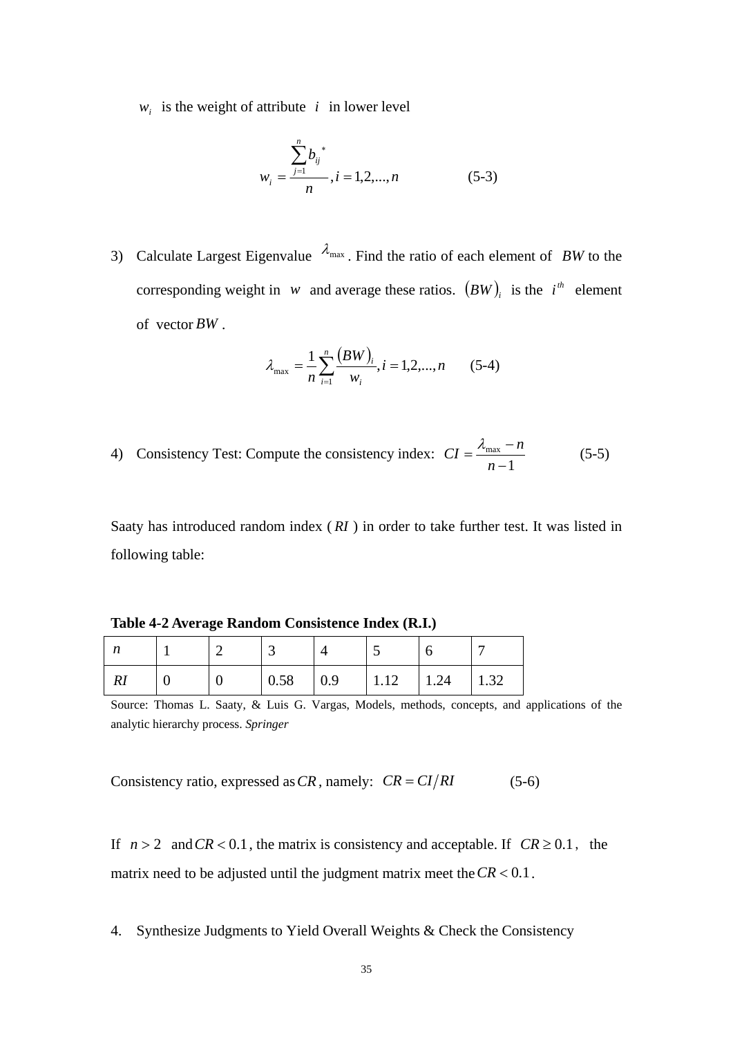$w_i$  is the weight of attribute *i* in lower level

$$
w_i = \frac{\sum_{j=1}^{n} b_{ij}^*}{n}, i = 1, 2, ..., n
$$
 (5-3)

3) Calculate Largest Eigenvalue  $\lambda_{\text{max}}$ . Find the ratio of each element of *BW* to the corresponding weight in *w* and average these ratios.  $(BW)$  is the *i*<sup>th</sup> element of vector *BW* .

$$
\lambda_{\max} = \frac{1}{n} \sum_{i=1}^{n} \frac{(BW)_{i}}{w_{i}}, i = 1, 2, ..., n \quad (5-4)
$$

4) Consistency Test: Compute the consistency index:  $CI = \frac{m_{\text{max}} - m}{n - 1}$  $CI = \frac{\lambda_{\text{max}} - n}{n - 1}$  (5-5)

Saaty has introduced random index ( *RI* ) in order to take further test. It was listed in following table:

**Table 4-2 Average Random Consistence Index (R.I.)** 

|  | 0.58 | $\sqrt{0.9}$ | $\vert$ 1.12 | $\vert$ 1.24 | 1.32 |
|--|------|--------------|--------------|--------------|------|

Source: Thomas L. Saaty, & Luis G. Vargas, Models, methods, concepts, and applications of the analytic hierarchy process. *Springer* 

Consistency ratio, expressed as  $CR$ , namely:  $CR = CI/RI$  (5-6)

If  $n > 2$  and  $CR < 0.1$ , the matrix is consistency and acceptable. If  $CR \ge 0.1$ , the matrix need to be adjusted until the judgment matrix meet the  $CR < 0.1$ .

4. Synthesize Judgments to Yield Overall Weights & Check the Consistency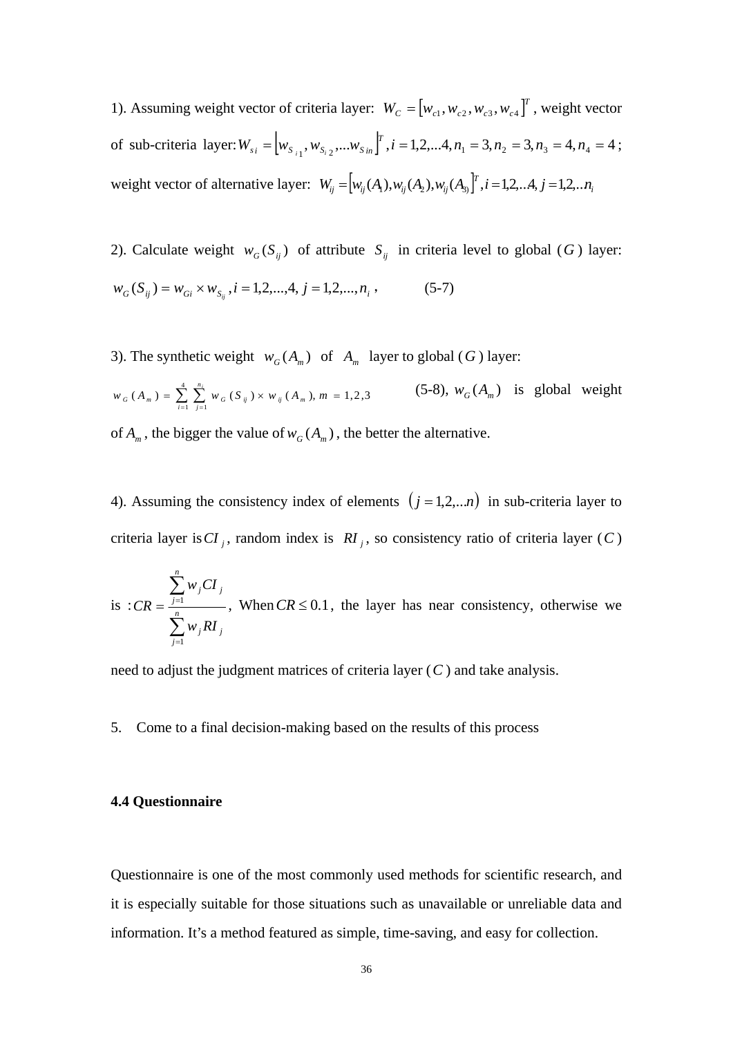1). Assuming weight vector of criteria layer:  $W_c = [w_{c1}, w_{c2}, w_{c3}, w_{c4}]^T$ , weight vector of sub-criteria layer:  $W_{s_i} = \left[ w_{s_{i_1}}, w_{s_{i_2}},...w_{s_{in}} \right]^T$ ,  $i = 1, 2, ... 4, n_1 = 3, n_2 = 3, n_3 = 4, n_4 = 4$ ; weight vector of alternative layer:  $W_{ij} = [w_{ij}(A_1), w_{ij}(A_2), w_{ij}(A_3)]^T$ ,  $i = 1, 2, \dots, 4, j = 1, 2, \dots n$ 

2). Calculate weight  $w_G(S_{ij})$  of attribute  $S_{ij}$  in criteria level to global (*G*) layer:  $w_G(S_{ij}) = w_{Gi} \times w_{S_{ii}}, i = 1, 2, ..., 4, j = 1, 2, ..., n_i,$  (5-7)

3). The synthetic weight  $w_G(A_m)$  of  $A_m$  layer to global (*G*) layer:

 $(A_m) = \sum_{i=1}^{4} \sum_{i=1}^{n_i} w_{G}(S_{ii}) \times w_{ii}(A_m), m = 1,2,3$  $w_G(A_m) = \sum_{i=1}^{n} \sum_{j=1}^{n} w_G(S_{ij}) \times w_{ij}(A_m), m =$ *n*  $G(\Lambda_m) = \sum_{i=1}^{m} \sum_{j=1}^{m} G_j$ *i*  $(5-8)$ ,  $w_G(A_m)$  is global weight

of  $A_m$ , the bigger the value of  $w_G(A_m)$ , the better the alternative.

4). Assuming the consistency index of elements  $(j = 1,2,...n)$  in sub-criteria layer to criteria layer is  $CI_j$ , random index is  $RI_j$ , so consistency ratio of criteria layer (C)

is: 
$$
CR = \frac{\sum_{j=1}^{n} w_j CI_j}{\sum_{j=1}^{n} w_j RI_j}
$$
, When  $CR \le 0.1$ , the layer has near consistency, otherwise we

need to adjust the judgment matrices of criteria layer (*C* ) and take analysis.

5. Come to a final decision-making based on the results of this process

### **4.4 Questionnaire**

Questionnaire is one of the most commonly used methods for scientific research, and it is especially suitable for those situations such as unavailable or unreliable data and information. It's a method featured as simple, time-saving, and easy for collection.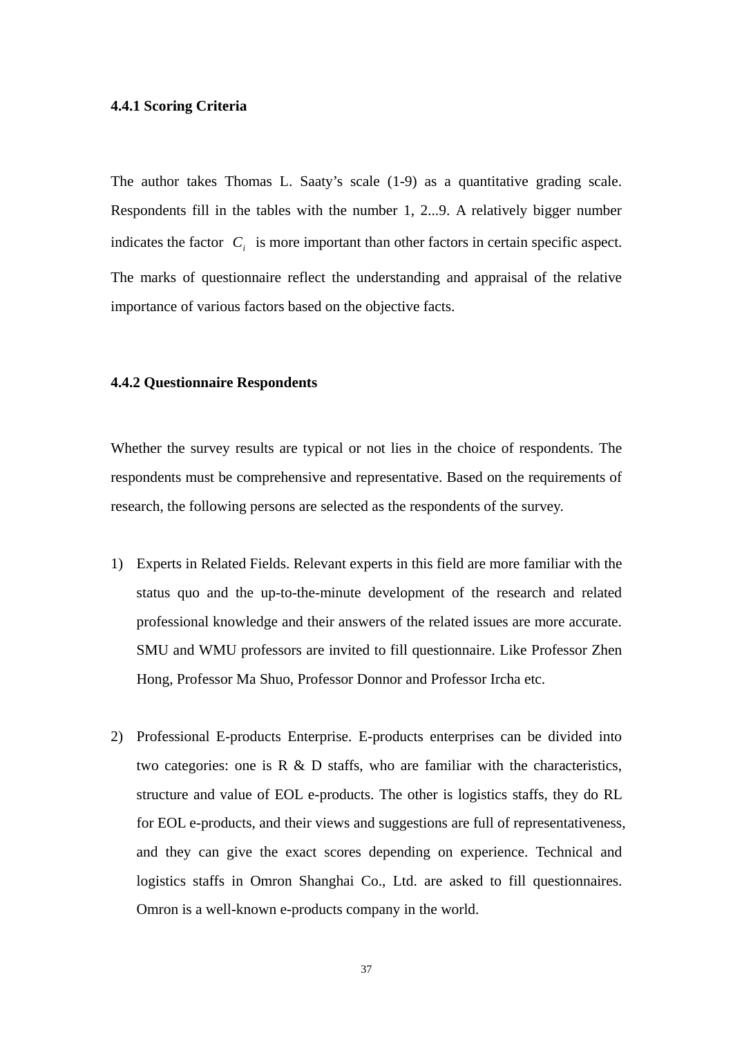### **4.4.1 Scoring Criteria**

The author takes Thomas L. Saaty's scale (1-9) as a quantitative grading scale. Respondents fill in the tables with the number 1, 2...9. A relatively bigger number indicates the factor  $C_i$  is more important than other factors in certain specific aspect. The marks of questionnaire reflect the understanding and appraisal of the relative importance of various factors based on the objective facts.

#### **4.4.2 Questionnaire Respondents**

Whether the survey results are typical or not lies in the choice of respondents. The respondents must be comprehensive and representative. Based on the requirements of research, the following persons are selected as the respondents of the survey.

- 1) Experts in Related Fields. Relevant experts in this field are more familiar with the status quo and the up-to-the-minute development of the research and related professional knowledge and their answers of the related issues are more accurate. SMU and WMU professors are invited to fill questionnaire. Like Professor Zhen Hong, Professor Ma Shuo, Professor Donnor and Professor Ircha etc.
- 2) Professional E-products Enterprise. E-products enterprises can be divided into two categories: one is  $R \& D$  staffs, who are familiar with the characteristics, structure and value of EOL e-products. The other is logistics staffs, they do RL for EOL e-products, and their views and suggestions are full of representativeness, and they can give the exact scores depending on experience. Technical and logistics staffs in Omron Shanghai Co., Ltd. are asked to fill questionnaires. Omron is a well-known e-products company in the world.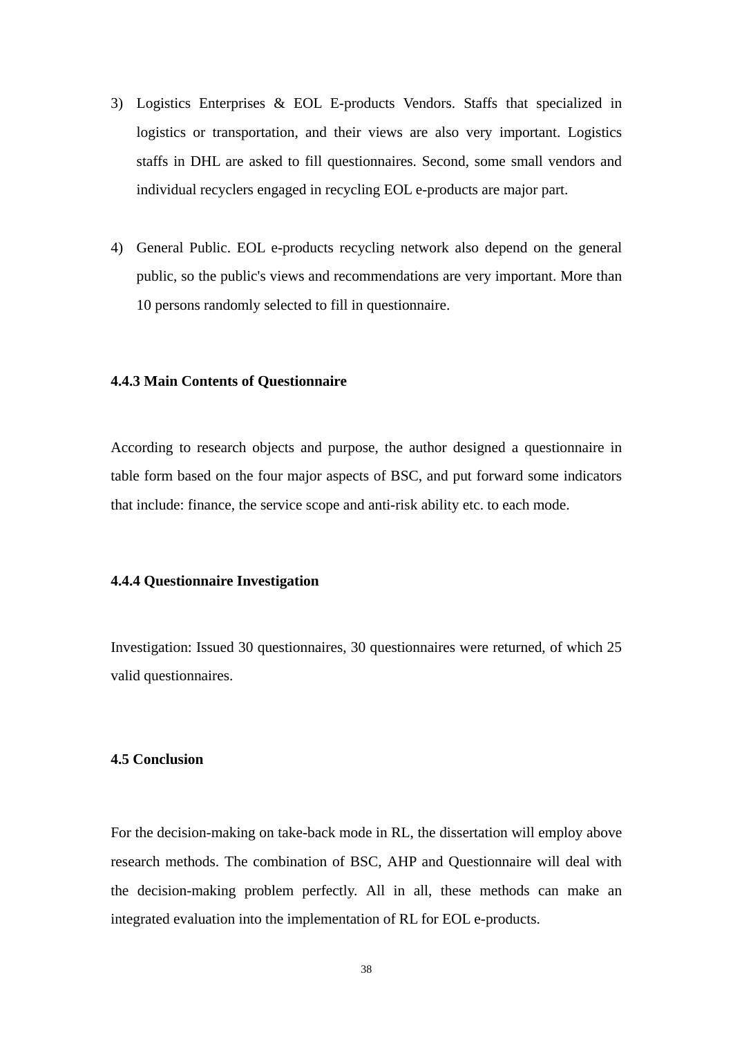- 3) Logistics Enterprises & EOL E-products Vendors. Staffs that specialized in logistics or transportation, and their views are also very important. Logistics staffs in DHL are asked to fill questionnaires. Second, some small vendors and individual recyclers engaged in recycling EOL e-products are major part.
- 4) General Public. EOL e-products recycling network also depend on the general public, so the public's views and recommendations are very important. More than 10 persons randomly selected to fill in questionnaire.

### **4.4.3 Main Contents of Questionnaire**

According to research objects and purpose, the author designed a questionnaire in table form based on the four major aspects of BSC, and put forward some indicators that include: finance, the service scope and anti-risk ability etc. to each mode.

### **4.4.4 Questionnaire Investigation**

Investigation: Issued 30 questionnaires, 30 questionnaires were returned, of which 25 valid questionnaires.

#### **4.5 Conclusion**

For the decision-making on take-back mode in RL, the dissertation will employ above research methods. The combination of BSC, AHP and Questionnaire will deal with the decision-making problem perfectly. All in all, these methods can make an integrated evaluation into the implementation of RL for EOL e-products.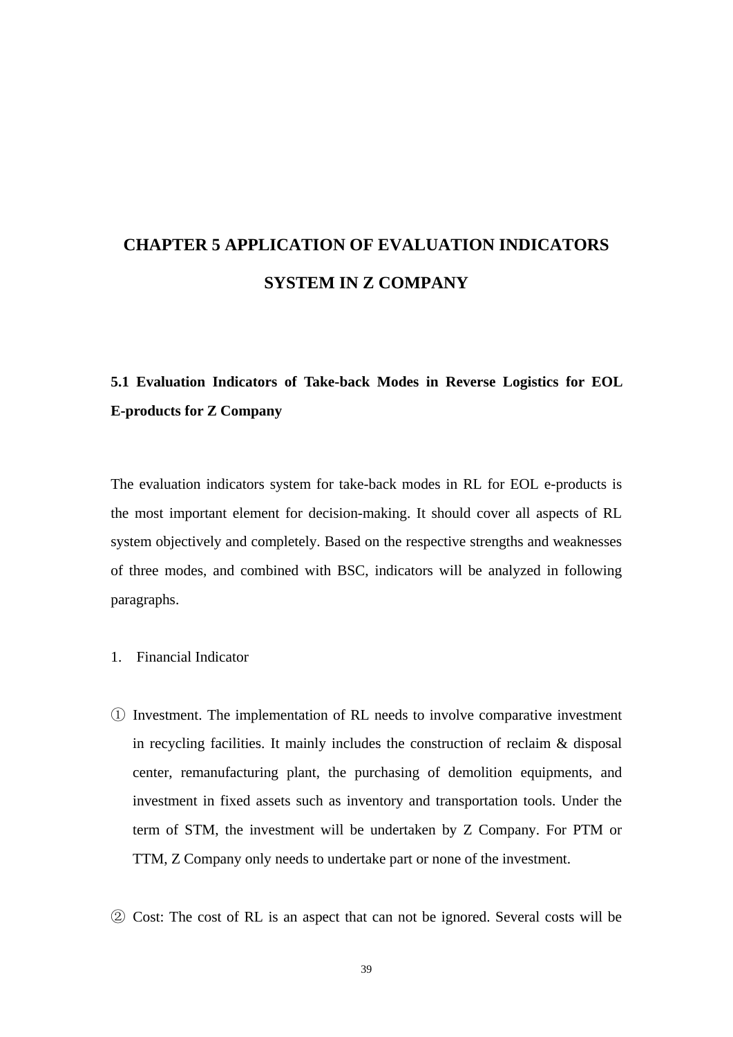# **CHAPTER 5 APPLICATION OF EVALUATION INDICATORS SYSTEM IN Z COMPANY**

# **5.1 Evaluation Indicators of Take-back Modes in Reverse Logistics for EOL E-products for Z Company**

The evaluation indicators system for take-back modes in RL for EOL e-products is the most important element for decision-making. It should cover all aspects of RL system objectively and completely. Based on the respective strengths and weaknesses of three modes, and combined with BSC, indicators will be analyzed in following paragraphs.

- 1. Financial Indicator
- ① Investment. The implementation of RL needs to involve comparative investment in recycling facilities. It mainly includes the construction of reclaim & disposal center, remanufacturing plant, the purchasing of demolition equipments, and investment in fixed assets such as inventory and transportation tools. Under the term of STM, the investment will be undertaken by Z Company. For PTM or TTM, Z Company only needs to undertake part or none of the investment.
- ② Cost: The cost of RL is an aspect that can not be ignored. Several costs will be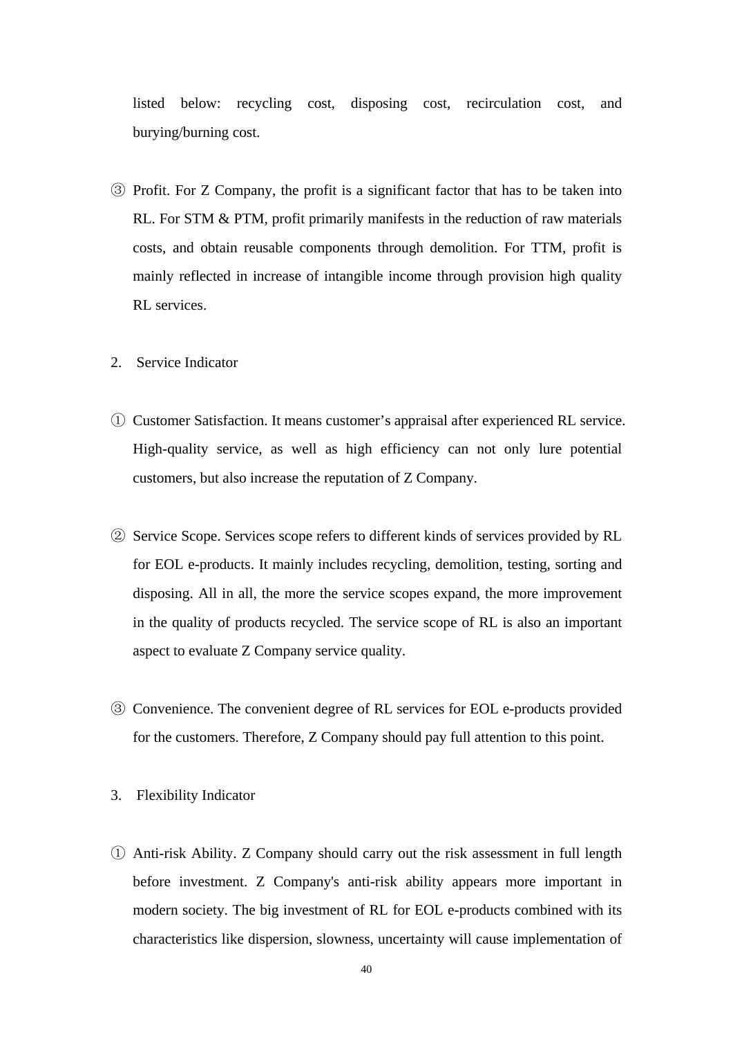listed below: recycling cost, disposing cost, recirculation cost, and burying/burning cost.

- ③ Profit. For Z Company, the profit is a significant factor that has to be taken into RL. For STM & PTM, profit primarily manifests in the reduction of raw materials costs, and obtain reusable components through demolition. For TTM, profit is mainly reflected in increase of intangible income through provision high quality RL services.
- 2. Service Indicator
- ① Customer Satisfaction. It means customer's appraisal after experienced RL service. High-quality service, as well as high efficiency can not only lure potential customers, but also increase the reputation of Z Company.
- ② Service Scope. Services scope refers to different kinds of services provided by RL for EOL e-products. It mainly includes recycling, demolition, testing, sorting and disposing. All in all, the more the service scopes expand, the more improvement in the quality of products recycled. The service scope of RL is also an important aspect to evaluate Z Company service quality.
- ③ Convenience. The convenient degree of RL services for EOL e-products provided for the customers. Therefore, Z Company should pay full attention to this point.
- 3. Flexibility Indicator
- ① Anti-risk Ability. Z Company should carry out the risk assessment in full length before investment. Z Company's anti-risk ability appears more important in modern society. The big investment of RL for EOL e-products combined with its characteristics like dispersion, slowness, uncertainty will cause implementation of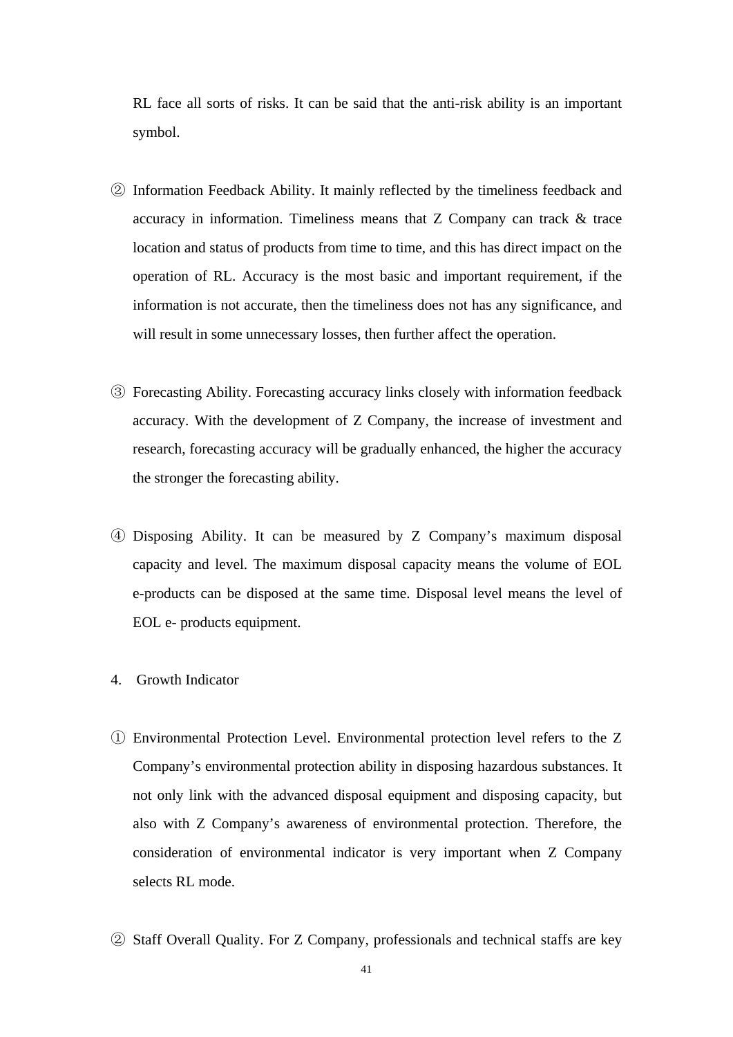RL face all sorts of risks. It can be said that the anti-risk ability is an important symbol.

- ② Information Feedback Ability. It mainly reflected by the timeliness feedback and accuracy in information. Timeliness means that Z Company can track & trace location and status of products from time to time, and this has direct impact on the operation of RL. Accuracy is the most basic and important requirement, if the information is not accurate, then the timeliness does not has any significance, and will result in some unnecessary losses, then further affect the operation.
- ③ Forecasting Ability. Forecasting accuracy links closely with information feedback accuracy. With the development of Z Company, the increase of investment and research, forecasting accuracy will be gradually enhanced, the higher the accuracy the stronger the forecasting ability.
- ④ Disposing Ability. It can be measured by Z Company's maximum disposal capacity and level. The maximum disposal capacity means the volume of EOL e-products can be disposed at the same time. Disposal level means the level of EOL e- products equipment.
- 4. Growth Indicator
- ① Environmental Protection Level. Environmental protection level refers to the Z Company's environmental protection ability in disposing hazardous substances. It not only link with the advanced disposal equipment and disposing capacity, but also with Z Company's awareness of environmental protection. Therefore, the consideration of environmental indicator is very important when Z Company selects RL mode.
- ② Staff Overall Quality. For Z Company, professionals and technical staffs are key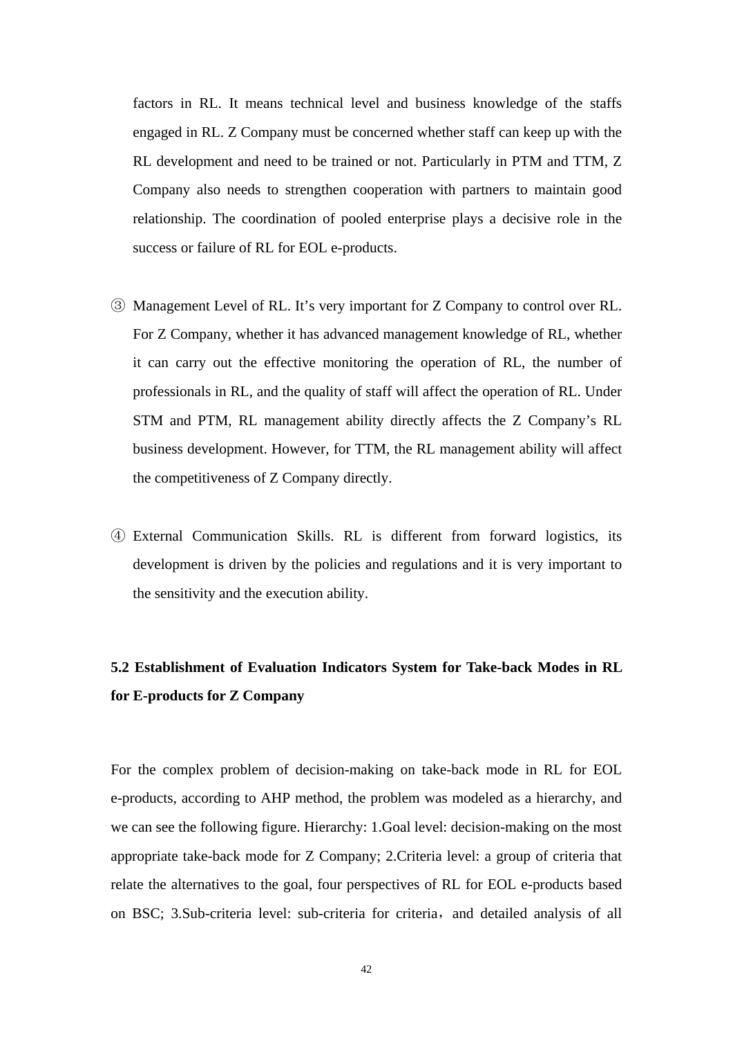factors in RL. It means technical level and business knowledge of the staffs engaged in RL. Z Company must be concerned whether staff can keep up with the RL development and need to be trained or not. Particularly in PTM and TTM, Z Company also needs to strengthen cooperation with partners to maintain good relationship. The coordination of pooled enterprise plays a decisive role in the success or failure of RL for EOL e-products.

- ③ Management Level of RL. It's very important for Z Company to control over RL. For Z Company, whether it has advanced management knowledge of RL, whether it can carry out the effective monitoring the operation of RL, the number of professionals in RL, and the quality of staff will affect the operation of RL. Under STM and PTM, RL management ability directly affects the Z Company's RL business development. However, for TTM, the RL management ability will affect the competitiveness of Z Company directly.
- ④ External Communication Skills. RL is different from forward logistics, its development is driven by the policies and regulations and it is very important to the sensitivity and the execution ability.

# **5.2 Establishment of Evaluation Indicators System for Take-back Modes in RL for E-products for Z Company**

For the complex problem of decision-making on take-back mode in RL for EOL e-products, according to AHP method, the problem was modeled as a hierarchy, and we can see the following figure. Hierarchy: 1.Goal level: decision-making on the most appropriate take-back mode for Z Company; 2.Criteria level: a group of criteria that relate the alternatives to the goal, four perspectives of RL for EOL e-products based on BSC; 3.Sub-criteria level: sub-criteria for criteria, and detailed analysis of all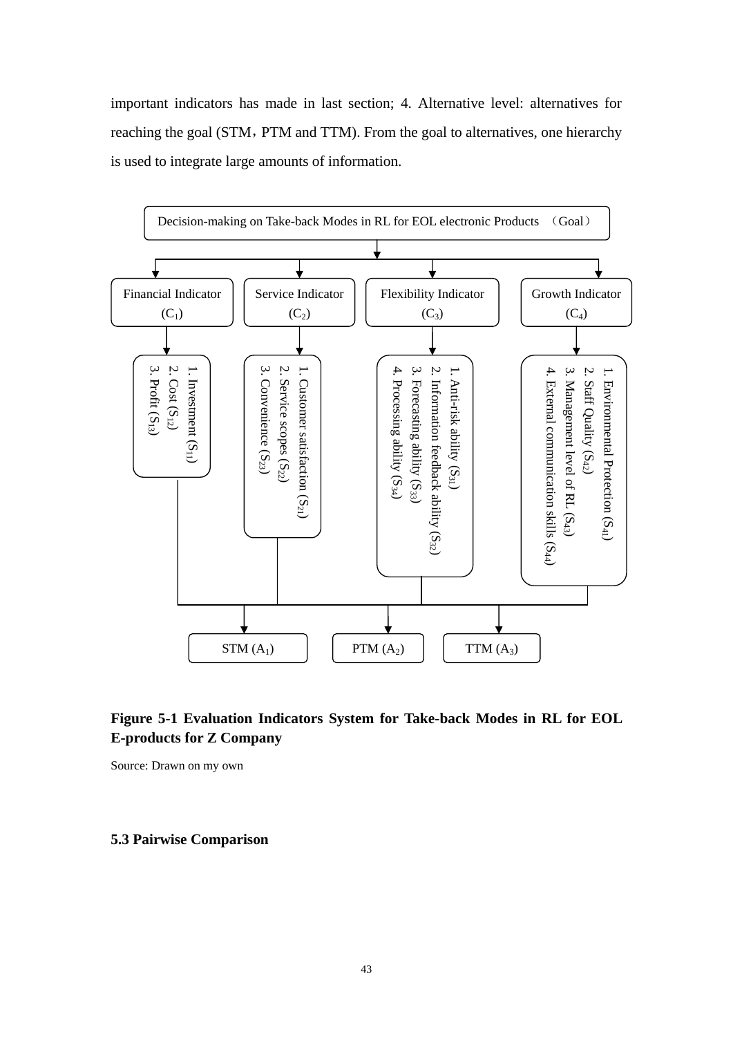important indicators has made in last section; 4. Alternative level: alternatives for reaching the goal (STM, PTM and TTM). From the goal to alternatives, one hierarchy is used to integrate large amounts of information.



## **Figure 5-1 Evaluation Indicators System for Take-back Modes in RL for EOL E-products for Z Company**

Source: Drawn on my own

### **5.3 Pairwise Comparison**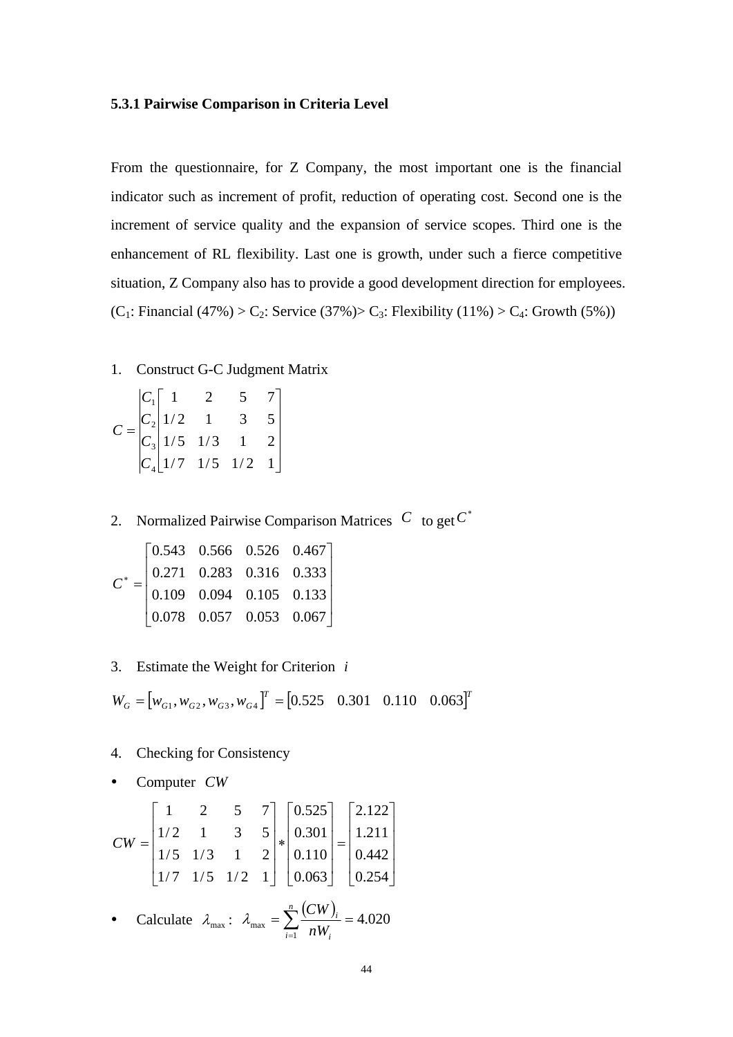### **5.3.1 Pairwise Comparison in Criteria Level**

From the questionnaire, for Z Company, the most important one is the financial indicator such as increment of profit, reduction of operating cost. Second one is the increment of service quality and the expansion of service scopes. Third one is the enhancement of RL flexibility. Last one is growth, under such a fierce competitive situation, Z Company also has to provide a good development direction for employees. (C<sub>1</sub>: Financial (47%) > C<sub>2</sub>: Service (37%) > C<sub>3</sub>: Flexibility (11%) > C<sub>4</sub>: Growth (5%))

1. Construct G-C Judgment Matrix

$$
C = \begin{bmatrix} C_1 & 1 & 2 & 5 & 7 \\ C_2 & 1/2 & 1 & 3 & 5 \\ C_3 & 1/5 & 1/3 & 1 & 2 \\ C_4 & 1/7 & 1/5 & 1/2 & 1 \end{bmatrix}
$$

2. Normalized Pairwise Comparison Matrices  $C$  to get  $C^*$ 

| $C^* = \begin{bmatrix} 0.543 & 0.566 & 0.526 & 0.467 \\ 0.271 & 0.283 & 0.316 & 0.333 \\ 0.109 & 0.094 & 0.105 & 0.133 \\ 0.078 & 0.057 & 0.053 & 0.067 \end{bmatrix}$ |  |  |
|------------------------------------------------------------------------------------------------------------------------------------------------------------------------|--|--|
|                                                                                                                                                                        |  |  |
|                                                                                                                                                                        |  |  |
|                                                                                                                                                                        |  |  |

3. Estimate the Weight for Criterion *i*

$$
W_G = [w_{G1}, w_{G2}, w_{G3}, w_{G4}]^T = [0.525 \quad 0.301 \quad 0.110 \quad 0.063]^T
$$

- 4. Checking for Consistency
- y Computer *CW*

$$
CW = \begin{bmatrix} 1 & 2 & 5 & 7 \\ 1/2 & 1 & 3 & 5 \\ 1/5 & 1/3 & 1 & 2 \\ 1/7 & 1/5 & 1/2 & 1 \end{bmatrix} * \begin{bmatrix} 0.525 \\ 0.301 \\ 0.110 \\ 0.063 \end{bmatrix} = \begin{bmatrix} 2.122 \\ 1.211 \\ 0.442 \\ 0.254 \end{bmatrix}
$$

• Calculate  $\lambda_{\text{max}}$ :  $\lambda_{\text{max}} = \sum_{i=1}^{n} \frac{(CW)_i}{W} = 4.020$  $\sum_{i=1}^{n} \frac{(CW)_i}{nW_i} =$  $i=1$  *ILVV*<sub>i</sub> *i nW*  $\lambda_{\text{max}} = \sum_{n=1}^{n} \frac{(CW_n)^n}{n!}$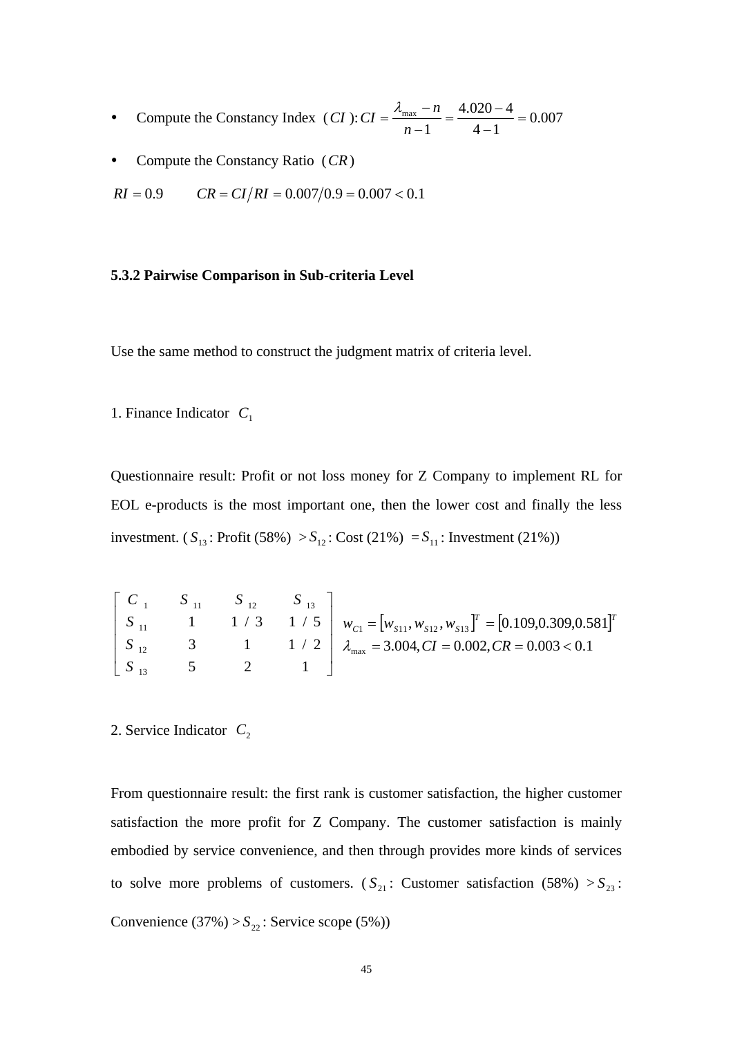- Compute the Constancy Index  $(CI)$ :  $CI = \frac{N_{\text{max}}}{I} = \frac{7.020}{I} = 0.007$  $4 - 1$  $4.020 - 4$  $CI = \frac{\lambda_{\text{max}} - n}{n - 1} = \frac{4.020 - 4}{4 - 1} =$
- Compute the Constancy Ratio (*CR*)

$$
RI = 0.9
$$
  $CR = CI/RI = 0.007/0.9 = 0.007 < 0.1$ 

### **5.3.2 Pairwise Comparison in Sub-criteria Level**

Use the same method to construct the judgment matrix of criteria level.

1. Finance Indicator  $C_1$ 

Questionnaire result: Profit or not loss money for Z Company to implement RL for EOL e-products is the most important one, then the lower cost and finally the less investment. ( $S_{13}$ : Profit (58%) >  $S_{12}$ : Cost (21%) =  $S_{11}$ : Investment (21%))

$$
\begin{bmatrix} C_{1} & S_{11} & S_{12} & S_{13} \ S_{11} & 1 & 1/3 & 1/5 \ S_{12} & 3 & 1 & 1/2 \ S_{13} & 5 & 2 & 1 \end{bmatrix} w_{C1} = [w_{S11}, w_{S12}, w_{S13}]^{T} = [0.109, 0.309, 0.581]^{T}
$$
  
\n $\lambda_{max} = 3.004, CI = 0.002, CR = 0.003 < 0.1$ 

2. Service Indicator  $C_2$ 

From questionnaire result: the first rank is customer satisfaction, the higher customer satisfaction the more profit for Z Company. The customer satisfaction is mainly embodied by service convenience, and then through provides more kinds of services to solve more problems of customers.  $(S_{21}:$  Customer satisfaction  $(58%) > S_{23}$ : Convenience  $(37\%) > S_{22}$ : Service scope  $(5\%)$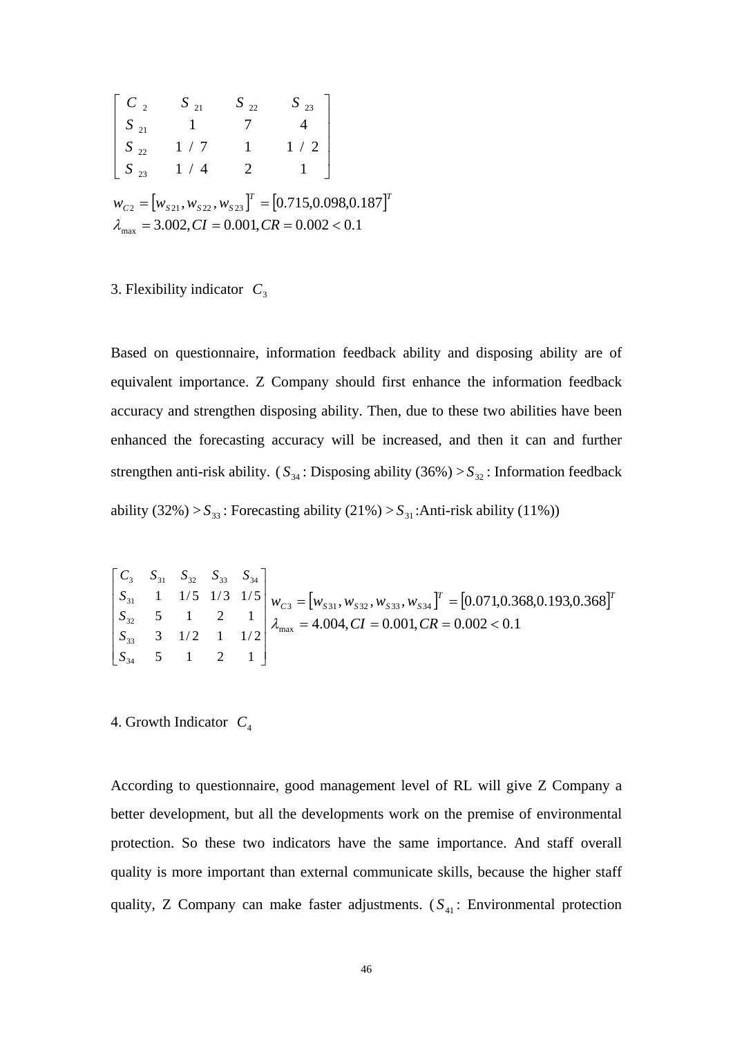$$
\begin{bmatrix}\nC_2 & S_{21} & S_{22} & S_{23} \\
S_{21} & 1 & 7 & 4 \\
S_{22} & 1/7 & 1 & 1/2 \\
S_{23} & 1/4 & 2 & 1\n\end{bmatrix}
$$
\n
$$
w_{C2} = [w_{S21}, w_{S22}, w_{S23}]^T = [0.715, 0.098, 0.187]^T
$$
\n
$$
\lambda_{\text{max}} = 3.002, CI = 0.001, CR = 0.002 < 0.1
$$

### 3. Flexibility indicator  $C_3$

Based on questionnaire, information feedback ability and disposing ability are of equivalent importance. Z Company should first enhance the information feedback accuracy and strengthen disposing ability. Then, due to these two abilities have been enhanced the forecasting accuracy will be increased, and then it can and further strengthen anti-risk ability. ( $S_{34}$ : Disposing ability (36%) >  $S_{32}$ : Information feedback ability  $(32\%) > S_{33}$ : Forecasting ability  $(21\%) > S_{31}$ : Anti-risk ability  $(11\%)$ 

$$
\begin{bmatrix} C_3 & S_{31} & S_{32} & S_{33} & S_{34} \\ S_{31} & 1 & 1/5 & 1/3 & 1/5 \\ S_{32} & 5 & 1 & 2 & 1 \\ S_{33} & 3 & 1/2 & 1 & 1/2 \\ S_{34} & 5 & 1 & 2 & 1 \end{bmatrix} w_{C3} = \begin{bmatrix} w_{S31}, w_{S32}, w_{S33}, w_{S34} \end{bmatrix}^T = \begin{bmatrix} 0.071, 0.368, 0.193, 0.368 \end{bmatrix}^T
$$

$$
= \begin{bmatrix} S_{31} & S_{32} & S_{33} & 0.368 \end{bmatrix}^T
$$

$$
= 4.004, CI = 0.001, CR = 0.002 < 0.1
$$

4. Growth Indicator *C*<sup>4</sup>

According to questionnaire, good management level of RL will give Z Company a better development, but all the developments work on the premise of environmental protection. So these two indicators have the same importance. And staff overall quality is more important than external communicate skills, because the higher staff quality, Z Company can make faster adjustments.  $(S_{41}:$  Environmental protection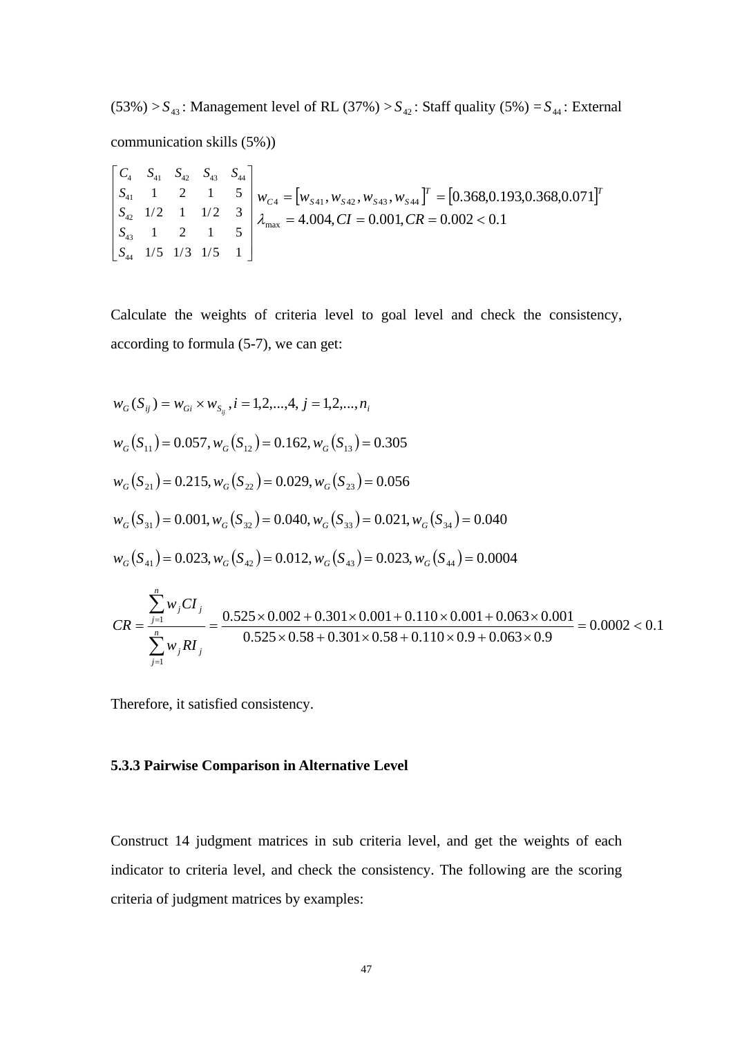$(53\%) > S_{43}$ : Management level of RL  $(37\%) > S_{42}$ : Staff quality  $(5\%) = S_{44}$ : External communication skills (5%))

$$
\begin{bmatrix} C_4 & S_{41} & S_{42} & S_{43} & S_{44} \\ S_{41} & 1 & 2 & 1 & 5 \\ S_{42} & 1/2 & 1 & 1/2 & 3 \\ S_{43} & 1 & 2 & 1 & 5 \\ S_{44} & 1/5 & 1/3 & 1/5 & 1 \end{bmatrix} w_{C4} = \begin{bmatrix} w_{S41}, w_{S42}, w_{S43}, w_{S44} \end{bmatrix}^T = \begin{bmatrix} 0.368, 0.193, 0.368, 0.071 \end{bmatrix}^T
$$
\n
$$
= \begin{bmatrix} S_{42} & 1/2 & 1 & 1/2 & 3 \\ S_{43} & 1 & 2 & 1 & 5 \\ S_{44} & 1/5 & 1/3 & 1/5 & 1 \end{bmatrix} w_{C4} = 4.004, \, CI = 0.001, \, CR = 0.002 < 0.1
$$

Calculate the weights of criteria level to goal level and check the consistency, according to formula (5-7), we can get:

$$
w_G(S_{ij}) = w_{Gi} \times w_{S_{ij}}, i = 1, 2, ..., 4, j = 1, 2, ..., n_i
$$
  
\n
$$
w_G(S_{11}) = 0.057, w_G(S_{12}) = 0.162, w_G(S_{13}) = 0.305
$$
  
\n
$$
w_G(S_{21}) = 0.215, w_G(S_{22}) = 0.029, w_G(S_{23}) = 0.056
$$
  
\n
$$
w_G(S_{31}) = 0.001, w_G(S_{32}) = 0.040, w_G(S_{33}) = 0.021, w_G(S_{34}) = 0.040
$$
  
\n
$$
w_G(S_{41}) = 0.023, w_G(S_{42}) = 0.012, w_G(S_{43}) = 0.023, w_G(S_{44}) = 0.0004
$$
  
\n
$$
CR = \frac{\sum_{j=1}^{n} w_j CI_j}{\sum_{j=1}^{n} w_j RI_j} = \frac{0.525 \times 0.002 + 0.301 \times 0.001 + 0.110 \times 0.001 + 0.063 \times 0.001}{0.525 \times 0.58 + 0.301 \times 0.58 + 0.110 \times 0.9 + 0.063 \times 0.9} = 0.0002 < 0.1
$$

Therefore, it satisfied consistency.

# **5.3.3 Pairwise Comparison in Alternative Level**

Construct 14 judgment matrices in sub criteria level, and get the weights of each indicator to criteria level, and check the consistency. The following are the scoring criteria of judgment matrices by examples: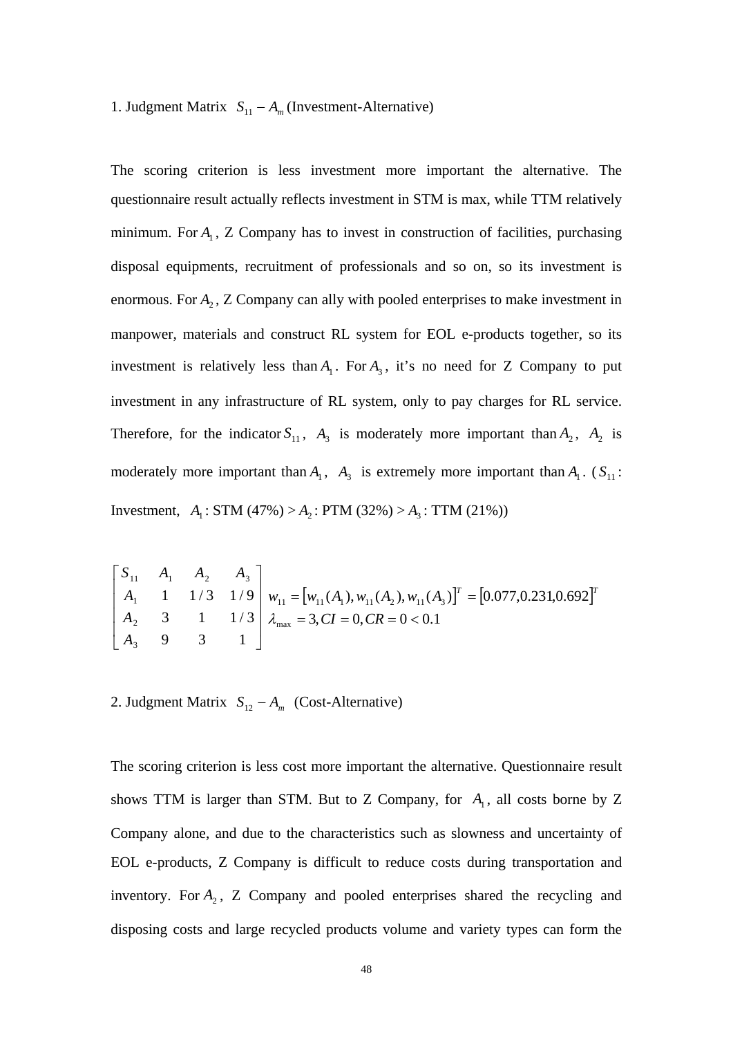# 1. Judgment Matrix  $S_{11} - A_m$  (Investment-Alternative)

The scoring criterion is less investment more important the alternative. The questionnaire result actually reflects investment in STM is max, while TTM relatively minimum. For  $A_1$ , Z Company has to invest in construction of facilities, purchasing disposal equipments, recruitment of professionals and so on, so its investment is enormous. For  $A_2$ , Z Company can ally with pooled enterprises to make investment in manpower, materials and construct RL system for EOL e-products together, so its investment is relatively less than  $A_1$ . For  $A_3$ , it's no need for Z Company to put investment in any infrastructure of RL system, only to pay charges for RL service. Therefore, for the indicator  $S_{11}$ ,  $A_3$  is moderately more important than  $A_2$ ,  $A_2$  is moderately more important than  $A_1$ ,  $A_3$  is extremely more important than  $A_1$ . ( $S_{11}$ : Investment,  $A_1$ : STM (47%) >  $A_2$ : PTM (32%) >  $A_3$ : TTM (21%))

$$
\begin{bmatrix} S_{11} & A_1 & A_2 & A_3 \ A_1 & 1 & 1/3 & 1/9 \ A_2 & 3 & 1 & 1/3 \ A_3 & 9 & 3 & 1 \end{bmatrix} w_{11} = [w_{11}(A_1), w_{11}(A_2), w_{11}(A_3)]^T = [0.077, 0.231, 0.692]^T
$$

2. Judgment Matrix  $S_{12} - A_m$  (Cost-Alternative)

The scoring criterion is less cost more important the alternative. Questionnaire result shows TTM is larger than STM. But to Z Company, for  $A_1$ , all costs borne by Z Company alone, and due to the characteristics such as slowness and uncertainty of EOL e-products, Z Company is difficult to reduce costs during transportation and inventory. For  $A_2$ , Z Company and pooled enterprises shared the recycling and disposing costs and large recycled products volume and variety types can form the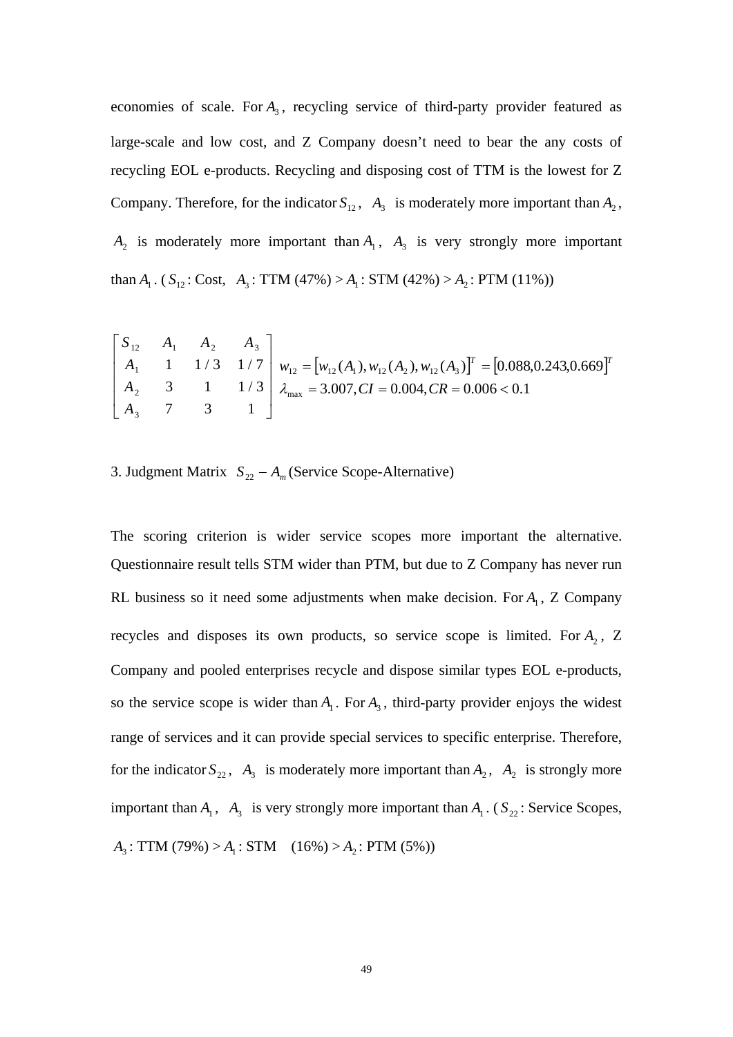economies of scale. For  $A_3$ , recycling service of third-party provider featured as large-scale and low cost, and Z Company doesn't need to bear the any costs of recycling EOL e-products. Recycling and disposing cost of TTM is the lowest for Z Company. Therefore, for the indicator  $S_{12}$ ,  $A_3$  is moderately more important than  $A_2$ ,  $A_2$  is moderately more important than  $A_1$ ,  $A_3$  is very strongly more important than  $A_1$ . ( $S_{12}$ : Cost,  $A_3$ : TTM (47%) >  $A_1$ : STM (42%) >  $A_2$ : PTM (11%))

$$
\begin{bmatrix} S_{12} & A_1 & A_2 & A_3 \ A_1 & 1 & 1/3 & 1/7 \ A_2 & 3 & 1 & 1/3 \ A_3 & 7 & 3 & 1 \end{bmatrix} w_{12} = [w_{12}(A_1), w_{12}(A_2), w_{12}(A_3)]^T = [0.088, 0.243, 0.669]^T
$$
  
\n
$$
A_{12} = [w_{12}(A_1), w_{12}(A_2), w_{12}(A_3)]^T = [0.088, 0.243, 0.669]^T
$$
  
\n
$$
A_{23} = 3.007, CI = 0.004, CR = 0.006 < 0.1
$$

3. Judgment Matrix  $S_{22} - A_m$  (Service Scope-Alternative)

The scoring criterion is wider service scopes more important the alternative. Questionnaire result tells STM wider than PTM, but due to Z Company has never run RL business so it need some adjustments when make decision. For  $A<sub>1</sub>$ , Z Company recycles and disposes its own products, so service scope is limited. For  $A_2$ , Z Company and pooled enterprises recycle and dispose similar types EOL e-products, so the service scope is wider than  $A_1$ . For  $A_3$ , third-party provider enjoys the widest range of services and it can provide special services to specific enterprise. Therefore, for the indicator  $S_{22}$ ,  $A_3$  is moderately more important than  $A_2$ ,  $A_2$  is strongly more important than  $A_1$ ,  $A_3$  is very strongly more important than  $A_1$ . ( $S_{22}$ : Service Scopes,  $A_3$ : TTM (79%) >  $A_1$ : STM (16%) >  $A_2$ : PTM (5%))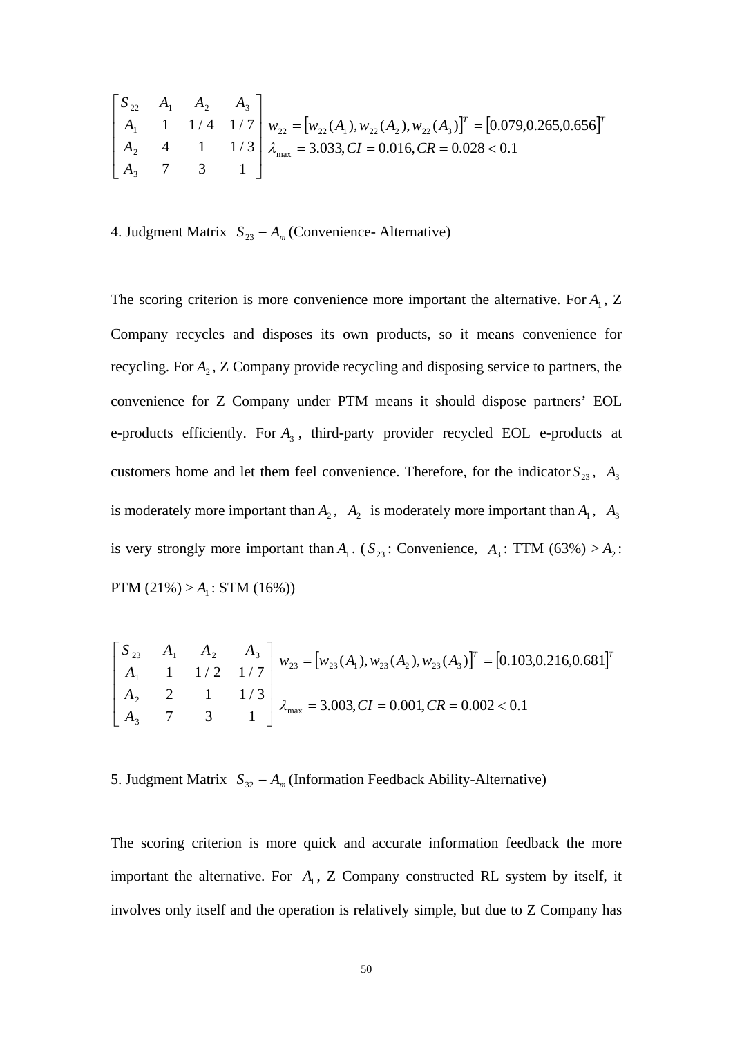$$
\begin{bmatrix} S_{22} & A_1 & A_2 & A_3 \\ A_1 & 1 & 1/4 & 1/7 \\ A_2 & 4 & 1 & 1/3 \\ A_3 & 7 & 3 & 1 \end{bmatrix} w_{22} = \begin{bmatrix} w_{22}(A_1), w_{22}(A_2), w_{22}(A_3) \end{bmatrix}^T = \begin{bmatrix} 0.079, 0.265, 0.656 \end{bmatrix}^T
$$
\n
$$
A_{23} = 3.033, CI = 0.016, CR = 0.028 < 0.1
$$

4. Judgment Matrix  $S_{23} - A_m$  (Convenience- Alternative)

The scoring criterion is more convenience more important the alternative. For  $A<sub>1</sub>$ , Z Company recycles and disposes its own products, so it means convenience for recycling. For  $A_2$ ,  $Z$  Company provide recycling and disposing service to partners, the convenience for Z Company under PTM means it should dispose partners' EOL e-products efficiently. For  $A_3$ , third-party provider recycled EOL e-products at customers home and let them feel convenience. Therefore, for the indicator  $S_{23}$ ,  $A_3$ is moderately more important than  $A_2$ ,  $A_2$  is moderately more important than  $A_1$ ,  $A_3$ is very strongly more important than  $A_1$ . ( $S_{23}$ : Convenience,  $A_3$ : TTM (63%) >  $A_2$ :  $PTM (21%) > A_1$ : STM (16%))

$$
\begin{bmatrix} S_{23} & A_1 & A_2 & A_3 \ A_1 & 1 & 1/2 & 1/7 \ A_2 & 2 & 1 & 1/3 \ A_3 & 7 & 3 & 1 \end{bmatrix} w_{23} = [w_{23}(A_1), w_{23}(A_2), w_{23}(A_3)]^T = [0.103, 0.216, 0.681]^T
$$
  

$$
\lambda_{\text{max}} = 3.003, CI = 0.001, CR = 0.002 < 0.1
$$

5. Judgment Matrix  $S_{32} - A_m$  (Information Feedback Ability-Alternative)

The scoring criterion is more quick and accurate information feedback the more important the alternative. For  $A_1$ , Z Company constructed RL system by itself, it involves only itself and the operation is relatively simple, but due to Z Company has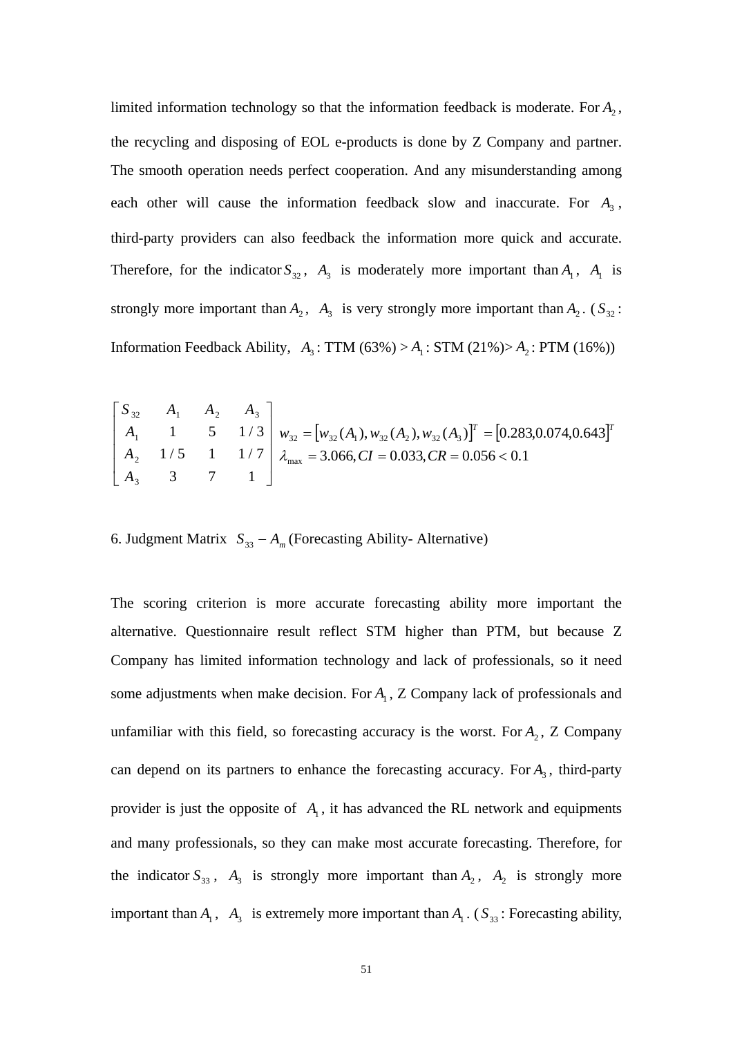limited information technology so that the information feedback is moderate. For  $A_2$ , the recycling and disposing of EOL e-products is done by Z Company and partner. The smooth operation needs perfect cooperation. And any misunderstanding among each other will cause the information feedback slow and inaccurate. For  $A_3$ , third-party providers can also feedback the information more quick and accurate. Therefore, for the indicator  $S_{32}$ ,  $A_3$  is moderately more important than  $A_1$ ,  $A_1$  is strongly more important than  $A_2$ ,  $A_3$  is very strongly more important than  $A_2$ . ( $S_{32}$ : Information Feedback Ability,  $A_3$ : TTM (63%) >  $A_1$ : STM (21%)>  $A_2$ : PTM (16%))

$$
\begin{bmatrix} S_{32} & A_1 & A_2 & A_3 \ A_1 & 1 & 5 & 1/3 \ A_2 & 1/5 & 1 & 1/7 \ A_3 & 3 & 7 & 1 \end{bmatrix} w_{32} = [w_{32}(A_1), w_{32}(A_2), w_{32}(A_3)]^T = [0.283, 0.074, 0.643]^T
$$
  
\n $A_{33} = 3.066, CI = 0.033, CR = 0.056 < 0.1$ 

6. Judgment Matrix  $S_{33} - A_m$  (Forecasting Ability- Alternative)

The scoring criterion is more accurate forecasting ability more important the alternative. Questionnaire result reflect STM higher than PTM, but because Z Company has limited information technology and lack of professionals, so it need some adjustments when make decision. For  $A<sub>1</sub>$ , Z Company lack of professionals and unfamiliar with this field, so forecasting accuracy is the worst. For  $A_2$ , Z Company can depend on its partners to enhance the forecasting accuracy. For  $A_3$ , third-party provider is just the opposite of  $A_1$ , it has advanced the RL network and equipments and many professionals, so they can make most accurate forecasting. Therefore, for the indicator  $S_{33}$ ,  $A_3$  is strongly more important than  $A_2$ ,  $A_2$  is strongly more important than  $A_1$ ,  $A_3$  is extremely more important than  $A_1$ . ( $S_{33}$ : Forecasting ability,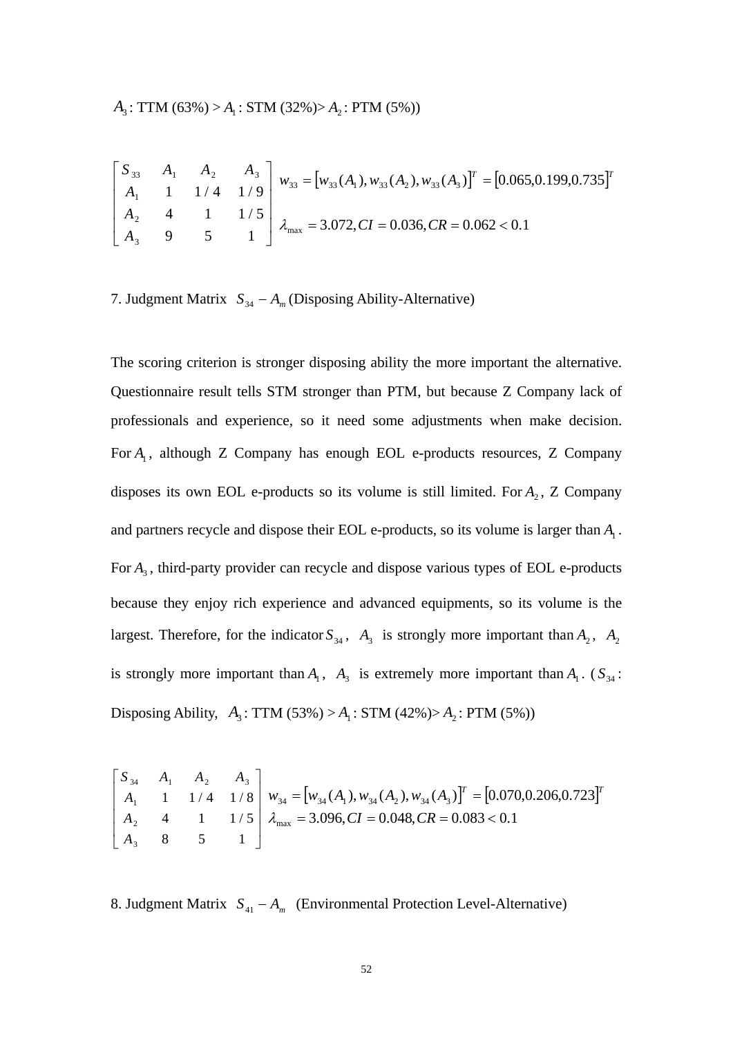$$
\begin{bmatrix} S_{33} & A_1 & A_2 & A_3 \ A_1 & 1 & 1/4 & 1/9 \ A_2 & 4 & 1 & 1/5 \ A_3 & 9 & 5 & 1 \end{bmatrix} w_{33} = [w_{33}(A_1), w_{33}(A_2), w_{33}(A_3)]^T = [0.065, 0.199, 0.735]^T
$$
  
\n
$$
\begin{bmatrix} S_{33} & A_1 & A_2 & A_3 \ A_3 & 9 & 5 & 1 \end{bmatrix} \lambda_{\text{max}} = 3.072, CI = 0.036, CR = 0.062 < 0.1
$$

7. Judgment Matrix  $S_{34} - A_m$  (Disposing Ability-Alternative)

The scoring criterion is stronger disposing ability the more important the alternative. Questionnaire result tells STM stronger than PTM, but because Z Company lack of professionals and experience, so it need some adjustments when make decision. For  $A_1$ , although Z Company has enough EOL e-products resources, Z Company disposes its own EOL e-products so its volume is still limited. For  $A_2$ , Z Company and partners recycle and dispose their EOL e-products, so its volume is larger than  $A<sub>1</sub>$ . For  $A_3$ , third-party provider can recycle and dispose various types of EOL e-products because they enjoy rich experience and advanced equipments, so its volume is the largest. Therefore, for the indicator  $S_{34}$ ,  $A_3$  is strongly more important than  $A_2$ ,  $A_2$ is strongly more important than  $A_1$ ,  $A_3$  is extremely more important than  $A_1$ . ( $S_{34}$ : Disposing Ability,  $A_3$ : TTM (53%) >  $A_1$ : STM (42%)>  $A_2$ : PTM (5%))

$$
\begin{bmatrix} S_{34} & A_1 & A_2 & A_3 \ A_1 & 1 & 1/4 & 1/8 \ A_2 & 4 & 1 & 1/5 \ A_3 & 8 & 5 & 1 \ \end{bmatrix} w_{34} = \begin{bmatrix} w_{34}(A_1), w_{34}(A_2), w_{34}(A_3) \end{bmatrix}^T = \begin{bmatrix} 0.070, 0.206, 0.723 \end{bmatrix}^T
$$
  

$$
A_{34} = 3.096, CI = 0.048, CR = 0.083 < 0.1
$$

8. Judgment Matrix  $S_{41} - A_m$  (Environmental Protection Level-Alternative)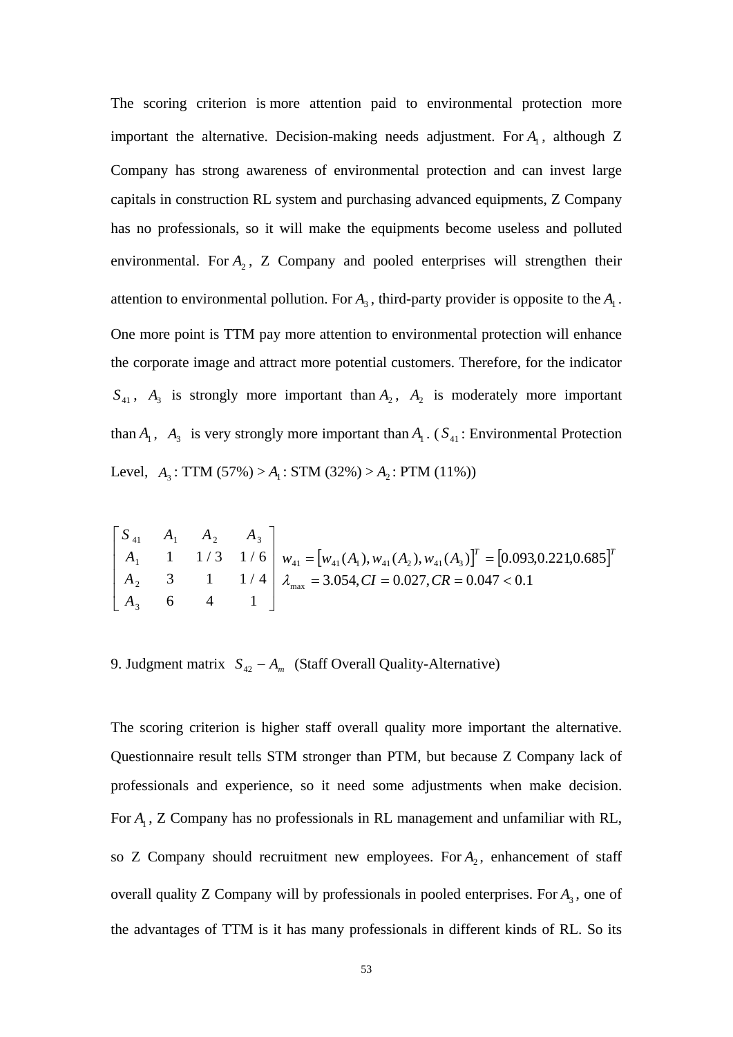The scoring criterion is more attention paid to environmental protection more important the alternative. Decision-making needs adjustment. For  $A<sub>1</sub>$ , although Z Company has strong awareness of environmental protection and can invest large capitals in construction RL system and purchasing advanced equipments, Z Company has no professionals, so it will make the equipments become useless and polluted environmental. For  $A_2$ , Z Company and pooled enterprises will strengthen their attention to environmental pollution. For  $A_3$ , third-party provider is opposite to the  $A_1$ . One more point is TTM pay more attention to environmental protection will enhance the corporate image and attract more potential customers. Therefore, for the indicator  $S_{41}$ ,  $A_3$  is strongly more important than  $A_2$ ,  $A_2$  is moderately more important than  $A_1$ ,  $A_3$  is very strongly more important than  $A_1$ . ( $S_{41}$ : Environmental Protection Level,  $A_3$ : TTM (57%) >  $A_1$ : STM (32%) >  $A_2$ : PTM (11%))

$$
\begin{bmatrix} S_{41} & A_1 & A_2 & A_3 \ A_1 & 1 & 1/3 & 1/6 \ A_2 & 3 & 1 & 1/4 \ A_3 & 6 & 4 & 1 \end{bmatrix} w_{41} = [w_{41}(A_1), w_{41}(A_2), w_{41}(A_3)]^T = [0.093, 0.221, 0.685]^T
$$
  
\n $A_{41} = [w_{41}(A_1), w_{41}(A_2), w_{41}(A_3)]^T = [0.093, 0.221, 0.685]^T$ 

9. Judgment matrix  $S_{42} - A_m$  (Staff Overall Quality-Alternative)

The scoring criterion is higher staff overall quality more important the alternative. Questionnaire result tells STM stronger than PTM, but because Z Company lack of professionals and experience, so it need some adjustments when make decision. For  $A_1$ , Z Company has no professionals in RL management and unfamiliar with RL, so Z Company should recruitment new employees. For  $A_2$ , enhancement of staff overall quality Z Company will by professionals in pooled enterprises. For  $A_3$ , one of the advantages of TTM is it has many professionals in different kinds of RL. So its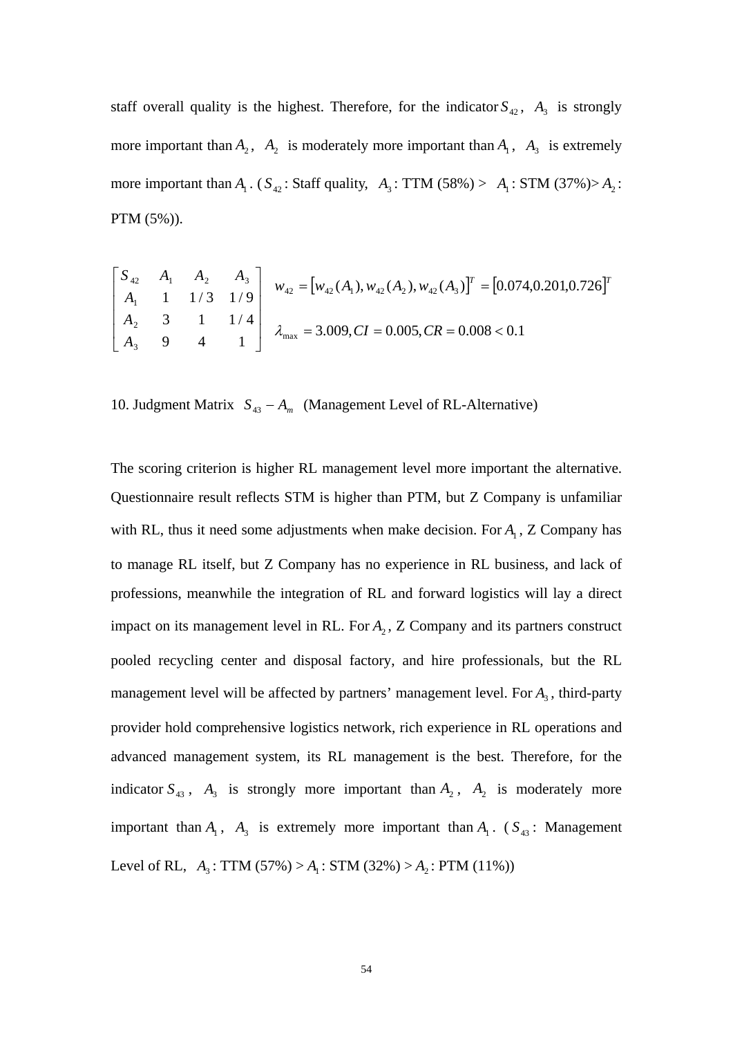staff overall quality is the highest. Therefore, for the indicator  $S_{42}$ ,  $A_3$  is strongly more important than  $A_2$ ,  $A_2$  is moderately more important than  $A_1$ ,  $A_3$  is extremely more important than  $A_1$ . ( $S_{42}$ : Staff quality,  $A_3$ : TTM (58%) >  $A_1$ : STM (37%)> $A_2$ : PTM (5%)).

$$
\begin{bmatrix} S_{42} & A_1 & A_2 & A_3 \\ A_1 & 1 & 1/3 & 1/9 \\ A_2 & 3 & 1 & 1/4 \\ A_3 & 9 & 4 & 1 \end{bmatrix} \begin{bmatrix} w_{42} = [w_{42}(A_1), w_{42}(A_2), w_{42}(A_3)]^T = [0.074, 0.201, 0.726]^T \\ w_{42} = [w_{42}(A_1), w_{42}(A_2), w_{42}(A_3)]^T = [0.074, 0.201, 0.726]^T \end{bmatrix}
$$

10. Judgment Matrix  $S_{43} - A_m$  (Management Level of RL-Alternative)

The scoring criterion is higher RL management level more important the alternative. Questionnaire result reflects STM is higher than PTM, but Z Company is unfamiliar with RL, thus it need some adjustments when make decision. For  $A<sub>1</sub>$ , Z Company has to manage RL itself, but Z Company has no experience in RL business, and lack of professions, meanwhile the integration of RL and forward logistics will lay a direct impact on its management level in RL. For  $A_2$ , Z Company and its partners construct pooled recycling center and disposal factory, and hire professionals, but the RL management level will be affected by partners' management level. For  $A_3$ , third-party provider hold comprehensive logistics network, rich experience in RL operations and advanced management system, its RL management is the best. Therefore, for the indicator  $S_{43}$ ,  $A_3$  is strongly more important than  $A_2$ ,  $A_2$  is moderately more important than  $A_1$ ,  $A_3$  is extremely more important than  $A_1$ . ( $S_{43}$ : Management Level of RL,  $A_3$ : TTM (57%) >  $A_1$ : STM (32%) >  $A_2$ : PTM (11%))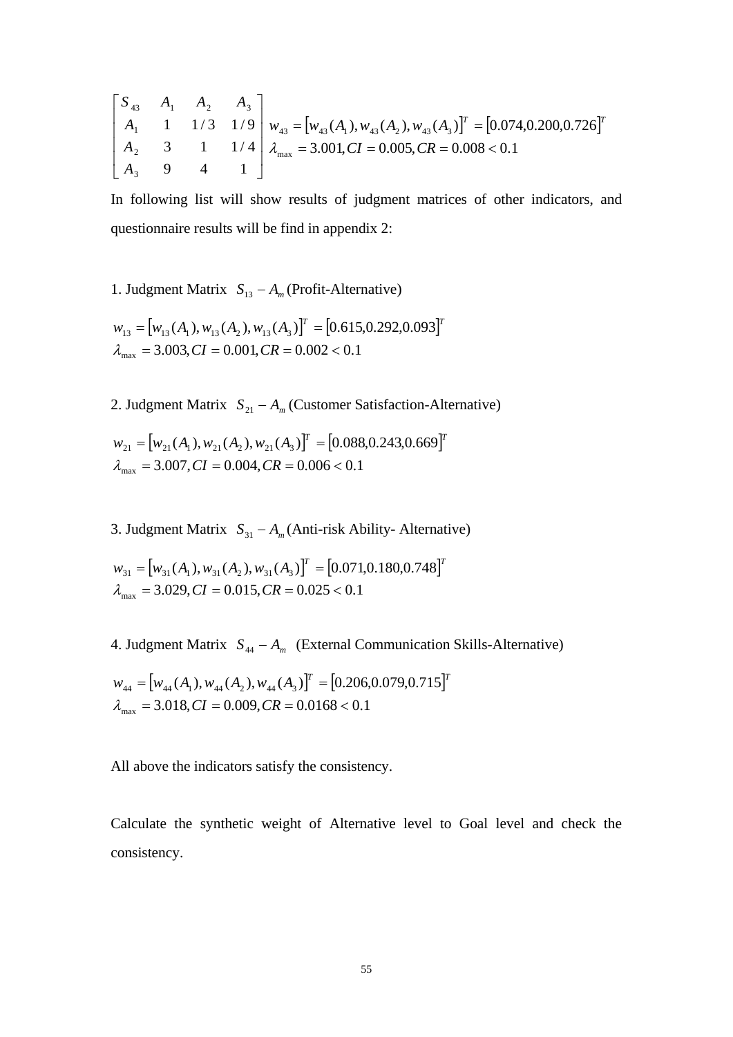$$
\begin{bmatrix} S_{43} & A_1 & A_2 & A_3 \ A_1 & 1 & 1/3 & 1/9 \ A_2 & 3 & 1 & 1/4 \ A_3 & 9 & 4 & 1 \end{bmatrix} w_{43} = [w_{43}(A_1), w_{43}(A_2), w_{43}(A_3)]^T = [0.074, 0.200, 0.726]^T
$$
  

$$
A_{43} = 3.001, CI = 0.005, CR = 0.008 < 0.1
$$

In following list will show results of judgment matrices of other indicators, and questionnaire results will be find in appendix 2:

1. Judgment Matrix  $S_{13} - A_m$  (Profit-Alternative)

$$
w_{13} = [w_{13}(A_1), w_{13}(A_2), w_{13}(A_3)]^T = [0.615, 0.292, 0.093]^T
$$
  

$$
\lambda_{\text{max}} = 3.003, CI = 0.001, CR = 0.002 < 0.1
$$

2. Judgment Matrix  $S_{21} - A_m$  (Customer Satisfaction-Alternative)

 $W_{21} = [W_{21}(A_1), W_{21}(A_2), W_{21}(A_3)]^T = [0.088, 0.243, 0.669]^T$  $\lambda_{\text{max}} = 3.007, CI = 0.004, CR = 0.006 < 0.1$ 

3. Judgment Matrix  $S_{31} - A_m$ (Anti-risk Ability- Alternative)

$$
w_{31} = [w_{31}(A_1), w_{31}(A_2), w_{31}(A_3)]^T = [0.071, 0.180, 0.748]^T
$$
  

$$
\lambda_{\text{max}} = 3.029, CI = 0.015, CR = 0.025 < 0.1
$$

4. Judgment Matrix  $S<sub>44</sub> − A<sub>m</sub>$  (External Communication Skills-Alternative)

$$
w_{44} = [w_{44}(A_1), w_{44}(A_2), w_{44}(A_3)]^T = [0.206, 0.079, 0.715]^T
$$
  

$$
\lambda_{\text{max}} = 3.018, CI = 0.009, CR = 0.0168 < 0.1
$$

All above the indicators satisfy the consistency.

Calculate the synthetic weight of Alternative level to Goal level and check the consistency.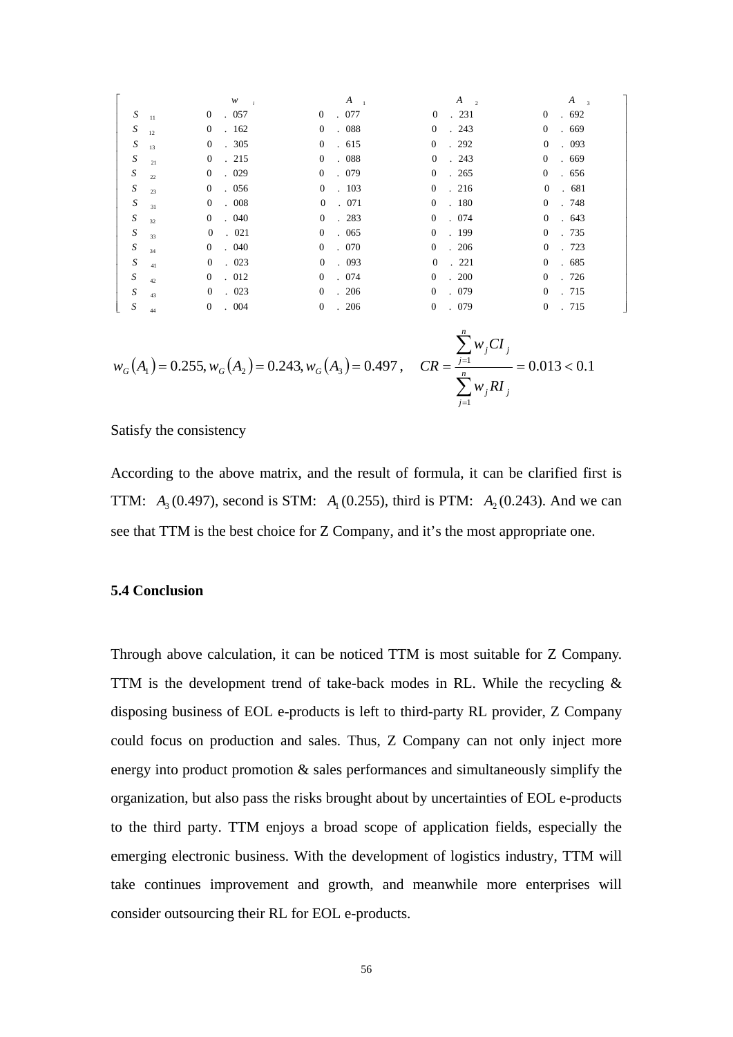|                  | $\boldsymbol{W}$<br>$\rightarrow i$ | $A_{1}$                                               | $A_{2}$                                   | $\boldsymbol{A}$<br>$\overline{\mathbf{3}}$ |
|------------------|-------------------------------------|-------------------------------------------------------|-------------------------------------------|---------------------------------------------|
| $\boldsymbol{S}$ | .057                                | .077                                                  | .231                                      | .692                                        |
| 11               | $\mathbf{0}$                        | $\overline{0}$                                        | $\mathbf{0}$                              | $\mathbf{0}$                                |
| $\boldsymbol{S}$ | $\mathbf{0}$                        | . 088                                                 | .243                                      | $\overline{0}$                              |
| 12               | .162                                | $\overline{0}$                                        | $\overline{0}$                            | .669                                        |
| $\boldsymbol{S}$ | .305                                | .615                                                  | $\overline{0}$                            | $\mathbf{0}$                                |
| 13               | $\boldsymbol{0}$                    | $\overline{0}$                                        | .292                                      | .093                                        |
| $\boldsymbol{S}$ | $\mathbf{0}$                        | . 088                                                 | $\overline{0}$                            | $\mathbf{0}$                                |
| 21               | .215                                | $\overline{0}$                                        | .243                                      | .669                                        |
| $\boldsymbol{S}$ | $\mathbf{0}$                        | .079                                                  | . 265                                     | $\mathbf{0}$                                |
| 22               | .029                                | $\overline{0}$                                        | $\overline{0}$                            | .656                                        |
| $\boldsymbol{S}$ | $\mathbf{0}$                        | .103                                                  | 0.216                                     | $\overline{0}$                              |
| 23               | . 056                               | $\overline{0}$                                        |                                           | . 681                                       |
| $\boldsymbol{S}$ | $\boldsymbol{0}$                    | $\overline{0}$                                        | $\overline{0}$                            | $\mathbf{0}$                                |
| 31               | . 008                               | .071                                                  | . 180                                     | . 748                                       |
| $\boldsymbol{S}$ | $\mathbf{0}$                        | $\overline{0}$                                        | $\overline{0}$                            | $\mathbf{0}$                                |
| 32               | . 040                               | .283                                                  | .074                                      | .643                                        |
| $\boldsymbol{S}$ | $\overline{0}$                      | $\overline{0}$                                        | $\overline{0}$                            | $\mathbf{0}$                                |
| 33               | . 021                               | .065                                                  | . 199                                     | . 735                                       |
| $\boldsymbol{S}$ | $\overline{0}$                      | .070                                                  | $\overline{0}$                            | $\mathbf{0}$                                |
| 34               | . 040                               | $\overline{0}$                                        | .206                                      | . 723                                       |
| S                | $\boldsymbol{0}$                    | $\overline{0}$                                        | $\overline{0}$                            | $\mathbf{0}$                                |
| 41               | .023                                | .093                                                  | . 221                                     | .685                                        |
| $\boldsymbol{S}$ | .012                                | .074                                                  | $\overline{0}$                            | . 726                                       |
| 42               | $\overline{0}$                      | $\overline{0}$                                        | .200                                      | $\overline{0}$                              |
| $\boldsymbol{S}$ | $\mathbf{0}$                        | .206                                                  | . 079                                     | $\overline{0}$                              |
| 43               | .023                                | $\overline{0}$                                        | $\overline{0}$                            | . 715                                       |
| $\boldsymbol{S}$ | $\overline{0}$                      | .206                                                  | $\overline{0}$                            | $\overline{0}$                              |
| 44               | . 004                               | $\overline{0}$                                        | .079                                      | . 715                                       |
|                  |                                     | $(1)$ $(1)$ $(0.255)$ $(1)$ $(0.242)$ $(1)$ $(0.407)$ | $\sum w_j C I_j$<br>$CP - \overline{I} =$ | $= 0.012 \times 0.1$                        |

 $\overline{a}$ 

$$
w_G(A_1) = 0.255, w_G(A_2) = 0.243, w_G(A_3) = 0.497, \quad CR = \frac{\frac{1}{j-1}}{\sum_{j=1}^{n} w_j RI_j} = 0.013 < 0.1
$$

Satisfy the consistency

According to the above matrix, and the result of formula, it can be clarified first is **TTM:**  $A_3(0.497)$ , second is STM:  $A_1(0.255)$ , third is PTM:  $A_2(0.243)$ . And we can see that TTM is the best choice for Z Company, and it's the most appropriate one.

### **5.4 Conclusion**

Through above calculation, it can be noticed TTM is most suitable for Z Company. TTM is the development trend of take-back modes in RL. While the recycling  $\&$ disposing business of EOL e-products is left to third-party RL provider, Z Company could focus on production and sales. Thus, Z Company can not only inject more energy into product promotion & sales performances and simultaneously simplify the organization, but also pass the risks brought about by uncertainties of EOL e-products to the third party. TTM enjoys a broad scope of application fields, especially the emerging electronic business. With the development of logistics industry, TTM will take continues improvement and growth, and meanwhile more enterprises will consider outsourcing their RL for EOL e-products.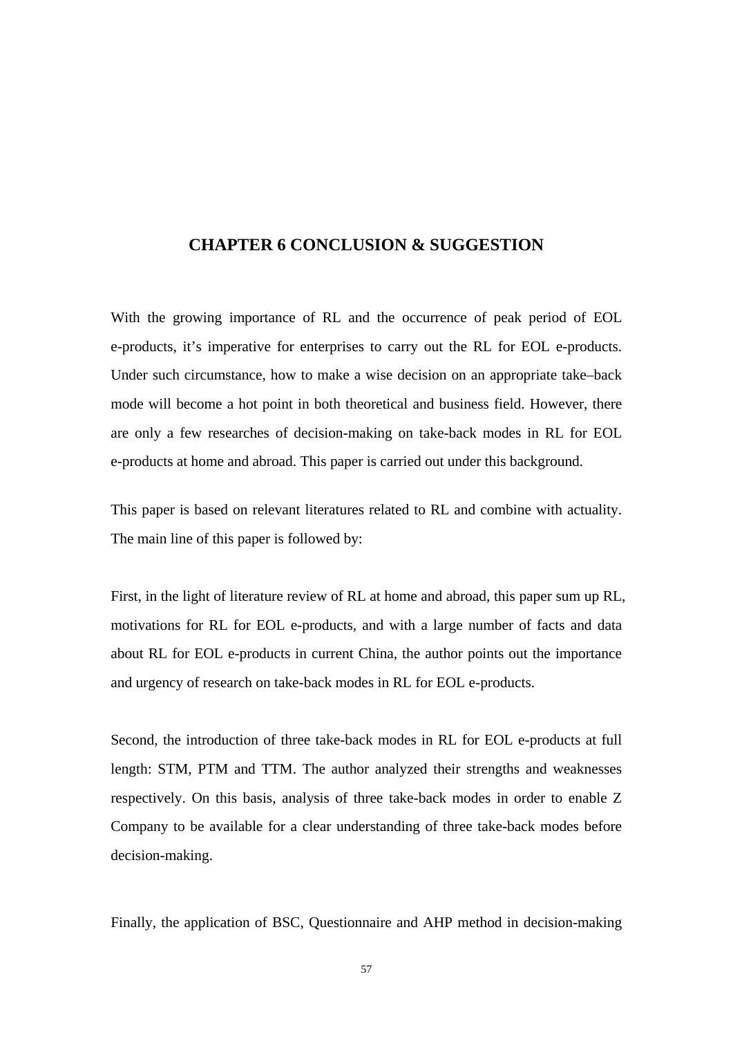### **CHAPTER 6 CONCLUSION & SUGGESTION**

With the growing importance of RL and the occurrence of peak period of EOL e-products, it's imperative for enterprises to carry out the RL for EOL e-products. Under such circumstance, how to make a wise decision on an appropriate take–back mode will become a hot point in both theoretical and business field. However, there are only a few researches of decision-making on take-back modes in RL for EOL e-products at home and abroad. This paper is carried out under this background.

This paper is based on relevant literatures related to RL and combine with actuality. The main line of this paper is followed by:

First, in the light of literature review of RL at home and abroad, this paper sum up RL, motivations for RL for EOL e-products, and with a large number of facts and data about RL for EOL e-products in current China, the author points out the importance and urgency of research on take-back modes in RL for EOL e-products.

Second, the introduction of three take-back modes in RL for EOL e-products at full length: STM, PTM and TTM. The author analyzed their strengths and weaknesses respectively. On this basis, analysis of three take-back modes in order to enable Z Company to be available for a clear understanding of three take-back modes before decision-making.

Finally, the application of BSC, Questionnaire and AHP method in decision-making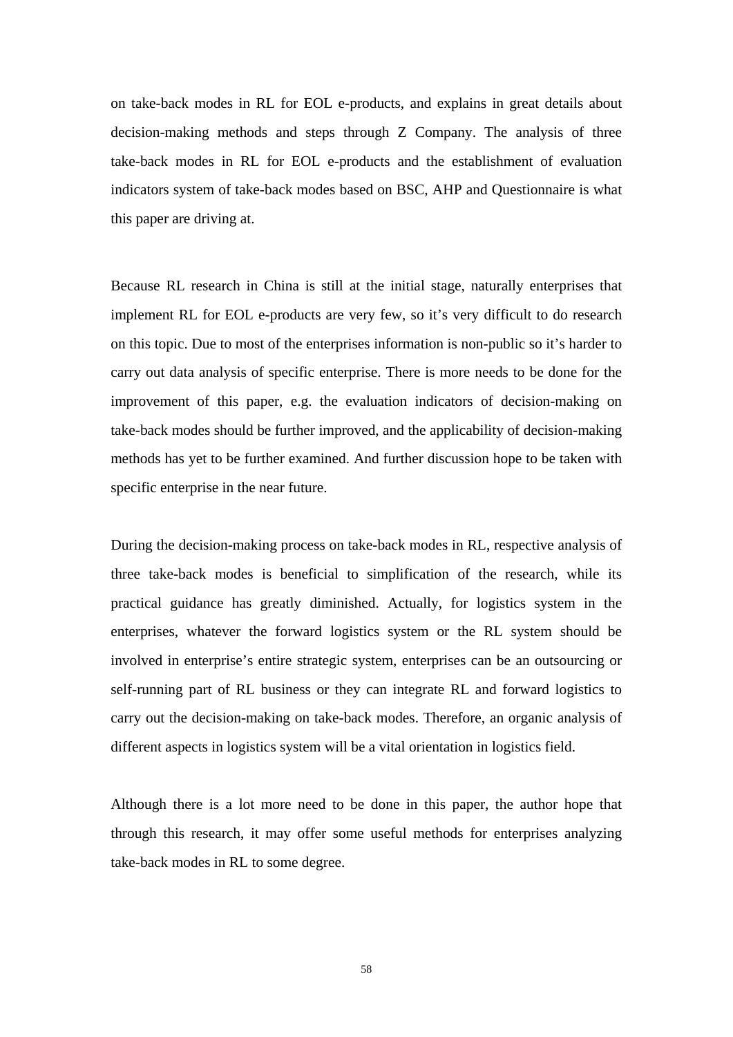on take-back modes in RL for EOL e-products, and explains in great details about decision-making methods and steps through Z Company. The analysis of three take-back modes in RL for EOL e-products and the establishment of evaluation indicators system of take-back modes based on BSC, AHP and Questionnaire is what this paper are driving at.

Because RL research in China is still at the initial stage, naturally enterprises that implement RL for EOL e-products are very few, so it's very difficult to do research on this topic. Due to most of the enterprises information is non-public so it's harder to carry out data analysis of specific enterprise. There is more needs to be done for the improvement of this paper, e.g. the evaluation indicators of decision-making on take-back modes should be further improved, and the applicability of decision-making methods has yet to be further examined. And further discussion hope to be taken with specific enterprise in the near future.

During the decision-making process on take-back modes in RL, respective analysis of three take-back modes is beneficial to simplification of the research, while its practical guidance has greatly diminished. Actually, for logistics system in the enterprises, whatever the forward logistics system or the RL system should be involved in enterprise's entire strategic system, enterprises can be an outsourcing or self-running part of RL business or they can integrate RL and forward logistics to carry out the decision-making on take-back modes. Therefore, an organic analysis of different aspects in logistics system will be a vital orientation in logistics field.

Although there is a lot more need to be done in this paper, the author hope that through this research, it may offer some useful methods for enterprises analyzing take-back modes in RL to some degree.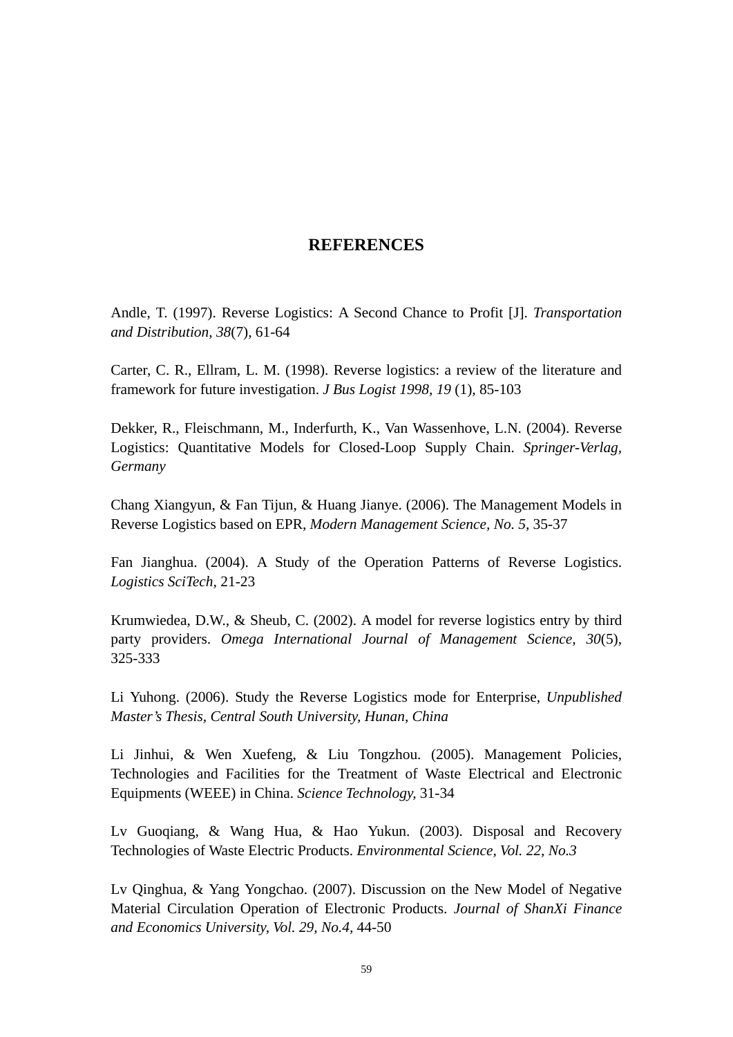# **REFERENCES**

Andle, T. (1997). Reverse Logistics: A Second Chance to Profit [J]. *Transportation and Distribution, 38*(7)*,* 61-64

Carter, C. R., Ellram, L. M. (1998). Reverse logistics: a review of the literature and framework for future investigation. *J Bus Logist 1998, 19* (1)*,* 85-103

Dekker, R., Fleischmann, M., Inderfurth, K., Van Wassenhove, L.N. (2004). Reverse Logistics: Quantitative Models for Closed-Loop Supply Chain. *Springer-Verlag, Germany* 

Chang Xiangyun, & Fan Tijun, & Huang Jianye. (2006). The Management Models in Reverse Logistics based on EPR, *Modern Management Science, No. 5,* 35-37

Fan Jianghua. (2004). A Study of the Operation Patterns of Reverse Logistics. *Logistics SciTech,* 21-23

Krumwiedea, D.W., & Sheub, C. (2002). A model for reverse logistics entry by third party providers. *Omega International Journal of Management Science, 30*(5), 325-333

Li Yuhong. (2006). Study the Reverse Logistics mode for Enterprise, *Unpublished Master's Thesis, Central South University, Hunan, China*

Li Jinhui, & Wen Xuefeng, & Liu Tongzhou. (2005). Management Policies, Technologies and Facilities for the Treatment of Waste Electrical and Electronic Equipments (WEEE) in China. *Science Technology,* 31-34

Lv Guoqiang, & Wang Hua, & Hao Yukun. (2003). Disposal and Recovery Technologies of Waste Electric Products. *Environmental Science, Vol. 22, No.3* 

Lv Qinghua, & Yang Yongchao. (2007). Discussion on the New Model of Negative Material Circulation Operation of Electronic Products. *Journal of ShanXi Finance and Economics University, Vol. 29, No.4,* 44-50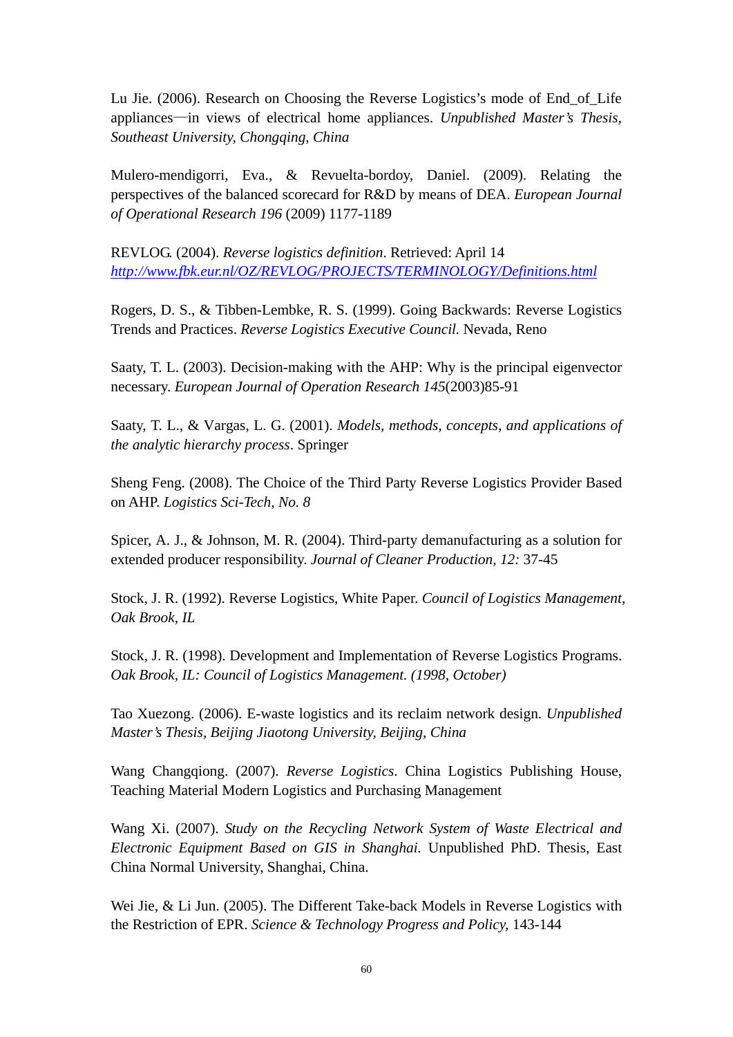Lu Jie. (2006). Research on Choosing the Reverse Logistics's mode of End\_of\_Life appliances—in views of electrical home appliances. *Unpublished Master's Thesis, Southeast University, Chongqing, China* 

Mulero-mendigorri, Eva., & Revuelta-bordoy, Daniel. (2009). Relating the perspectives of the balanced scorecard for R&D by means of DEA. *European Journal of Operational Research 196* (2009) 1177-1189

REVLOG. (2004). *Reverse logistics definition*. Retrieved: April 14 *<http://www.fbk.eur.nl/OZ/REVLOG/PROJECTS/TERMINOLOGY/Definitions.html>*

Rogers, D. S., & Tibben-Lembke, R. S. (1999). Going Backwards: Reverse Logistics Trends and Practices. *Reverse Logistics Executive Council.* Nevada, Reno

Saaty, T. L. (2003). Decision-making with the AHP: Why is the principal eigenvector necessary. *European Journal of Operation Research 145*(2003)85-91

Saaty, T. L., & Vargas, L. G. (2001). *Models, methods, concepts, and applications of the analytic hierarchy process*. Springer

Sheng Feng. (2008). The Choice of the Third Party Reverse Logistics Provider Based on AHP. *Logistics Sci-Tech, No. 8*

Spicer, A. J., & Johnson, M. R. (2004). Third-party demanufacturing as a solution for extended producer responsibility. *Journal of Cleaner Production, 12:* 37-45

Stock, J. R. (1992). Reverse Logistics, White Paper. *Council of Logistics Management, Oak Brook, IL* 

Stock, J. R. (1998). Development and Implementation of Reverse Logistics Programs. *Oak Brook, IL: Council of Logistics Management. (1998, October)*

Tao Xuezong. (2006). E-waste logistics and its reclaim network design. *Unpublished Master's Thesis, Beijing Jiaotong University, Beijing, China* 

Wang Changqiong. (2007). *Reverse Logistics*. China Logistics Publishing House, Teaching Material Modern Logistics and Purchasing Management

Wang Xi. (2007). *Study on the Recycling Network System of Waste Electrical and Electronic Equipment Based on GIS in Shanghai.* Unpublished PhD. Thesis, East China Normal University, Shanghai, China.

Wei Jie, & Li Jun. (2005). The Different Take-back Models in Reverse Logistics with the Restriction of EPR. *Science & Technology Progress and Policy,* 143-144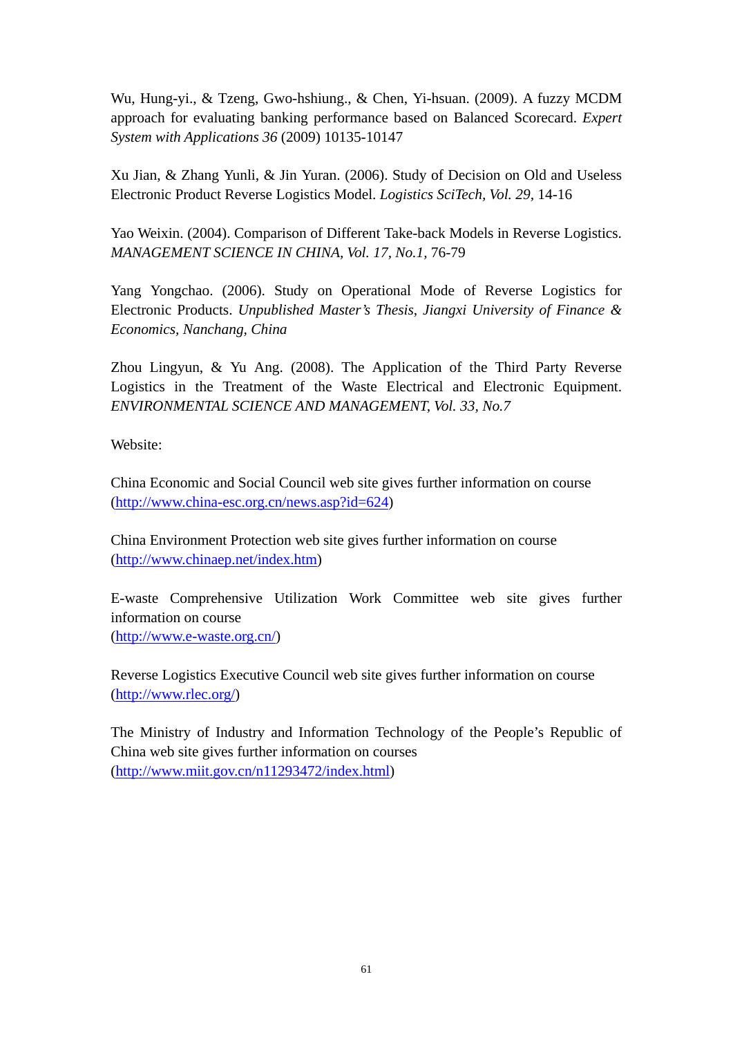Wu, Hung-yi., & Tzeng, Gwo-hshiung., & Chen, Yi-hsuan. (2009). A fuzzy MCDM approach for evaluating banking performance based on Balanced Scorecard. *Expert System with Applications 36* (2009) 10135-10147

Xu Jian, & Zhang Yunli, & Jin Yuran. (2006). Study of Decision on Old and Useless Electronic Product Reverse Logistics Model. *Logistics SciTech, Vol. 29,* 14-16

Yao Weixin. (2004). Comparison of Different Take-back Models in Reverse Logistics. *MANAGEMENT SCIENCE IN CHINA, Vol. 17, No.1,* 76-79

Yang Yongchao. (2006). Study on Operational Mode of Reverse Logistics for Electronic Products. *Unpublished Master's Thesis*, *Jiangxi University of Finance & Economics, Nanchang, China* 

Zhou Lingyun, & Yu Ang. (2008). The Application of the Third Party Reverse Logistics in the Treatment of the Waste Electrical and Electronic Equipment. *ENVIRONMENTAL SCIENCE AND MANAGEMENT, Vol. 33, No.7*

Website:

China Economic and Social Council web site gives further information on course ([http://www.china-esc.org.cn/news.asp?id=624\)](http://www.china-esc.org.cn/news.asp?id=624)

China Environment Protection web site gives further information on course [\(http://www.chinaep.net/index.htm\)](http://www.chinaep.net/index.htm)

E-waste Comprehensive Utilization Work Committee web site gives further information on course [\(http://www.e-waste.org.cn/\)](http://www.e-waste.org.cn/)

Reverse Logistics Executive Council web site gives further information on course [\(http://www.rlec.org/\)](http://www.rlec.org/)

The Ministry of Industry and Information Technology of the People's Republic of China web site gives further information on courses [\(http://www.miit.gov.cn/n11293472/index.html\)](http://www.miit.gov.cn/n11293472/index.html)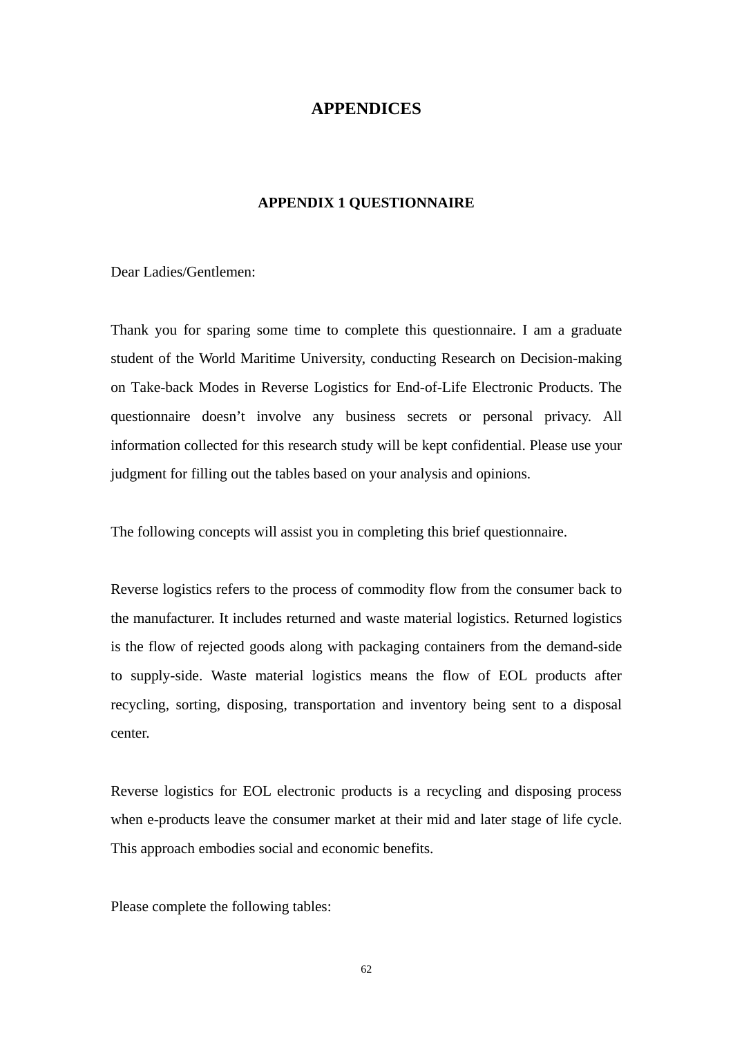## **APPENDICES**

### **APPENDIX 1 QUESTIONNAIRE**

Dear Ladies/Gentlemen:

Thank you for sparing some time to complete this questionnaire. I am a graduate student of the World Maritime University, conducting Research on Decision-making on Take-back Modes in Reverse Logistics for End-of-Life Electronic Products. The questionnaire doesn't involve any business secrets or personal privacy. All information collected for this research study will be kept confidential. Please use your judgment for filling out the tables based on your analysis and opinions.

The following concepts will assist you in completing this brief questionnaire.

Reverse logistics refers to the process of commodity flow from the consumer back to the manufacturer. It includes returned and waste material logistics. Returned logistics is the flow of rejected goods along with packaging containers from the demand-side to supply-side. Waste material logistics means the flow of EOL products after recycling, sorting, disposing, transportation and inventory being sent to a disposal center.

Reverse logistics for EOL electronic products is a recycling and disposing process when e-products leave the consumer market at their mid and later stage of life cycle. This approach embodies social and economic benefits.

Please complete the following tables: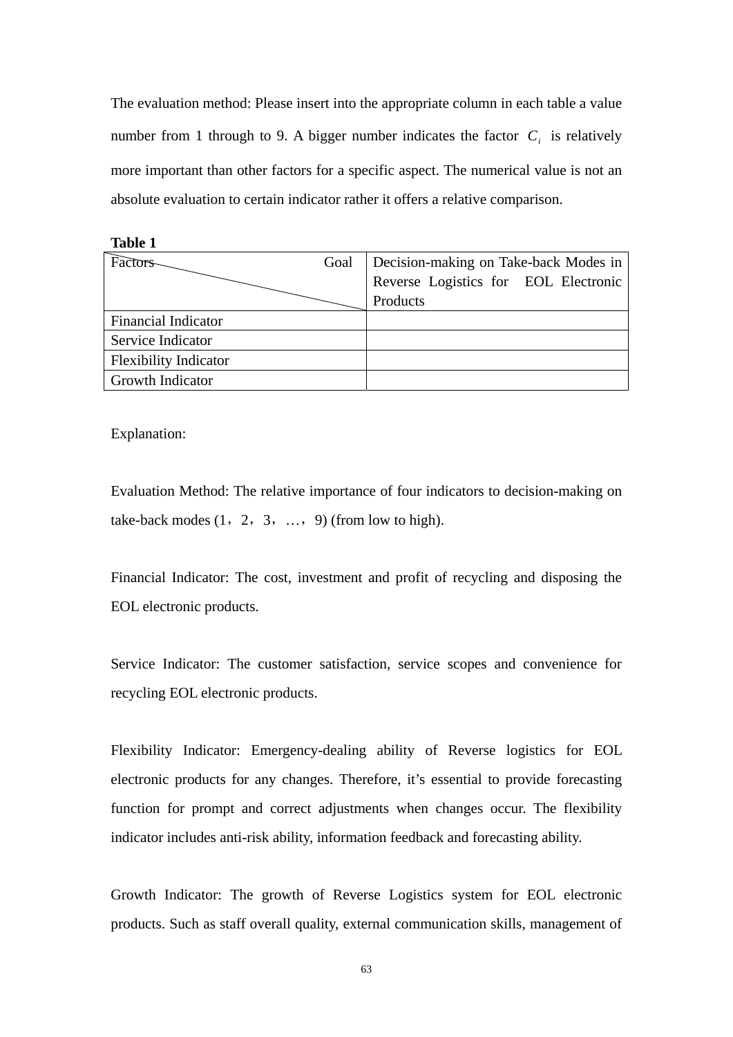The evaluation method: Please insert into the appropriate column in each table a value number from 1 through to 9. A bigger number indicates the factor  $C_i$  is relatively more important than other factors for a specific aspect. The numerical value is not an absolute evaluation to certain indicator rather it offers a relative comparison.

| Goal | Decision-making on Take-back Modes in |  |
|------|---------------------------------------|--|
|      | Reverse Logistics for EOL Electronic  |  |
|      | Products                              |  |
|      |                                       |  |
|      |                                       |  |
|      |                                       |  |
|      |                                       |  |
|      |                                       |  |

Explanation:

Evaluation Method: The relative importance of four indicators to decision-making on take-back modes  $(1, 2, 3, \ldots, 9)$  (from low to high).

Financial Indicator: The cost, investment and profit of recycling and disposing the EOL electronic products.

Service Indicator: The customer satisfaction, service scopes and convenience for recycling EOL electronic products.

Flexibility Indicator: Emergency-dealing ability of Reverse logistics for EOL electronic products for any changes. Therefore, it's essential to provide forecasting function for prompt and correct adjustments when changes occur. The flexibility indicator includes anti-risk ability, information feedback and forecasting ability.

Growth Indicator: The growth of Reverse Logistics system for EOL electronic products. Such as staff overall quality, external communication skills, management of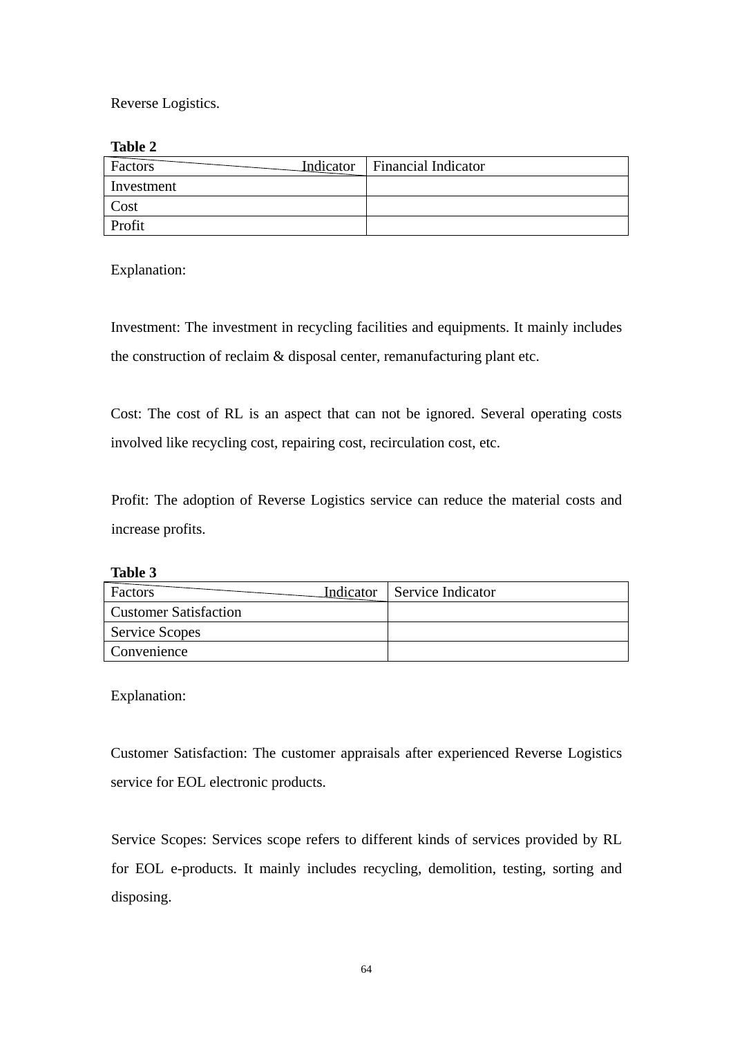Reverse Logistics.

**Table 2** 

| Factors    | Indicator   Financial Indicator |
|------------|---------------------------------|
| Investment |                                 |
| Cost       |                                 |
| Profit     |                                 |

Explanation:

Investment: The investment in recycling facilities and equipments. It mainly includes the construction of reclaim & disposal center, remanufacturing plant etc.

Cost: The cost of RL is an aspect that can not be ignored. Several operating costs involved like recycling cost, repairing cost, recirculation cost, etc.

Profit: The adoption of Reverse Logistics service can reduce the material costs and increase profits.

| ını<br>r<br>н |  |
|---------------|--|
|---------------|--|

| Factors                      | Indicator   Service Indicator |
|------------------------------|-------------------------------|
| <b>Customer Satisfaction</b> |                               |
| Service Scopes               |                               |
| <b>Convenience</b>           |                               |

Explanation:

Customer Satisfaction: The customer appraisals after experienced Reverse Logistics service for EOL electronic products.

Service Scopes: Services scope refers to different kinds of services provided by RL for EOL e-products. It mainly includes recycling, demolition, testing, sorting and disposing.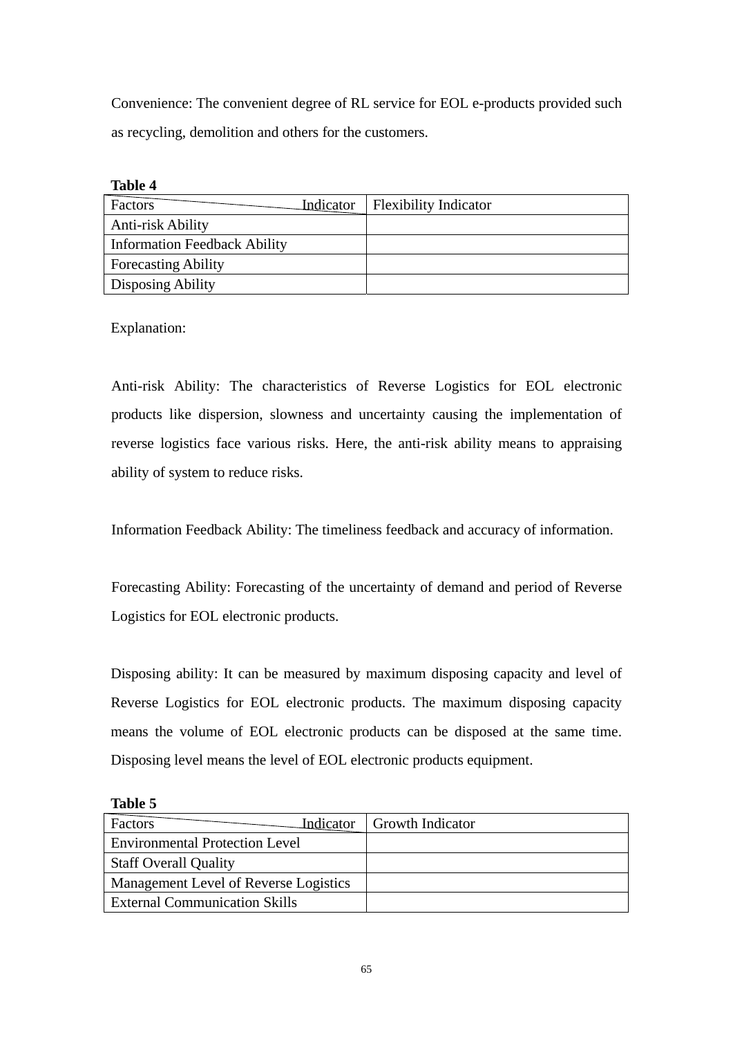Convenience: The convenient degree of RL service for EOL e-products provided such as recycling, demolition and others for the customers.

| ۱Ŋ۱<br>16<br>и |
|----------------|
|----------------|

| Factors<br>Indicator                | <b>Flexibility Indicator</b> |
|-------------------------------------|------------------------------|
| Anti-risk Ability                   |                              |
| <b>Information Feedback Ability</b> |                              |
| <b>Forecasting Ability</b>          |                              |
| Disposing Ability                   |                              |

Explanation:

Anti-risk Ability: The characteristics of Reverse Logistics for EOL electronic products like dispersion, slowness and uncertainty causing the implementation of reverse logistics face various risks. Here, the anti-risk ability means to appraising ability of system to reduce risks.

Information Feedback Ability: The timeliness feedback and accuracy of information.

Forecasting Ability: Forecasting of the uncertainty of demand and period of Reverse Logistics for EOL electronic products.

Disposing ability: It can be measured by maximum disposing capacity and level of Reverse Logistics for EOL electronic products. The maximum disposing capacity means the volume of EOL electronic products can be disposed at the same time. Disposing level means the level of EOL electronic products equipment.

| Factors                               | Indicator   Growth Indicator |
|---------------------------------------|------------------------------|
| <b>Environmental Protection Level</b> |                              |
| <b>Staff Overall Quality</b>          |                              |
| Management Level of Reverse Logistics |                              |
| <b>External Communication Skills</b>  |                              |

**Table 5**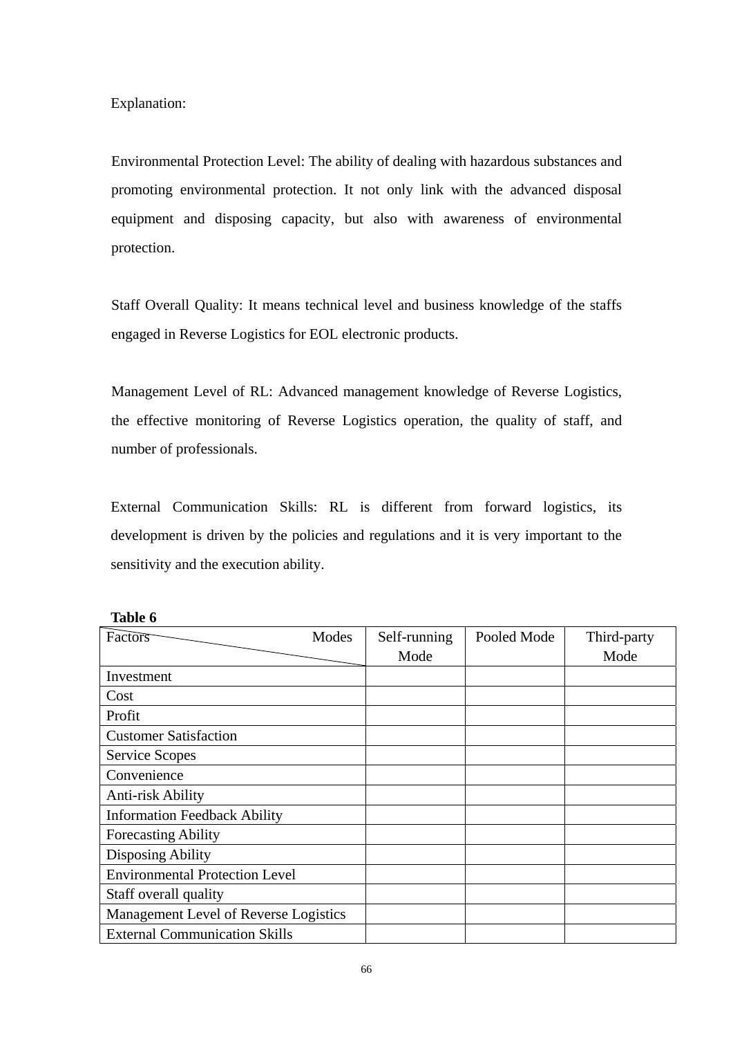Explanation:

Environmental Protection Level: The ability of dealing with hazardous substances and promoting environmental protection. It not only link with the advanced disposal equipment and disposing capacity, but also with awareness of environmental protection.

Staff Overall Quality: It means technical level and business knowledge of the staffs engaged in Reverse Logistics for EOL electronic products.

Management Level of RL: Advanced management knowledge of Reverse Logistics, the effective monitoring of Reverse Logistics operation, the quality of staff, and number of professionals.

External Communication Skills: RL is different from forward logistics, its development is driven by the policies and regulations and it is very important to the sensitivity and the execution ability.

| Factors                               | Modes | Self-running | Pooled Mode | Third-party |
|---------------------------------------|-------|--------------|-------------|-------------|
|                                       |       | Mode         |             | Mode        |
| Investment                            |       |              |             |             |
| Cost                                  |       |              |             |             |
| Profit                                |       |              |             |             |
| <b>Customer Satisfaction</b>          |       |              |             |             |
| <b>Service Scopes</b>                 |       |              |             |             |
| Convenience                           |       |              |             |             |
| Anti-risk Ability                     |       |              |             |             |
| <b>Information Feedback Ability</b>   |       |              |             |             |
| <b>Forecasting Ability</b>            |       |              |             |             |
| <b>Disposing Ability</b>              |       |              |             |             |
| <b>Environmental Protection Level</b> |       |              |             |             |
| Staff overall quality                 |       |              |             |             |
| Management Level of Reverse Logistics |       |              |             |             |
| <b>External Communication Skills</b>  |       |              |             |             |

**Table 6**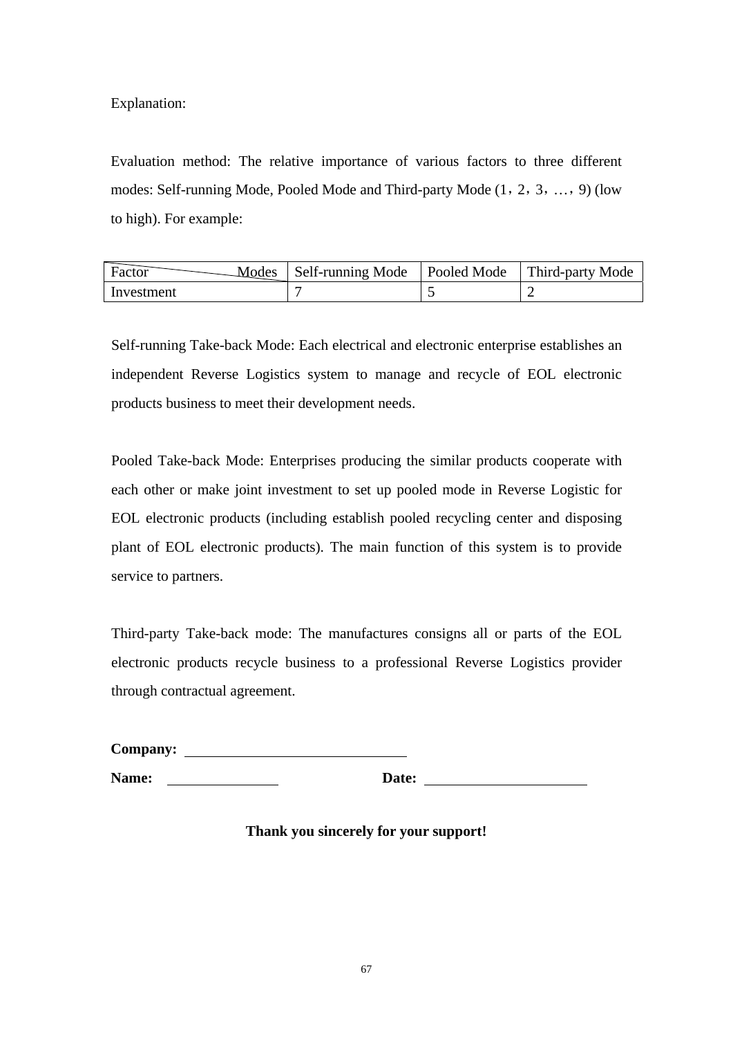Explanation:

Evaluation method: The relative importance of various factors to three different modes: Self-running Mode, Pooled Mode and Third-party Mode (1,2,3,…,9) (low to high). For example:

| Factor     | Modes   Self-running Mode   Pooled Mode   Third-party Mode |  |
|------------|------------------------------------------------------------|--|
| Investment |                                                            |  |

Self-running Take-back Mode: Each electrical and electronic enterprise establishes an independent Reverse Logistics system to manage and recycle of EOL electronic products business to meet their development needs.

Pooled Take-back Mode: Enterprises producing the similar products cooperate with each other or make joint investment to set up pooled mode in Reverse Logistic for EOL electronic products (including establish pooled recycling center and disposing plant of EOL electronic products). The main function of this system is to provide service to partners.

Third-party Take-back mode: The manufactures consigns all or parts of the EOL electronic products recycle business to a professional Reverse Logistics provider through contractual agreement.

| Company:     |       |
|--------------|-------|
| <b>Name:</b> | Date: |

**Thank you sincerely for your support!**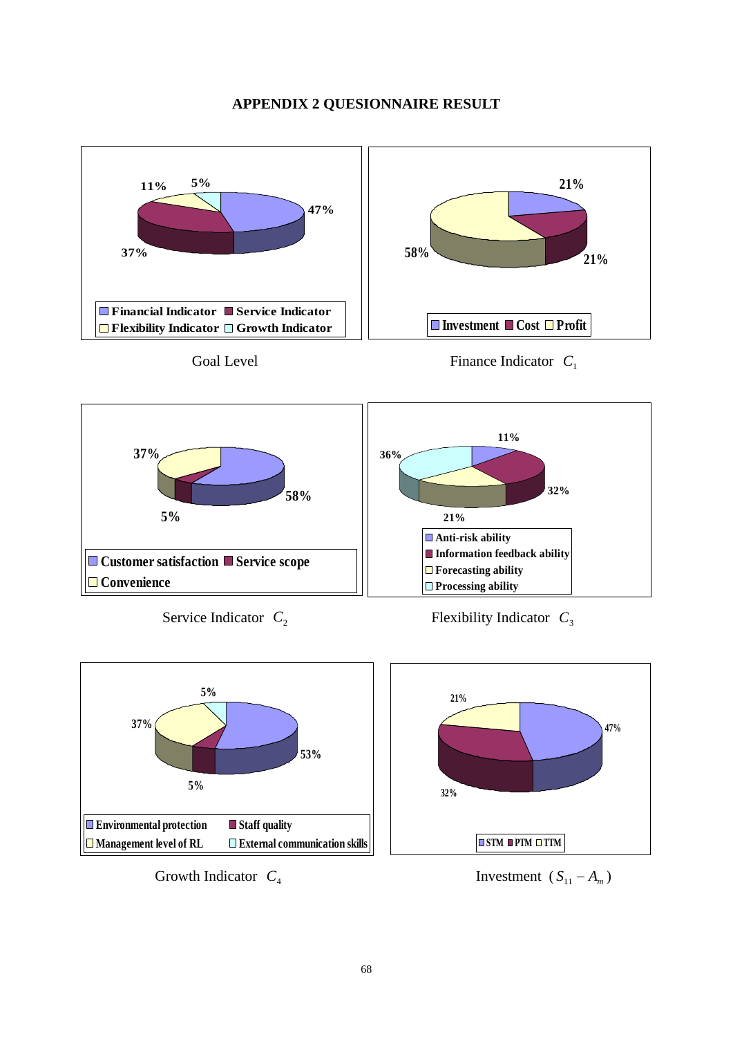## **APPENDIX 2 QUESIONNAIRE RESULT**







Growth Indicator  $C_4$  Investment  $(S_{11} - A_m)$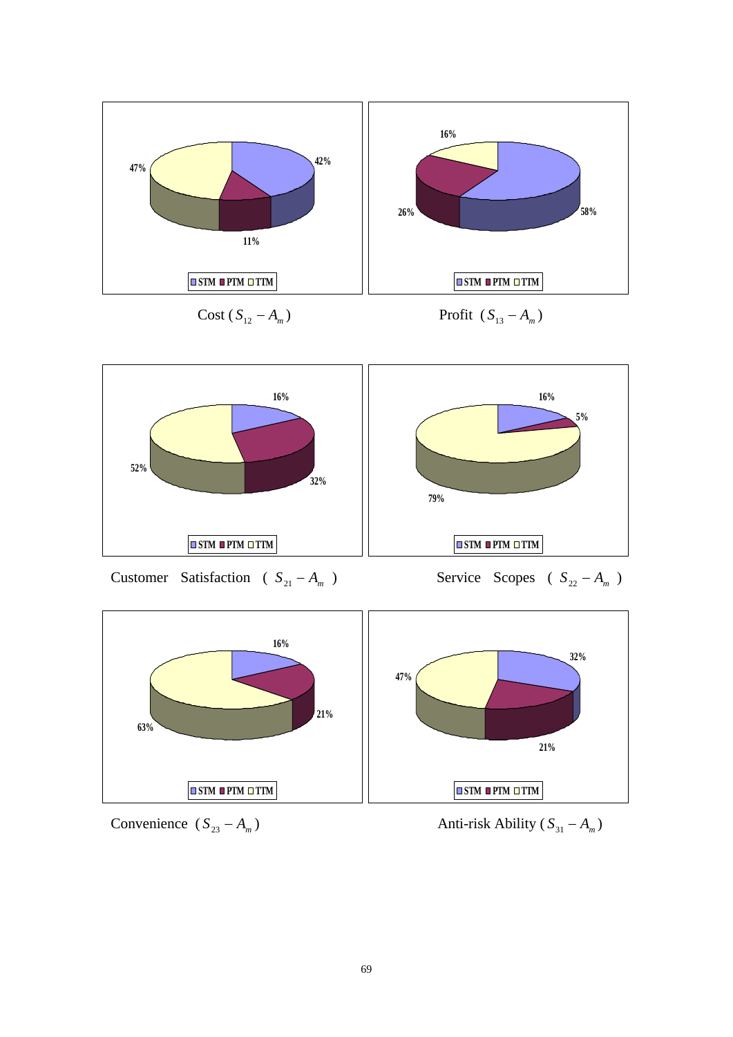

 $Cost(S_{12} - A_m)$  Profit  $(S_{13} - A_m)$ 



Customer Satisfaction (  $S_{21} - A_m$  ) Service Scopes (  $S_{22} - A_m$  )





Convenience  $(S_{23} - A_m)$  Anti-risk Ability  $(S_{31} - A_m)$